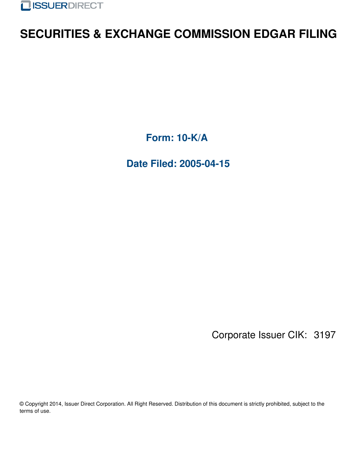

# **SECURITIES & EXCHANGE COMMISSION EDGAR FILING**

**Form: 10-K/A**

**Date Filed: 2005-04-15**

Corporate Issuer CIK: 3197

© Copyright 2014, Issuer Direct Corporation. All Right Reserved. Distribution of this document is strictly prohibited, subject to the terms of use.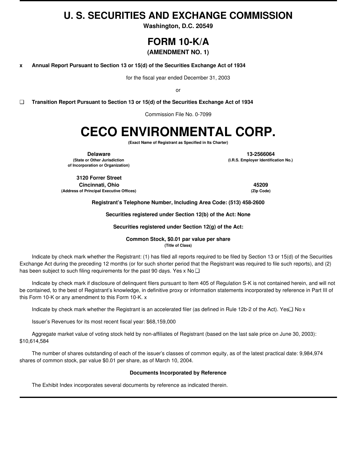# <span id="page-1-0"></span>**U. S. SECURITIES AND EXCHANGE COMMISSION**

**Washington, D.C. 20549**

# **FORM 10-K/A**

# **(AMENDMENT NO. 1)**

**x Annual Report Pursuant to Section 13 or 15(d) of the Securities Exchange Act of 1934**

for the fiscal year ended December 31, 2003

or

**❑ Transition Report Pursuant to Section 13 or 15(d) of the Securities Exchange Act of 1934**

Commission File No. 0-7099

# **CECO ENVIRONMENTAL CORP.**

**(Exact Name of Registrant as Specified in Its Charter)**

**Delaware 13-2566064**<br>**13-2566064**<br>**Catage of Other Jurisdiction 13-2566064**<br>**CALC CONSTRESS (I.R.S. Employer Identific**) **of Incorporation or Organization)**

**(State or Other Jurisdiction (I.R.S. Employer Identification No.)**

**3120 Forrer Street Cincinnati, Ohio 45209 (Address of Principal Executive Offices) (Zip Code)**

**Registrant's Telephone Number, Including Area Code: (513) 458-2600**

**Securities registered under Section 12(b) of the Act: None**

**Securities registered under Section 12(g) of the Act:**

**Common Stock, \$0.01 par value per share (Title of Class)**

Indicate by check mark whether the Registrant: (1) has filed all reports required to be filed by Section 13 or 15(d) of the Securities Exchange Act during the preceding 12 months (or for such shorter period that the Registrant was required to file such reports), and (2) has been subject to such filing requirements for the past 90 days. Yes x No □

Indicate by check mark if disclosure of delinquent filers pursuant to Item 405 of Regulation S-K is not contained herein, and will not be contained, to the best of Registrant's knowledge, in definitive proxy or information statements incorporated by reference in Part III of this Form 10-K or any amendment to this Form 10-K. x

Indicate by check mark whether the Registrant is an accelerated filer (as defined in Rule 12b-2 of the Act). Yes❑ No x

Issuer's Revenues for its most recent fiscal year: \$68,159,000

Aggregate market value of voting stock held by non-affiliates of Registrant (based on the last sale price on June 30, 2003): \$10,614,584

The number of shares outstanding of each of the issuer's classes of common equity, as of the latest practical date: 9,984,974 shares of common stock, par value \$0.01 per share, as of March 10, 2004.

# **Documents Incorporated by Reference**

The Exhibit Index incorporates several documents by reference as indicated therein.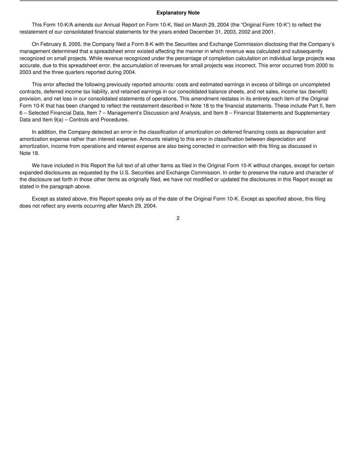#### **Explanatory Note**

This Form 10-K/A amends our Annual Report on Form 10-K, filed on March 29, 2004 (the "Original Form 10-K") to reflect the restatement of our consolidated financial statements for the years ended December 31, 2003, 2002 and 2001.

On February 8, 2005, the Company filed a Form 8-K with the Securities and Exchange Commission disclosing that the Company's management determined that a spreadsheet error existed affecting the manner in which revenue was calculated and subsequently recognized on small projects. While revenue recognized under the percentage of completion calculation on individual large projects was accurate, due to this spreadsheet error, the accumulation of revenues for small projects was incorrect. This error occurred from 2000 to 2003 and the three quarters reported during 2004.

This error affected the following previously reported amounts: costs and estimated earnings in excess of billings on uncompleted contracts, deferred income tax liability, and retained earnings in our consolidated balance sheets, and net sales, income tax (benefit) provision, and net loss in our consolidated statements of operations. This amendment restates in its entirety each item of the Original Form 10-K that has been changed to reflect the restatement described in Note 18 to the financial statements. These include Part II, Item 6 – Selected Financial Data, Item 7 – Management's Discussion and Analysis, and Item 8 – Financial Statements and Supplementary Data and Item 9(a) – Controls and Procedures.

In addition, the Company detected an error in the classification of amortization on deferred financing costs as depreciation and amortization expense rather than interest expense. Amounts relating to this error in classification between depreciation and amortization, income from operations and interest expense are also being corrected in connection with this filing as discussed in Note 18.

We have included in this Report the full text of all other Items as filed in the Original Form 10-K without changes, except for certain expanded disclosures as requested by the U.S. Securities and Exchange Commission. In order to preserve the nature and character of the disclosure set forth in those other items as originally filed, we have not modified or updated the disclosures in this Report except as stated in the paragraph above.

Except as stated above, this Report speaks only as of the date of the Original Form 10-K. Except as specified above, this filing does not reflect any events occurring after March 29, 2004.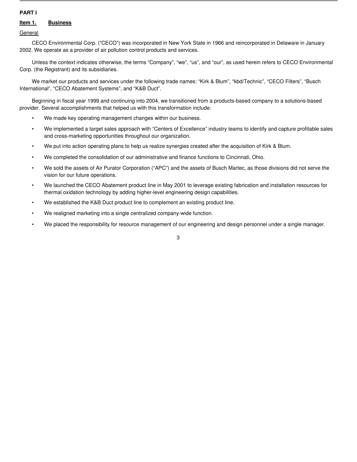# **PART I**

# **Item 1. Business**

**General** 

CECO Environmental Corp. ("CECO") was incorporated in New York State in 1966 and reincorporated in Delaware in January 2002. We operate as a provider of air pollution control products and services.

Unless the context indicates otherwise, the terms "Company", "we", "us", and "our", as used herein refers to CECO Environmental Corp. (the Registrant) and its subsidiaries.

We market our products and services under the following trade names: "Kirk & Blum", "kbd/Technic", "CECO Filters", "Busch International", "CECO Abatement Systems", and "K&B Duct".

Beginning in fiscal year 1999 and continuing into 2004, we transitioned from a products-based company to a solutions-based provider. Several accomplishments that helped us with this transformation include:

- We made key operating management changes within our business.
- We implemented a target sales approach with "Centers of Excellence" industry teams to identify and capture profitable sales and cross-marketing opportunities throughout our organization.
- We put into action operating plans to help us realize synergies created after the acquisition of Kirk & Blum.
- We completed the consolidation of our administrative and finance functions to Cincinnati, Ohio.
- We sold the assets of Air Purator Corporation ("APC") and the assets of Busch Martec, as those divisions did not serve the vision for our future operations.
- We launched the CECO Abatement product line in May 2001 to leverage existing fabrication and installation resources for thermal oxidation technology by adding higher-level engineering design capabilities.
- We established the K&B Duct product line to complement an existing product line.
- We realigned marketing into a single centralized company-wide function.
- We placed the responsibility for resource management of our engineering and design personnel under a single manager.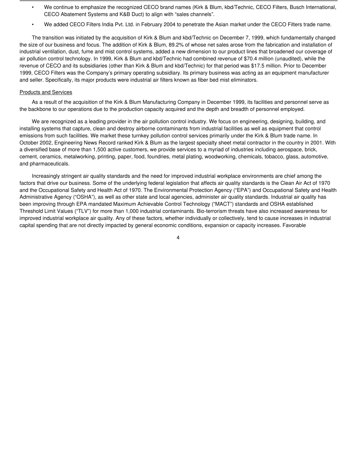- We continue to emphasize the recognized CECO brand names (Kirk & Blum, kbd/Technic, CECO Filters, Busch International, CECO Abatement Systems and K&B Duct) to align with "sales channels".
- We added CECO Filters India Pvt. Ltd. in February 2004 to penetrate the Asian market under the CECO Filters trade name.

The transition was initiated by the acquisition of Kirk & Blum and kbd/Technic on December 7, 1999, which fundamentally changed the size of our business and focus. The addition of Kirk & Blum, 89.2% of whose net sales arose from the fabrication and installation of industrial ventilation, dust, fume and mist control systems, added a new dimension to our product lines that broadened our coverage of air pollution control technology. In 1999, Kirk & Blum and kbd/Technic had combined revenue of \$70.4 million (unaudited), while the revenue of CECO and its subsidiaries (other than Kirk & Blum and kbd/Technic) for that period was \$17.5 million. Prior to December 1999, CECO Filters was the Company's primary operating subsidiary. Its primary business was acting as an equipment manufacturer and seller. Specifically, its major products were industrial air filters known as fiber bed mist eliminators.

#### Products and Services

As a result of the acquisition of the Kirk & Blum Manufacturing Company in December 1999, its facilities and personnel serve as the backbone to our operations due to the production capacity acquired and the depth and breadth of personnel employed.

We are recognized as a leading provider in the air pollution control industry. We focus on engineering, designing, building, and installing systems that capture, clean and destroy airborne contaminants from industrial facilities as well as equipment that control emissions from such facilities. We market these turnkey pollution control services primarily under the Kirk & Blum trade name. In October 2002, Engineering News Record ranked Kirk & Blum as the largest specialty sheet metal contractor in the country in 2001. With a diversified base of more than 1,500 active customers, we provide services to a myriad of industries including aerospace, brick, cement, ceramics, metalworking, printing, paper, food, foundries, metal plating, woodworking, chemicals, tobacco, glass, automotive, and pharmaceuticals.

Increasingly stringent air quality standards and the need for improved industrial workplace environments are chief among the factors that drive our business. Some of the underlying federal legislation that affects air quality standards is the Clean Air Act of 1970 and the Occupational Safety and Health Act of 1970. The Environmental Protection Agency ("EPA") and Occupational Safety and Health Administrative Agency ("OSHA"), as well as other state and local agencies, administer air quality standards. Industrial air quality has been improving through EPA mandated Maximum Achievable Control Technology ("MACT") standards and OSHA established Threshold Limit Values ("TLV") for more than 1,000 industrial contaminants. Bio-terrorism threats have also increased awareness for improved industrial workplace air quality. Any of these factors, whether individually or collectively, tend to cause increases in industrial capital spending that are not directly impacted by general economic conditions, expansion or capacity increases. Favorable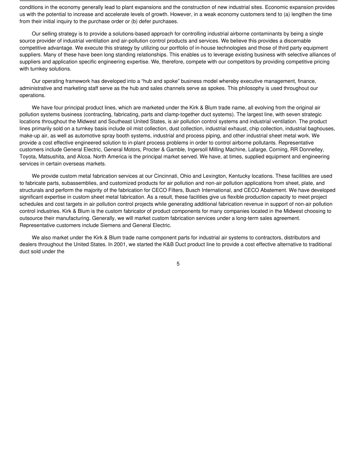conditions in the economy generally lead to plant expansions and the construction of new industrial sites. Economic expansion provides us with the potential to increase and accelerate levels of growth. However, in a weak economy customers tend to (a) lengthen the time from their initial inquiry to the purchase order or (b) defer purchases.

Our selling strategy is to provide a solutions-based approach for controlling industrial airborne contaminants by being a single source provider of industrial ventilation and air-pollution control products and services. We believe this provides a discernable competitive advantage. We execute this strategy by utilizing our portfolio of in-house technologies and those of third party equipment suppliers. Many of these have been long standing relationships. This enables us to leverage existing business with selective alliances of suppliers and application specific engineering expertise. We, therefore, compete with our competitors by providing competitive pricing with turnkey solutions.

Our operating framework has developed into a "hub and spoke" business model whereby executive management, finance, administrative and marketing staff serve as the hub and sales channels serve as spokes. This philosophy is used throughout our operations.

We have four principal product lines, which are marketed under the Kirk & Blum trade name, all evolving from the original air pollution systems business (contracting, fabricating, parts and clamp-together duct systems). The largest line, with seven strategic locations throughout the Midwest and Southeast United States, is air pollution control systems and industrial ventilation. The product lines primarily sold on a turnkey basis include oil mist collection, dust collection, industrial exhaust, chip collection, industrial baghouses, make-up air, as well as automotive spray booth systems, industrial and process piping, and other industrial sheet metal work. We provide a cost effective engineered solution to in-plant process problems in order to control airborne pollutants. Representative customers include General Electric, General Motors, Procter & Gamble, Ingersoll Milling Machine, Lafarge, Corning, RR Donnelley, Toyota, Matsushita, and Alcoa. North America is the principal market served. We have, at times, supplied equipment and engineering services in certain overseas markets.

We provide custom metal fabrication services at our Cincinnati, Ohio and Lexington, Kentucky locations. These facilities are used to fabricate parts, subassemblies, and customized products for air pollution and non-air pollution applications from sheet, plate, and structurals and perform the majority of the fabrication for CECO Filters, Busch International, and CECO Abatement. We have developed significant expertise in custom sheet metal fabrication. As a result, these facilities give us flexible production capacity to meet project schedules and cost targets in air pollution control projects while generating additional fabrication revenue in support of non-air pollution control industries. Kirk & Blum is the custom fabricator of product components for many companies located in the Midwest choosing to outsource their manufacturing. Generally, we will market custom fabrication services under a long-term sales agreement. Representative customers include Siemens and General Electric.

We also market under the Kirk & Blum trade name component parts for industrial air systems to contractors, distributors and dealers throughout the United States. In 2001, we started the K&B Duct product line to provide a cost effective alternative to traditional duct sold under the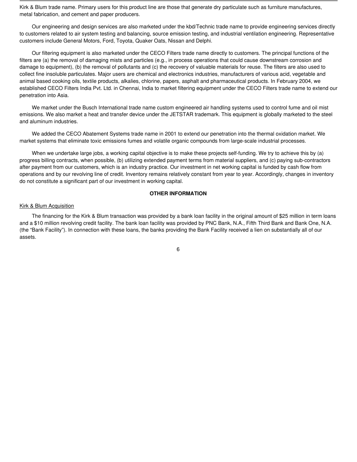Kirk & Blum trade name. Primary users for this product line are those that generate dry particulate such as furniture manufactures, metal fabrication, and cement and paper producers.

Our engineering and design services are also marketed under the kbd/Technic trade name to provide engineering services directly to customers related to air system testing and balancing, source emission testing, and industrial ventilation engineering. Representative customers include General Motors, Ford, Toyota, Quaker Oats, Nissan and Delphi.

Our filtering equipment is also marketed under the CECO Filters trade name directly to customers. The principal functions of the filters are (a) the removal of damaging mists and particles (e.g., in process operations that could cause downstream corrosion and damage to equipment), (b) the removal of pollutants and (c) the recovery of valuable materials for reuse. The filters are also used to collect fine insoluble particulates. Major users are chemical and electronics industries, manufacturers of various acid, vegetable and animal based cooking oils, textile products, alkalies, chlorine, papers, asphalt and pharmaceutical products. In February 2004, we established CECO Filters India Pvt. Ltd. in Chennai, India to market filtering equipment under the CECO Filters trade name to extend our penetration into Asia.

We market under the Busch International trade name custom engineered air handling systems used to control fume and oil mist emissions. We also market a heat and transfer device under the JETSTAR trademark. This equipment is globally marketed to the steel and aluminum industries.

We added the CECO Abatement Systems trade name in 2001 to extend our penetration into the thermal oxidation market. We market systems that eliminate toxic emissions fumes and volatile organic compounds from large-scale industrial processes.

When we undertake large jobs, a working capital objective is to make these projects self-funding. We try to achieve this by (a) progress billing contracts, when possible, (b) utilizing extended payment terms from material suppliers, and (c) paying sub-contractors after payment from our customers, which is an industry practice. Our investment in net working capital is funded by cash flow from operations and by our revolving line of credit. Inventory remains relatively constant from year to year. Accordingly, changes in inventory do not constitute a significant part of our investment in working capital.

#### **OTHER INFORMATION**

#### Kirk & Blum Acquisition

The financing for the Kirk & Blum transaction was provided by a bank loan facility in the original amount of \$25 million in term loans and a \$10 million revolving credit facility. The bank loan facility was provided by PNC Bank, N.A., Fifth Third Bank and Bank One, N.A. (the "Bank Facility"). In connection with these loans, the banks providing the Bank Facility received a lien on substantially all of our assets.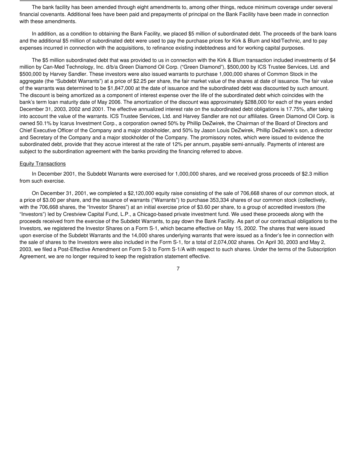The bank facility has been amended through eight amendments to, among other things, reduce minimum coverage under several financial covenants. Additional fees have been paid and prepayments of principal on the Bank Facility have been made in connection with these amendments.

In addition, as a condition to obtaining the Bank Facility, we placed \$5 million of subordinated debt. The proceeds of the bank loans and the additional \$5 million of subordinated debt were used to pay the purchase prices for Kirk & Blum and kbd/Technic, and to pay expenses incurred in connection with the acquisitions, to refinance existing indebtedness and for working capital purposes.

The \$5 million subordinated debt that was provided to us in connection with the Kirk & Blum transaction included investments of \$4 million by Can-Med Technology, Inc. d/b/a Green Diamond Oil Corp. ("Green Diamond"), \$500,000 by ICS Trustee Services, Ltd. and \$500,000 by Harvey Sandler. These investors were also issued warrants to purchase 1,000,000 shares of Common Stock in the aggregate (the "Subdebt Warrants") at a price of \$2.25 per share, the fair market value of the shares at date of issuance. The fair value of the warrants was determined to be \$1,847,000 at the date of issuance and the subordinated debt was discounted by such amount. The discount is being amortized as a component of interest expense over the life of the subordinated debt which coincides with the bank's term loan maturity date of May 2006. The amortization of the discount was approximately \$288,000 for each of the years ended December 31, 2003, 2002 and 2001. The effective annualized interest rate on the subordinated debt obligations is 17.75%, after taking into account the value of the warrants. ICS Trustee Services, Ltd. and Harvey Sandler are not our affiliates. Green Diamond Oil Corp. is owned 50.1% by Icarus Investment Corp., a corporation owned 50% by Phillip DeZwirek, the Chairman of the Board of Directors and Chief Executive Officer of the Company and a major stockholder, and 50% by Jason Louis DeZwirek, Phillip DeZwirek's son, a director and Secretary of the Company and a major stockholder of the Company. The promissory notes, which were issued to evidence the subordinated debt, provide that they accrue interest at the rate of 12% per annum, payable semi-annually. Payments of interest are subject to the subordination agreement with the banks providing the financing referred to above.

#### Equity Transactions

In December 2001, the Subdebt Warrants were exercised for 1,000,000 shares, and we received gross proceeds of \$2.3 million from such exercise.

On December 31, 2001, we completed a \$2,120,000 equity raise consisting of the sale of 706,668 shares of our common stock, at a price of \$3.00 per share, and the issuance of warrants ("Warrants") to purchase 353,334 shares of our common stock (collectively, with the 706,668 shares, the "Investor Shares") at an initial exercise price of \$3.60 per share, to a group of accredited investors (the "Investors") led by Crestview Capital Fund, L.P., a Chicago-based private investment fund. We used these proceeds along with the proceeds received from the exercise of the Subdebt Warrants, to pay down the Bank Facility. As part of our contractual obligations to the Investors, we registered the Investor Shares on a Form S-1, which became effective on May 15, 2002. The shares that were issued upon exercise of the Subdebt Warrants and the 14,000 shares underlying warrants that were issued as a finder's fee in connection with the sale of shares to the Investors were also included in the Form S-1, for a total of 2,074,002 shares. On April 30, 2003 and May 2, 2003, we filed a Post-Effective Amendment on Form S-3 to Form S-1/A with respect to such shares. Under the terms of the Subscription Agreement, we are no longer required to keep the registration statement effective.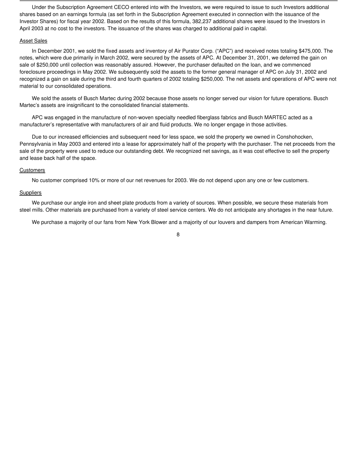Under the Subscription Agreement CECO entered into with the Investors, we were required to issue to such Investors additional shares based on an earnings formula (as set forth in the Subscription Agreement executed in connection with the issuance of the Investor Shares) for fiscal year 2002. Based on the results of this formula, 382,237 additional shares were issued to the Investors in April 2003 at no cost to the investors. The issuance of the shares was charged to additional paid in capital.

#### Asset Sales

In December 2001, we sold the fixed assets and inventory of Air Purator Corp. ("APC") and received notes totaling \$475,000. The notes, which were due primarily in March 2002, were secured by the assets of APC. At December 31, 2001, we deferred the gain on sale of \$250,000 until collection was reasonably assured. However, the purchaser defaulted on the loan, and we commenced foreclosure proceedings in May 2002. We subsequently sold the assets to the former general manager of APC on July 31, 2002 and recognized a gain on sale during the third and fourth quarters of 2002 totaling \$250,000. The net assets and operations of APC were not material to our consolidated operations.

We sold the assets of Busch Martec during 2002 because those assets no longer served our vision for future operations. Busch Martec's assets are insignificant to the consolidated financial statements.

APC was engaged in the manufacture of non-woven specialty needled fiberglass fabrics and Busch MARTEC acted as a manufacturer's representative with manufacturers of air and fluid products. We no longer engage in those activities.

Due to our increased efficiencies and subsequent need for less space, we sold the property we owned in Conshohocken, Pennsylvania in May 2003 and entered into a lease for approximately half of the property with the purchaser. The net proceeds from the sale of the property were used to reduce our outstanding debt. We recognized net savings, as it was cost effective to sell the property and lease back half of the space.

#### **Customers**

No customer comprised 10% or more of our net revenues for 2003. We do not depend upon any one or few customers.

#### **Suppliers**

We purchase our angle iron and sheet plate products from a variety of sources. When possible, we secure these materials from steel mills. Other materials are purchased from a variety of steel service centers. We do not anticipate any shortages in the near future.

We purchase a majority of our fans from New York Blower and a majority of our louvers and dampers from American Warming.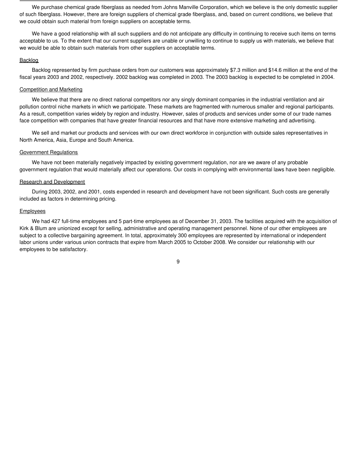We purchase chemical grade fiberglass as needed from Johns Manville Corporation, which we believe is the only domestic supplier of such fiberglass. However, there are foreign suppliers of chemical grade fiberglass, and, based on current conditions, we believe that we could obtain such material from foreign suppliers on acceptable terms.

We have a good relationship with all such suppliers and do not anticipate any difficulty in continuing to receive such items on terms acceptable to us. To the extent that our current suppliers are unable or unwilling to continue to supply us with materials, we believe that we would be able to obtain such materials from other suppliers on acceptable terms.

### **Backlog**

Backlog represented by firm purchase orders from our customers was approximately \$7.3 million and \$14.6 million at the end of the fiscal years 2003 and 2002, respectively. 2002 backlog was completed in 2003. The 2003 backlog is expected to be completed in 2004.

# Competition and Marketing

We believe that there are no direct national competitors nor any singly dominant companies in the industrial ventilation and air pollution control niche markets in which we participate. These markets are fragmented with numerous smaller and regional participants. As a result, competition varies widely by region and industry. However, sales of products and services under some of our trade names face competition with companies that have greater financial resources and that have more extensive marketing and advertising.

We sell and market our products and services with our own direct workforce in conjunction with outside sales representatives in North America, Asia, Europe and South America.

# Government Regulations

We have not been materially negatively impacted by existing government regulation, nor are we aware of any probable government regulation that would materially affect our operations. Our costs in complying with environmental laws have been negligible.

# Research and Development

During 2003, 2002, and 2001, costs expended in research and development have not been significant. Such costs are generally included as factors in determining pricing.

# **Employees**

We had 427 full-time employees and 5 part-time employees as of December 31, 2003. The facilities acquired with the acquisition of Kirk & Blum are unionized except for selling, administrative and operating management personnel. None of our other employees are subject to a collective bargaining agreement. In total, approximately 300 employees are represented by international or independent labor unions under various union contracts that expire from March 2005 to October 2008. We consider our relationship with our employees to be satisfactory.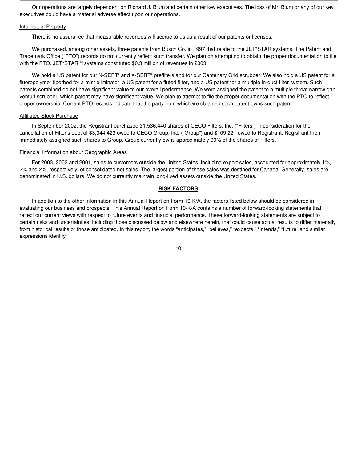Our operations are largely dependent on Richard J. Blum and certain other key executives. The loss of Mr. Blum or any of our key executives could have a material adverse effect upon our operations.

#### Intellectual Property

There is no assurance that measurable revenues will accrue to us as a result of our patents or licenses.

We purchased, among other assets, three patents from Busch Co. in 1997 that relate to the JET\*STAR systems. The Patent and Trademark Office ("PTO") records do not currently reflect such transfer. We plan on attempting to obtain the proper documentation to file with the PTO. JET\*STAR™ systems constituted \$0.3 million of revenues in 2003.

We hold a US patent for our N-SERT<sup>R</sup> and X-SERT<sup>R</sup> prefilters and for our Cantenary Grid scrubber. We also hold a US patent for a fluoropolymer fiberbed for a mist eliminator, a US patent for a fluted filter, and a US patent for a multiple in-duct filter system. Such patents combined do not have significant value to our overall performance. We were assigned the patent to a multiple throat narrow gap venturi scrubber, which patent may have significant value. We plan to attempt to file the proper documentation with the PTO to reflect proper ownership. Current PTO records indicate that the party from which we obtained such patent owns such patent.

#### Affiliated Stock Purchase

In September 2002, the Registrant purchased 31,536,440 shares of CECO Filters, Inc. ("Filters") in consideration for the cancellation of Filter's debt of \$3,044,423 owed to CECO Group, Inc. ("Group") and \$109,221 owed to Registrant. Registrant then immediately assigned such shares to Group. Group currently owns approximately 99% of the shares of Filters.

#### Financial Information about Geographic Areas

For 2003, 2002 and 2001, sales to customers outside the United States, including export sales, accounted for approximately 1%, 2% and 2%, respectively, of consolidated net sales. The largest portion of these sales was destined for Canada. Generally, sales are denominated in U.S. dollars. We do not currently maintain long-lived assets outside the United States.

# **RISK FACTORS**

In addition to the other information in this Annual Report on Form 10-K/A, the factors listed below should be considered in evaluating our business and prospects. This Annual Report on Form 10-K/A contains a number of forward-looking statements that reflect our current views with respect to future events and financial performance. These forward-looking statements are subject to certain risks and uncertainties, including those discussed below and elsewhere herein, that could cause actual results to differ materially from historical results or those anticipated. In this report, the words "anticipates," "believes," "expects," "intends," "future" and similar expressions identify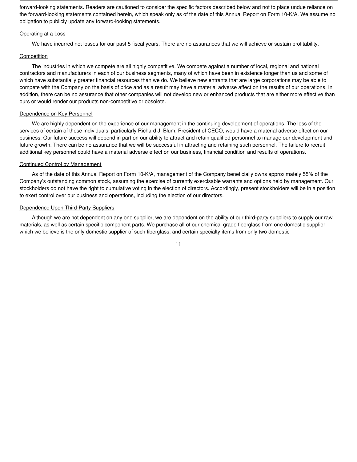forward-looking statements. Readers are cautioned to consider the specific factors described below and not to place undue reliance on the forward-looking statements contained herein, which speak only as of the date of this Annual Report on Form 10-K/A. We assume no obligation to publicly update any forward-looking statements.

### Operating at a Loss

We have incurred net losses for our past 5 fiscal years. There are no assurances that we will achieve or sustain profitability.

# **Competition**

The industries in which we compete are all highly competitive. We compete against a number of local, regional and national contractors and manufacturers in each of our business segments, many of which have been in existence longer than us and some of which have substantially greater financial resources than we do. We believe new entrants that are large corporations may be able to compete with the Company on the basis of price and as a result may have a material adverse affect on the results of our operations. In addition, there can be no assurance that other companies will not develop new or enhanced products that are either more effective than ours or would render our products non-competitive or obsolete.

#### Dependence on Key Personnel

We are highly dependent on the experience of our management in the continuing development of operations. The loss of the services of certain of these individuals, particularly Richard J. Blum, President of CECO, would have a material adverse effect on our business. Our future success will depend in part on our ability to attract and retain qualified personnel to manage our development and future growth. There can be no assurance that we will be successful in attracting and retaining such personnel. The failure to recruit additional key personnel could have a material adverse effect on our business, financial condition and results of operations.

#### Continued Control by Management

As of the date of this Annual Report on Form 10-K/A, management of the Company beneficially owns approximately 55% of the Company's outstanding common stock, assuming the exercise of currently exercisable warrants and options held by management. Our stockholders do not have the right to cumulative voting in the election of directors. Accordingly, present stockholders will be in a position to exert control over our business and operations, including the election of our directors.

#### Dependence Upon Third-Party Suppliers

Although we are not dependent on any one supplier, we are dependent on the ability of our third-party suppliers to supply our raw materials, as well as certain specific component parts. We purchase all of our chemical grade fiberglass from one domestic supplier, which we believe is the only domestic supplier of such fiberglass, and certain specialty items from only two domestic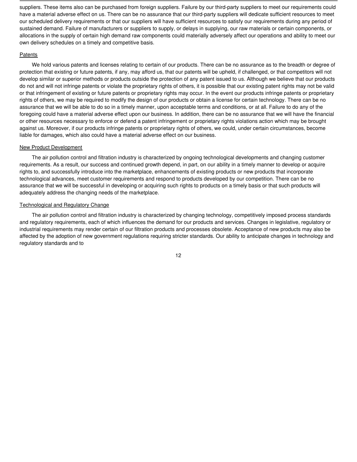suppliers. These items also can be purchased from foreign suppliers. Failure by our third-party suppliers to meet our requirements could have a material adverse effect on us. There can be no assurance that our third-party suppliers will dedicate sufficient resources to meet our scheduled delivery requirements or that our suppliers will have sufficient resources to satisfy our requirements during any period of sustained demand. Failure of manufacturers or suppliers to supply, or delays in supplying, our raw materials or certain components, or allocations in the supply of certain high demand raw components could materially adversely affect our operations and ability to meet our own delivery schedules on a timely and competitive basis.

# **Patents**

We hold various patents and licenses relating to certain of our products. There can be no assurance as to the breadth or degree of protection that existing or future patents, if any, may afford us, that our patents will be upheld, if challenged, or that competitors will not develop similar or superior methods or products outside the protection of any patent issued to us. Although we believe that our products do not and will not infringe patents or violate the proprietary rights of others, it is possible that our existing patent rights may not be valid or that infringement of existing or future patents or proprietary rights may occur. In the event our products infringe patents or proprietary rights of others, we may be required to modify the design of our products or obtain a license for certain technology. There can be no assurance that we will be able to do so in a timely manner, upon acceptable terms and conditions, or at all. Failure to do any of the foregoing could have a material adverse effect upon our business. In addition, there can be no assurance that we will have the financial or other resources necessary to enforce or defend a patent infringement or proprietary rights violations action which may be brought against us. Moreover, if our products infringe patents or proprietary rights of others, we could, under certain circumstances, become liable for damages, which also could have a material adverse effect on our business.

#### New Product Development

The air pollution control and filtration industry is characterized by ongoing technological developments and changing customer requirements. As a result, our success and continued growth depend, in part, on our ability in a timely manner to develop or acquire rights to, and successfully introduce into the marketplace, enhancements of existing products or new products that incorporate technological advances, meet customer requirements and respond to products developed by our competition. There can be no assurance that we will be successful in developing or acquiring such rights to products on a timely basis or that such products will adequately address the changing needs of the marketplace.

# Technological and Regulatory Change

The air pollution control and filtration industry is characterized by changing technology, competitively imposed process standards and regulatory requirements, each of which influences the demand for our products and services. Changes in legislative, regulatory or industrial requirements may render certain of our filtration products and processes obsolete. Acceptance of new products may also be affected by the adoption of new government regulations requiring stricter standards. Our ability to anticipate changes in technology and regulatory standards and to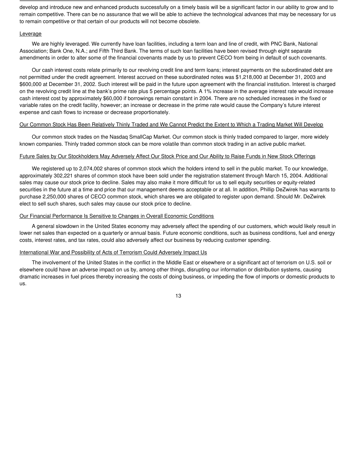develop and introduce new and enhanced products successfully on a timely basis will be a significant factor in our ability to grow and to remain competitive. There can be no assurance that we will be able to achieve the technological advances that may be necessary for us to remain competitive or that certain of our products will not become obsolete.

# **Leverage**

We are highly leveraged. We currently have loan facilities, including a term loan and line of credit, with PNC Bank, National Association; Bank One, N.A.; and Fifth Third Bank. The terms of such loan facilities have been revised through eight separate amendments in order to alter some of the financial covenants made by us to prevent CECO from being in default of such covenants.

Our cash interest costs relate primarily to our revolving credit line and term loans; interest payments on the subordinated debt are not permitted under the credit agreement. Interest accrued on these subordinated notes was \$1,218,000 at December 31, 2003 and \$600,000 at December 31, 2002. Such interest will be paid in the future upon agreement with the financial institution. Interest is charged on the revolving credit line at the bank's prime rate plus 5 percentage points. A 1% increase in the average interest rate would increase cash interest cost by approximately \$60,000 if borrowings remain constant in 2004. There are no scheduled increases in the fixed or variable rates on the credit facility, however; an increase or decrease in the prime rate would cause the Company's future interest expense and cash flows to increase or decrease proportionately.

# Our Common Stock Has Been Relatively Thinly Traded and We Cannot Predict the Extent to Which a Trading Market Will Develop

Our common stock trades on the Nasdaq SmallCap Market. Our common stock is thinly traded compared to larger, more widely known companies. Thinly traded common stock can be more volatile than common stock trading in an active public market.

# Future Sales by Our Stockholders May Adversely Affect Our Stock Price and Our Ability to Raise Funds in New Stock Offerings

We registered up to 2,074,002 shares of common stock which the holders intend to sell in the public market. To our knowledge, approximately 302,221 shares of common stock have been sold under the registration statement through March 15, 2004. Additional sales may cause our stock price to decline. Sales may also make it more difficult for us to sell equity securities or equity-related securities in the future at a time and price that our management deems acceptable or at all. In addition, Phillip DeZwirek has warrants to purchase 2,250,000 shares of CECO common stock, which shares we are obligated to register upon demand. Should Mr. DeZwirek elect to sell such shares, such sales may cause our stock price to decline.

# Our Financial Performance Is Sensitive to Changes in Overall Economic Conditions

A general slowdown in the United States economy may adversely affect the spending of our customers, which would likely result in lower net sales than expected on a quarterly or annual basis. Future economic conditions, such as business conditions, fuel and energy costs, interest rates, and tax rates, could also adversely affect our business by reducing customer spending.

# International War and Possibility of Acts of Terrorism Could Adversely Impact Us

The involvement of the United States in the conflict in the Middle East or elsewhere or a significant act of terrorism on U.S. soil or elsewhere could have an adverse impact on us by, among other things, disrupting our information or distribution systems, causing dramatic increases in fuel prices thereby increasing the costs of doing business, or impeding the flow of imports or domestic products to us.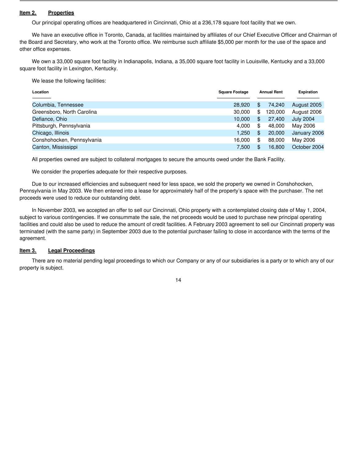# **Item 2. Properties**

Our principal operating offices are headquartered in Cincinnati, Ohio at a 236,178 square foot facility that we own.

We have an executive office in Toronto, Canada, at facilities maintained by affiliates of our Chief Executive Officer and Chairman of the Board and Secretary, who work at the Toronto office. We reimburse such affiliate \$5,000 per month for the use of the space and other office expenses.

We own a 33,000 square foot facility in Indianapolis, Indiana, a 35,000 square foot facility in Louisville, Kentucky and a 33,000 square foot facility in Lexington, Kentucky.

We lease the following facilities:

| Location                   | <b>Square Footage</b> | <b>Annual Rent</b> |         | <b>Expiration</b> |  |
|----------------------------|-----------------------|--------------------|---------|-------------------|--|
|                            |                       |                    |         |                   |  |
| Columbia, Tennessee        | 28,920                | \$                 | 74.240  | August 2005       |  |
| Greensboro, North Carolina | 30,000                | \$                 | 120,000 | August 2006       |  |
| Defiance, Ohio             | 10,000                | \$                 | 27,400  | <b>July 2004</b>  |  |
| Pittsburgh, Pennsylvania   | 4,000                 | \$                 | 48.000  | May 2006          |  |
| Chicago, Illinois          | 1,250                 | \$                 | 20,000  | January 2006      |  |
| Conshohocken, Pennsylvania | 16.000                | \$                 | 88,000  | May 2006          |  |
| Canton, Mississippi        | 7,500                 | \$                 | 16,800  | October 2004      |  |

All properties owned are subject to collateral mortgages to secure the amounts owed under the Bank Facility.

We consider the properties adequate for their respective purposes.

Due to our increased efficiencies and subsequent need for less space, we sold the property we owned in Conshohocken, Pennsylvania in May 2003. We then entered into a lease for approximately half of the property's space with the purchaser. The net proceeds were used to reduce our outstanding debt.

In November 2003, we accepted an offer to sell our Cincinnati, Ohio property with a contemplated closing date of May 1, 2004, subject to various contingencies. If we consummate the sale, the net proceeds would be used to purchase new principal operating facilities and could also be used to reduce the amount of credit facilities. A February 2003 agreement to sell our Cincinnati property was terminated (with the same party) in September 2003 due to the potential purchaser failing to close in accordance with the terms of the agreement.

# **Item 3. Legal Proceedings**

There are no material pending legal proceedings to which our Company or any of our subsidiaries is a party or to which any of our property is subject.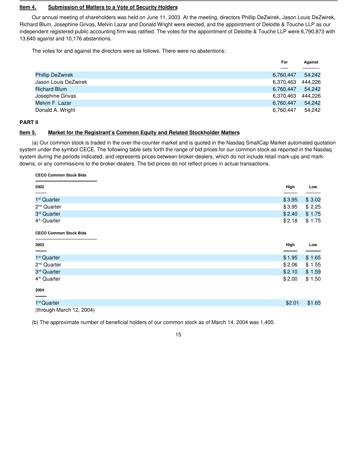# **Item 4. Submission of Matters to a Vote of Security Holders**

Our annual meeting of shareholders was held on June 11, 2003. At the meeting, directors Phillip DeZwirek, Jason Louis DeZwirek, Richard Blum, Josephine Grivas, Melvin Lazar and Donald Wright were elected, and the appointment of Deloitte & Touche LLP as our independent registered public accounting firm was ratified. The votes for the appointment of Deloitte & Touche LLP were 6,790,873 with 13,640 against and 10,176 abstentions.

The votes for and against the directors were as follows. There were no abstentions:

|                         | For       | Against |
|-------------------------|-----------|---------|
|                         |           |         |
| <b>Phillip DeZwirek</b> | 6,760,447 | 54.242  |
| Jason Louis DeZwirek    | 6,370,463 | 444,226 |
| <b>Richard Blum</b>     | 6,760,447 | 54,242  |
| Josephine Grivas        | 6,370,463 | 444,226 |
| Melvin F. Lazar         | 6,760,447 | 54,242  |
| Donald A. Wright        | 6.760.447 | 54.242  |

# **PART II**

# **Item 5. Market for the Registrant's Common Equity and Related Stockholder Matters**

(a) Our common stock is traded in the over-the-counter market and is quoted in the Nasdaq SmallCap Market automated quotation system under the symbol CECE. The following table sets forth the range of bid prices for our common stock as reported in the Nasdaq system during the periods indicated, and represents prices between broker-dealers, which do not include retail mark-ups and markdowns, or any commissions to the broker-dealers. The bid prices do not reflect prices in actual transactions.

| <b>CECO Common Stock Bids</b> |        |
|-------------------------------|--------|
| 2002                          | High   |
| 1 <sup>st</sup> Quarter       | \$3.95 |
| 2 <sup>nd</sup> Quarter       | \$3.95 |
| 3 <sup>rd</sup> Quarter       | \$2.40 |
| 4 <sup>th</sup> Quarter       | \$2.18 |
| <b>CECO Common Stock Bids</b> |        |
| 2003                          | High   |
| 1 <sup>st</sup> Quarter       | \$1.95 |
| 2 <sup>nd</sup> Quarter       | \$2.06 |
| 3 <sup>rd</sup> Quarter       | \$2.10 |
| 4 <sup>th</sup> Quarter       | \$2.00 |
| 2004                          |        |
| 1 <sup>st</sup> Quarter       | \$2.01 |
| (through March 12, 2004)      |        |

(b) The approximate number of beneficial holders of our common stock as of March 14, 2004 was 1,400.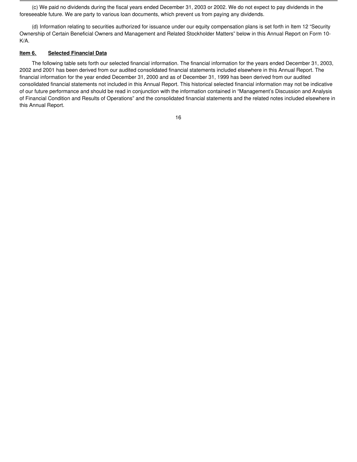(c) We paid no dividends during the fiscal years ended December 31, 2003 or 2002. We do not expect to pay dividends in the foreseeable future. We are party to various loan documents, which prevent us from paying any dividends.

(d) Information relating to securities authorized for issuance under our equity compensation plans is set forth in Item 12 "Security Ownership of Certain Beneficial Owners and Management and Related Stockholder Matters" below in this Annual Report on Form 10- K/A.

# **Item 6. Selected Financial Data**

The following table sets forth our selected financial information. The financial information for the years ended December 31, 2003, 2002 and 2001 has been derived from our audited consolidated financial statements included elsewhere in this Annual Report. The financial information for the year ended December 31, 2000 and as of December 31, 1999 has been derived from our audited consolidated financial statements not included in this Annual Report. This historical selected financial information may not be indicative of our future performance and should be read in conjunction with the information contained in "Management's Discussion and Analysis of Financial Condition and Results of Operations" and the consolidated financial statements and the related notes included elsewhere in this Annual Report.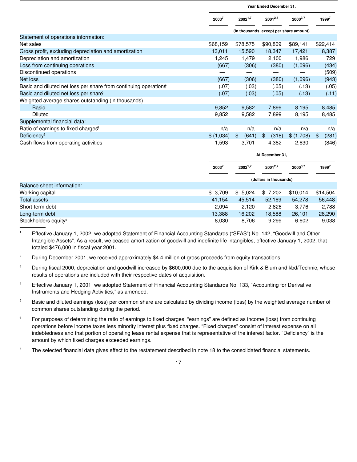|                                                                 | Year Ended December 31, |                         |                                         |              |              |  |
|-----------------------------------------------------------------|-------------------------|-------------------------|-----------------------------------------|--------------|--------------|--|
|                                                                 | $2003^7$                | $2002^{1,7}$            | $2001^{2,7}$                            | $2000^{3,7}$ | $1999^{7}$   |  |
|                                                                 |                         |                         | (in thousands, except per share amount) |              |              |  |
| Statement of operations information:                            |                         |                         |                                         |              |              |  |
| Net sales                                                       | \$68,159                | \$78,575                | \$90,809                                | \$89,141     | \$22,414     |  |
| Gross profit, excluding depreciation and amortization           | 13,011                  | 15,590                  | 18,347                                  | 17,421       | 8,387        |  |
| Depreciation and amortization                                   | 1,245                   | 1,479                   | 2,100                                   | 1,986        | 729          |  |
| Loss from continuing operations                                 | (667)                   | (306)                   | (380)                                   | (1,096)      | (434)        |  |
| Discontinued operations                                         |                         |                         |                                         |              | (509)        |  |
| Net loss                                                        | (667)                   | (306)                   | (380)                                   | (1,096)      | (943)        |  |
| Basic and diluted net loss per share from continuing operations | (.07)                   | (.03)                   | (.05)                                   | (.13)        | (.05)        |  |
| Basic and diluted net loss per share                            | (.07)                   | (.03)                   | (.05)                                   | (.13)        | (.11)        |  |
| Weighted average shares outstanding (in thousands)              |                         |                         |                                         |              |              |  |
| <b>Basic</b>                                                    | 9,852                   | 9,582                   | 7,899                                   | 8,195        | 8,485        |  |
| <b>Diluted</b>                                                  | 9,852                   | 9,582                   | 7,899                                   | 8,195        | 8,485        |  |
| Supplemental financial data:                                    |                         |                         |                                         |              |              |  |
| Ratio of earnings to fixed charges <sup>6</sup>                 | n/a                     | n/a                     | n/a                                     | n/a          | n/a          |  |
| Deficiency <sup>6</sup>                                         | \$ (1,034)              | $\mathfrak{L}$<br>(641) | $\mathfrak{F}$<br>(318)                 | \$(1,708)    | (281)<br>\$. |  |
| Cash flows from operating activities                            | 1,593                   | 3,701                   | 4,382                                   | 2,630        | (846)        |  |

|                                  |          | At December 31.        |              |              |            |  |  |
|----------------------------------|----------|------------------------|--------------|--------------|------------|--|--|
|                                  | $2003^7$ | $2002^{1,7}$           | $2001^{2,7}$ | $2000^{3,7}$ | $1999^{7}$ |  |  |
|                                  |          | (dollars in thousands) |              |              |            |  |  |
| Balance sheet information:       |          |                        |              |              |            |  |  |
| Working capital                  | \$3,709  | \$5,024                | \$7,202      | \$10,014     | \$14,504   |  |  |
| <b>Total assets</b>              | 41,154   | 45,514                 | 52,169       | 54,278       | 56,448     |  |  |
| Short-term debt                  | 2,094    | 2,120                  | 2,826        | 3,776        | 2,788      |  |  |
| Long-term debt                   | 13,388   | 16,202                 | 18,588       | 26,101       | 28,290     |  |  |
| Stockholders equity <sup>4</sup> | 8,030    | 8,706                  | 9,299        | 6,602        | 9,038      |  |  |

<sup>1</sup> Effective January 1, 2002, we adopted Statement of Financial Accounting Standards ("SFAS") No. 142, "Goodwill and Other Intangible Assets". As a result, we ceased amortization of goodwill and indefinite life intangibles, effective January 1, 2002, that totaled \$476,000 in fiscal year 2001.

<sup>2</sup> During December 2001, we received approximately \$4.4 million of gross proceeds from equity transactions.

<sup>3</sup> During fiscal 2000, depreciation and goodwill increased by \$600,000 due to the acquisition of Kirk & Blum and kbd/Technic, whose results of operations are included with their respective dates of acquisition.

<sup>4</sup> Effective January 1, 2001, we adopted Statement of Financial Accounting Standards No. 133, "Accounting for Derivative Instruments and Hedging Activities," as amended.

<sup>5</sup> Basic and diluted earnings (loss) per common share are calculated by dividing income (loss) by the weighted average number of common shares outstanding during the period.

- <sup>6</sup> For purposes of determining the ratio of earnings to fixed charges, "earnings" are defined as income (loss) from continuing operations before income taxes less minority interest plus fixed charges. "Fixed charges" consist of interest expense on all indebtedness and that portion of operating lease rental expense that is representative of the interest factor. "Deficiency" is the amount by which fixed charges exceeded earnings.
- $7$  The selected financial data gives effect to the restatement described in note 18 to the consolidated financial statements.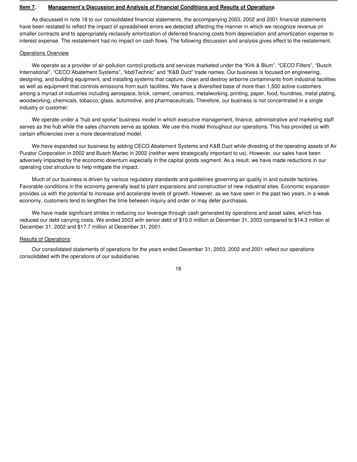# **Item 7. Management's Discussion and Analysis of Financial Conditions and Results of Operations**

As discussed in note 18 to our consolidated financial statements, the accompanying 2003, 2002 and 2001 financial statements have been restated to reflect the impact of spreadsheet errors we detected affecting the manner in which we recognize revenue on smaller contracts and to appropriately reclassify amortization of deferred financing costs from depreciation and amortization expense to interest expense. The restatement had no impact on cash flows. The following discussion and analysis gives effect to the restatement.

# Operations Overview

We operate as a provider of air-pollution control products and services marketed under the "Kirk & Blum", "CECO Filters", "Busch International", "CECO Abatement Systems", "kbd/Technic" and "K&B Duct" trade names. Our business is focused on engineering, designing, and building equipment, and installing systems that capture, clean and destroy airborne contaminants from industrial facilities as well as equipment that controls emissions from such facilities. We have a diversified base of more than 1,500 active customers among a myriad of industries including aerospace, brick, cement, ceramics, metalworking, printing, paper, food, foundries, metal plating, woodworking, chemicals, tobacco, glass, automotive, and pharmaceuticals. Therefore, our business is not concentrated in a single industry or customer.

We operate under a "hub and spoke" business model in which executive management, finance, administrative and marketing staff serves as the hub while the sales channels serve as spokes. We use this model throughout our operations. This has provided us with certain efficiencies over a more decentralized model.

We have expanded our business by adding CECO Abatement Systems and K&B Duct while divesting of the operating assets of Air Purator Corporation in 2002 and Busch Martec in 2002 (neither were strategically important to us). However, our sales have been adversely impacted by the economic downturn especially in the capital goods segment. As a result, we have made reductions in our operating cost structure to help mitigate the impact.

Much of our business is driven by various regulatory standards and guidelines governing air quality in and outside factories. Favorable conditions in the economy generally lead to plant expansions and construction of new industrial sites. Economic expansion provides us with the potential to increase and accelerate levels of growth. However, as we have seen in the past two years, in a weak economy, customers tend to lengthen the time between inquiry and order or may defer purchases.

We have made significant strides in reducing our leverage through cash generated by operations and asset sales, which has reduced our debt carrying costs. We ended 2003 with senior debt of \$10.0 million at December 31, 2003 compared to \$14.3 million at December 31, 2002 and \$17.7 million at December 31, 2001.

# Results of Operations

Our consolidated statements of operations for the years ended December 31, 2003, 2002 and 2001 reflect our operations consolidated with the operations of our subsidiaries.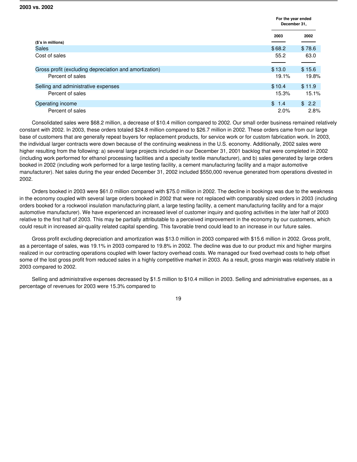|                                                        | For the year ended<br>December 31, |        |
|--------------------------------------------------------|------------------------------------|--------|
|                                                        | 2003                               | 2002   |
| (\$'s in millions)                                     |                                    |        |
| <b>Sales</b>                                           | \$68.2                             | \$78.6 |
| Cost of sales                                          | 55.2                               | 63.0   |
|                                                        |                                    |        |
| Gross profit (excluding depreciation and amortization) | \$13.0                             | \$15.6 |
| Percent of sales                                       | 19.1%                              | 19.8%  |
| Selling and administrative expenses                    | \$10.4                             | \$11.9 |
| Percent of sales                                       | 15.3%                              | 15.1%  |
| Operating income                                       | \$1.4                              | \$2.2  |
| Percent of sales                                       | 2.0%                               | 2.8%   |

Consolidated sales were \$68.2 million, a decrease of \$10.4 million compared to 2002. Our small order business remained relatively constant with 2002. In 2003, these orders totaled \$24.8 million compared to \$26.7 million in 2002. These orders came from our large base of customers that are generally repeat buyers for replacement products, for service work or for custom fabrication work. In 2003, the individual larger contracts were down because of the continuing weakness in the U.S. economy. Additionally, 2002 sales were higher resulting from the following: a) several large projects included in our December 31, 2001 backlog that were completed in 2002 (including work performed for ethanol processing facilities and a specialty textile manufacturer), and b) sales generated by large orders booked in 2002 (including work performed for a large testing facility, a cement manufacturing facility and a major automotive manufacturer). Net sales during the year ended December 31, 2002 included \$550,000 revenue generated from operations divested in 2002.

Orders booked in 2003 were \$61.0 million compared with \$75.0 million in 2002. The decline in bookings was due to the weakness in the economy coupled with several large orders booked in 2002 that were not replaced with comparably sized orders in 2003 (including orders booked for a rockwool insulation manufacturing plant, a large testing facility, a cement manufacturing facility and for a major automotive manufacturer). We have experienced an increased level of customer inquiry and quoting activities in the later half of 2003 relative to the first half of 2003. This may be partially attributable to a perceived improvement in the economy by our customers, which could result in increased air-quality related capital spending. This favorable trend could lead to an increase in our future sales.

Gross profit excluding depreciation and amortization was \$13.0 million in 2003 compared with \$15.6 million in 2002. Gross profit, as a percentage of sales, was 19.1% in 2003 compared to 19.8% in 2002. The decline was due to our product mix and higher margins realized in our contracting operations coupled with lower factory overhead costs. We managed our fixed overhead costs to help offset some of the lost gross profit from reduced sales in a highly competitive market in 2003. As a result, gross margin was relatively stable in 2003 compared to 2002.

Selling and administrative expenses decreased by \$1.5 million to \$10.4 million in 2003. Selling and administrative expenses, as a percentage of revenues for 2003 were 15.3% compared to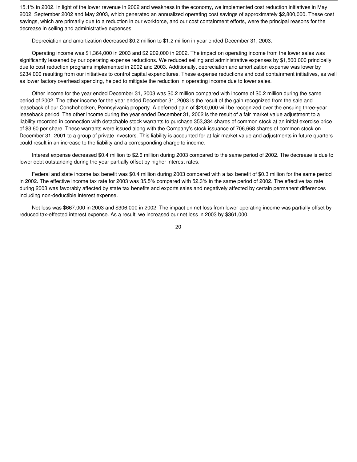15.1% in 2002. In light of the lower revenue in 2002 and weakness in the economy, we implemented cost reduction initiatives in May 2002, September 2002 and May 2003, which generated an annualized operating cost savings of approximately \$2,800,000. These cost savings, which are primarily due to a reduction in our workforce, and our cost containment efforts, were the principal reasons for the decrease in selling and administrative expenses.

Depreciation and amortization decreased \$0.2 million to \$1.2 million in year ended December 31, 2003.

Operating income was \$1,364,000 in 2003 and \$2,209,000 in 2002. The impact on operating income from the lower sales was significantly lessened by our operating expense reductions. We reduced selling and administrative expenses by \$1,500,000 principally due to cost reduction programs implemented in 2002 and 2003. Additionally, depreciation and amortization expense was lower by \$234,000 resulting from our initiatives to control capital expenditures. These expense reductions and cost containment initiatives, as well as lower factory overhead spending, helped to mitigate the reduction in operating income due to lower sales.

Other income for the year ended December 31, 2003 was \$0.2 million compared with income of \$0.2 million during the same period of 2002. The other income for the year ended December 31, 2003 is the result of the gain recognized from the sale and leaseback of our Conshohocken, Pennsylvania property. A deferred gain of \$200,000 will be recognized over the ensuing three-year leaseback period. The other income during the year ended December 31, 2002 is the result of a fair market value adjustment to a liability recorded in connection with detachable stock warrants to purchase 353,334 shares of common stock at an initial exercise price of \$3.60 per share. These warrants were issued along with the Company's stock issuance of 706,668 shares of common stock on December 31, 2001 to a group of private investors. This liability is accounted for at fair market value and adjustments in future quarters could result in an increase to the liability and a corresponding charge to income.

Interest expense decreased \$0.4 million to \$2.6 million during 2003 compared to the same period of 2002. The decrease is due to lower debt outstanding during the year partially offset by higher interest rates.

Federal and state income tax benefit was \$0.4 million during 2003 compared with a tax benefit of \$0.3 million for the same period in 2002. The effective income tax rate for 2003 was 35.5% compared with 52.3% in the same period of 2002. The effective tax rate during 2003 was favorably affected by state tax benefits and exports sales and negatively affected by certain permanent differences including non-deductible interest expense.

Net loss was \$667,000 in 2003 and \$306,000 in 2002. The impact on net loss from lower operating income was partially offset by reduced tax-effected interest expense. As a result, we increased our net loss in 2003 by \$361,000.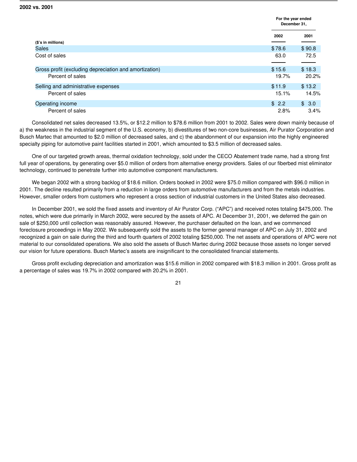|                                                        | For the year ended<br>December 31, |        |
|--------------------------------------------------------|------------------------------------|--------|
|                                                        | 2002                               | 2001   |
| (\$'s in millions)                                     |                                    |        |
| <b>Sales</b>                                           | \$78.6                             | \$90.8 |
| Cost of sales                                          | 63.0                               | 72.5   |
|                                                        |                                    |        |
| Gross profit (excluding depreciation and amortization) | \$15.6                             | \$18.3 |
| Percent of sales                                       | 19.7%                              | 20.2%  |
| Selling and administrative expenses                    | \$11.9                             | \$13.2 |
| Percent of sales                                       | 15.1%                              | 14.5%  |
| Operating income                                       | \$2.2                              | \$3.0  |
| Percent of sales                                       | 2.8%                               | 3.4%   |

Consolidated net sales decreased 13.5%, or \$12.2 million to \$78.6 million from 2001 to 2002. Sales were down mainly because of a) the weakness in the industrial segment of the U.S. economy, b) divestitures of two non-core businesses, Air Purator Corporation and Busch Martec that amounted to \$2.0 million of decreased sales, and c) the abandonment of our expansion into the highly engineered specialty piping for automotive paint facilities started in 2001, which amounted to \$3.5 million of decreased sales.

One of our targeted growth areas, thermal oxidation technology, sold under the CECO Abatement trade name, had a strong first full year of operations, by generating over \$5.0 million of orders from alternative energy providers. Sales of our fiberbed mist eliminator technology, continued to penetrate further into automotive component manufacturers.

We began 2002 with a strong backlog of \$18.6 million. Orders booked in 2002 were \$75.0 million compared with \$96.0 million in 2001. The decline resulted primarily from a reduction in large orders from automotive manufacturers and from the metals industries. However, smaller orders from customers who represent a cross section of industrial customers in the United States also decreased.

In December 2001, we sold the fixed assets and inventory of Air Purator Corp. ("APC") and received notes totaling \$475,000. The notes, which were due primarily in March 2002, were secured by the assets of APC. At December 31, 2001, we deferred the gain on sale of \$250,000 until collection was reasonably assured. However, the purchaser defaulted on the loan, and we commenced foreclosure proceedings in May 2002. We subsequently sold the assets to the former general manager of APC on July 31, 2002 and recognized a gain on sale during the third and fourth quarters of 2002 totaling \$250,000. The net assets and operations of APC were not material to our consolidated operations. We also sold the assets of Busch Martec during 2002 because those assets no longer served our vision for future operations. Busch Martec's assets are insignificant to the consolidated financial statements.

Gross profit excluding depreciation and amortization was \$15.6 million in 2002 compared with \$18.3 million in 2001. Gross profit as a percentage of sales was 19.7% in 2002 compared with 20.2% in 2001.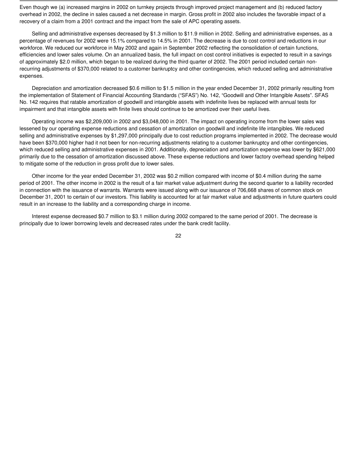Even though we (a) increased margins in 2002 on turnkey projects through improved project management and (b) reduced factory overhead in 2002, the decline in sales caused a net decrease in margin. Gross profit in 2002 also includes the favorable impact of a recovery of a claim from a 2001 contract and the impact from the sale of APC operating assets.

Selling and administrative expenses decreased by \$1.3 million to \$11.9 million in 2002. Selling and administrative expenses, as a percentage of revenues for 2002 were 15.1% compared to 14.5% in 2001. The decrease is due to cost control and reductions in our workforce. We reduced our workforce in May 2002 and again in September 2002 reflecting the consolidation of certain functions, efficiencies and lower sales volume. On an annualized basis, the full impact on cost control initiatives is expected to result in a savings of approximately \$2.0 million, which began to be realized during the third quarter of 2002. The 2001 period included certain nonrecurring adjustments of \$370,000 related to a customer bankruptcy and other contingencies, which reduced selling and administrative expenses.

Depreciation and amortization decreased \$0.6 million to \$1.5 million in the year ended December 31, 2002 primarily resulting from the implementation of Statement of Financial Accounting Standards ("SFAS") No. 142, "Goodwill and Other Intangible Assets". SFAS No. 142 requires that ratable amortization of goodwill and intangible assets with indefinite lives be replaced with annual tests for impairment and that intangible assets with finite lives should continue to be amortized over their useful lives.

Operating income was \$2,209,000 in 2002 and \$3,048,000 in 2001. The impact on operating income from the lower sales was lessened by our operating expense reductions and cessation of amortization on goodwill and indefinite life intangibles. We reduced selling and administrative expenses by \$1,297,000 principally due to cost reduction programs implemented in 2002. The decrease would have been \$370,000 higher had it not been for non-recurring adjustments relating to a customer bankruptcy and other contingencies, which reduced selling and administrative expenses in 2001. Additionally, depreciation and amortization expense was lower by \$621,000 primarily due to the cessation of amortization discussed above. These expense reductions and lower factory overhead spending helped to mitigate some of the reduction in gross profit due to lower sales.

Other income for the year ended December 31, 2002 was \$0.2 million compared with income of \$0.4 million during the same period of 2001. The other income in 2002 is the result of a fair market value adjustment during the second quarter to a liability recorded in connection with the issuance of warrants. Warrants were issued along with our issuance of 706,668 shares of common stock on December 31, 2001 to certain of our investors. This liability is accounted for at fair market value and adjustments in future quarters could result in an increase to the liability and a corresponding charge in income.

Interest expense decreased \$0.7 million to \$3.1 million during 2002 compared to the same period of 2001. The decrease is principally due to lower borrowing levels and decreased rates under the bank credit facility.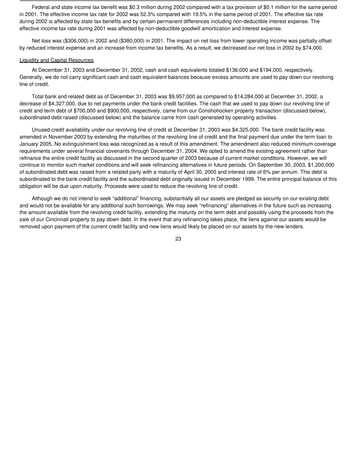Federal and state income tax benefit was \$0.3 million during 2002 compared with a tax provision of \$0.1 million for the same period in 2001. The effective income tax rate for 2002 was 52.3% compared with 19.5% in the same period of 2001. The effective tax rate during 2002 is affected by state tax benefits and by certain permanent differences including non-deductible interest expense. The effective income tax rate during 2001 was affected by non-deductible goodwill amortization and interest expense.

Net loss was (\$306,000) in 2002 and (\$380,000) in 2001. The impact on net loss from lower operating income was partially offset by reduced interest expense and an increase from income tax benefits. As a result, we decreased our net loss in 2002 by \$74,000.

#### Liquidity and Capital Resources

At December 31, 2003 and December 31, 2002, cash and cash equivalents totaled \$136,000 and \$194,000, respectively. Generally, we do not carry significant cash and cash equivalent balances because excess amounts are used to pay down our revolving line of credit.

Total bank and related debt as of December 31, 2003 was \$9,957,000 as compared to \$14,284,000 at December 31, 2002, a decrease of \$4,327,000, due to net payments under the bank credit facilities. The cash that we used to pay down our revolving line of credit and term debt of \$700,000 and \$900,000, respectively, came from our Conshohocken property transaction (discussed below), subordinated debt raised (discussed below) and the balance came from cash generated by operating activities.

Unused credit availability under our revolving line of credit at December 31, 2003 was \$4,325,000. The bank credit facility was amended in November 2003 by extending the maturities of the revolving line of credit and the final payment due under the term loan to January 2005. No extinguishment loss was recognized as a result of this amendment. The amendment also reduced minimum coverage requirements under several financial covenants through December 31, 2004. We opted to amend the existing agreement rather than refinance the entire credit facility as discussed in the second quarter of 2003 because of current market conditions. However, we will continue to monitor such market conditions and will seek refinancing alternatives in future periods. On September 30, 2003, \$1,200,000 of subordinated debt was raised from a related party with a maturity of April 30, 2005 and interest rate of 6% per annum. This debt is subordinated to the bank credit facility and the subordinated debt originally issued in December 1999. The entire principal balance of this obligation will be due upon maturity. Proceeds were used to reduce the revolving line of credit.

Although we do not intend to seek "additional" financing, substantially all our assets are pledged as security on our existing debt and would not be available for any additional such borrowings. We may seek "refinancing" alternatives in the future such as increasing the amount available from the revolving credit facility, extending the maturity on the term debt and possibly using the proceeds from the sale of our Cincinnati property to pay down debt. In the event that any refinancing takes place, the liens against our assets would be removed upon payment of the current credit facility and new liens would likely be placed on our assets by the new lenders.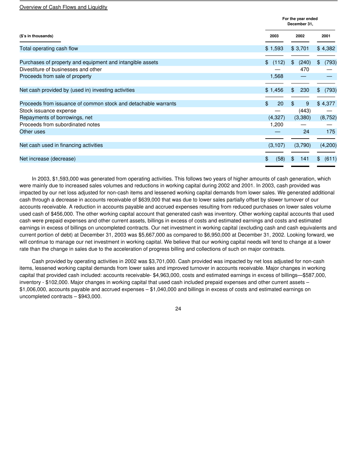#### Overview of Cash Flows and Liquidity

|                                                                |              | For the year ended<br>December 31, |              |  |
|----------------------------------------------------------------|--------------|------------------------------------|--------------|--|
| (\$'s in thousands)                                            | 2003         | 2002                               | 2001         |  |
| Total operating cash flow                                      | \$1,593      | \$3,701                            | \$4,382      |  |
| Purchases of property and equipment and intangible assets      | (112)<br>\$. | \$<br>(240)                        | (793)<br>\$. |  |
| Divestiture of businesses and other                            |              | 470                                |              |  |
| Proceeds from sale of property                                 | 1,568        |                                    |              |  |
|                                                                |              |                                    |              |  |
| Net cash provided by (used in) investing activities            | \$1,456      | 230<br>\$.                         | (793)<br>\$. |  |
|                                                                |              |                                    |              |  |
| Proceeds from issuance of common stock and detachable warrants | \$<br>20     | \$<br>9                            | \$4,377      |  |
| Stock issuance expense                                         |              | (443)                              |              |  |
| Repayments of borrowings, net                                  | (4,327)      | (3,380)                            | (8,752)      |  |
| Proceeds from subordinated notes                               | 1,200        |                                    |              |  |
| Other uses                                                     |              | 24                                 | 175          |  |
|                                                                |              |                                    |              |  |
| Net cash used in financing activities                          | (3, 107)     | (3,790)                            | (4,200)      |  |
|                                                                |              |                                    |              |  |
| Net increase (decrease)                                        | (58)<br>\$.  | \$.<br>141                         | (611)<br>\$  |  |
|                                                                |              |                                    |              |  |

In 2003, \$1,593,000 was generated from operating activities. This follows two years of higher amounts of cash generation, which were mainly due to increased sales volumes and reductions in working capital during 2002 and 2001. In 2003, cash provided was impacted by our net loss adjusted for non-cash items and lessened working capital demands from lower sales. We generated additional cash through a decrease in accounts receivable of \$639,000 that was due to lower sales partially offset by slower turnover of our accounts receivable. A reduction in accounts payable and accrued expenses resulting from reduced purchases on lower sales volume used cash of \$456,000. The other working capital account that generated cash was inventory. Other working capital accounts that used cash were prepaid expenses and other current assets, billings in excess of costs and estimated earnings and costs and estimated earnings in excess of billings on uncompleted contracts. Our net investment in working capital (excluding cash and cash equivalents and current portion of debt) at December 31, 2003 was \$5,667,000 as compared to \$6,950,000 at December 31, 2002. Looking forward, we will continue to manage our net investment in working capital. We believe that our working capital needs will tend to change at a lower rate than the change in sales due to the acceleration of progress billing and collections of such on major contracts.

Cash provided by operating activities in 2002 was \$3,701,000. Cash provided was impacted by net loss adjusted for non-cash items, lessened working capital demands from lower sales and improved turnover in accounts receivable. Major changes in working capital that provided cash included: accounts receivable- \$4,963,000, costs and estimated earnings in excess of billings—\$587,000, inventory - \$102,000. Major changes in working capital that used cash included prepaid expenses and other current assets – \$1,006,000, accounts payable and accrued expenses – \$1,040,000 and billings in excess of costs and estimated earnings on uncompleted contracts – \$943,000.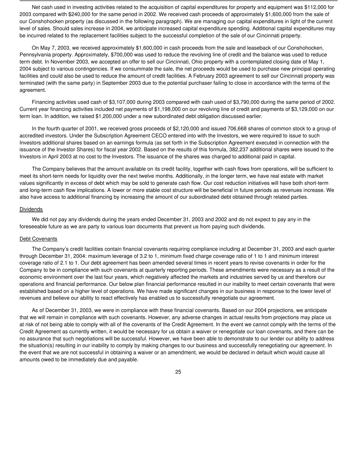Net cash used in investing activities related to the acquisition of capital expenditures for property and equipment was \$112,000 for 2003 compared with \$240,000 for the same period in 2002. We received cash proceeds of approximately \$1,600,000 from the sale of our Conshohocken property (as discussed in the following paragraph). We are managing our capital expenditures in light of the current level of sales. Should sales increase in 2004, we anticipate increased capital expenditure spending. Additional capital expenditures may be incurred related to the replacement facilities subject to the successful completion of the sale of our Cincinnati property.

On May 7, 2003, we received approximately \$1,600,000 in cash proceeds from the sale and leaseback of our Conshohocken, Pennsylvania property. Approximately, \$700,000 was used to reduce the revolving line of credit and the balance was used to reduce term debt. In November 2003, we accepted an offer to sell our Cincinnati, Ohio property with a contemplated closing date of May 1, 2004 subject to various contingencies. If we consummate the sale, the net proceeds would be used to purchase new principal operating facilities and could also be used to reduce the amount of credit facilities. A February 2003 agreement to sell our Cincinnati property was terminated (with the same party) in September 2003 due to the potential purchaser failing to close in accordance with the terms of the agreement.

Financing activities used cash of \$3,107,000 during 2003 compared with cash used of \$3,790,000 during the same period of 2002. Current year financing activities included net payments of \$1,198,000 on our revolving line of credit and payments of \$3,129,000 on our term loan. In addition, we raised \$1,200,000 under a new subordinated debt obligation discussed earlier.

In the fourth quarter of 2001, we received gross proceeds of \$2,120,000 and issued 706,668 shares of common stock to a group of accredited investors. Under the Subscription Agreement CECO entered into with the Investors, we were required to issue to such Investors additional shares based on an earnings formula (as set forth in the Subscription Agreement executed in connection with the issuance of the Investor Shares) for fiscal year 2002. Based on the results of this formula, 382,237 additional shares were issued to the Investors in April 2003 at no cost to the Investors. The issuance of the shares was charged to additional paid in capital.

The Company believes that the amount available on its credit facility, together with cash flows from operations, will be sufficient to meet its short-term needs for liquidity over the next twelve months. Additionally, in the longer term, we have real estate with market values significantly in excess of debt which may be sold to generate cash flow. Our cost reduction initiatives will have both short-term and long-term cash flow implications. A lower or more stable cost structure will be beneficial in future periods as revenues increase. We also have access to additional financing by increasing the amount of our subordinated debt obtained through related parties.

#### Dividends

We did not pay any dividends during the years ended December 31, 2003 and 2002 and do not expect to pay any in the foreseeable future as we are party to various loan documents that prevent us from paying such dividends.

### Debt Covenants

The Company's credit facilities contain financial covenants requiring compliance including at December 31, 2003 and each quarter through December 31, 2004: maximum leverage of 3.2 to 1, minimum fixed charge coverage ratio of 1 to 1 and minimum interest coverage ratio of 2.1 to 1. Our debt agreement has been amended several times in recent years to revise covenants in order for the Company to be in compliance with such covenants at quarterly reporting periods. These amendments were necessary as a result of the economic environment over the last four years, which negatively affected the markets and industries served by us and therefore our operations and financial performance. Our below plan financial performance resulted in our inability to meet certain covenants that were established based on a higher level of operations. We have made significant changes in our business in response to the lower level of revenues and believe our ability to react effectively has enabled us to successfully renegotiate our agreement.

As of December 31, 2003, we were in compliance with these financial covenants. Based on our 2004 projections, we anticipate that we will remain in compliance with such covenants. However, any adverse changes in actual results from projections may place us at risk of not being able to comply with all of the covenants of the Credit Agreement. In the event we cannot comply with the terms of the Credit Agreement as currently written, it would be necessary for us obtain a waiver or renegotiate our loan covenants, and there can be no assurance that such negotiations will be successful. However, we have been able to demonstrate to our lender our ability to address the situation(s) resulting in our inability to comply by making changes to our business and successfully renegotiating our agreement. In the event that we are not successful in obtaining a waiver or an amendment, we would be declared in default which would cause all amounts owed to be immediately due and payable.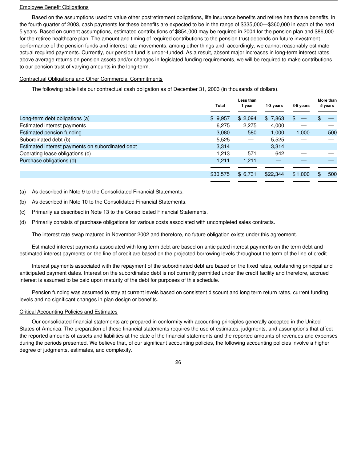#### Employee Benefit Obligations

Based on the assumptions used to value other postretirement obligations, life insurance benefits and retiree healthcare benefits, in the fourth quarter of 2003, cash payments for these benefits are expected to be in the range of \$335,000—\$360,000 in each of the next 5 years. Based on current assumptions, estimated contributions of \$854,000 may be required in 2004 for the pension plan and \$86,000 for the retiree healthcare plan. The amount and timing of required contributions to the pension trust depends on future investment performance of the pension funds and interest rate movements, among other things and, accordingly, we cannot reasonably estimate actual required payments. Currently, our pension fund is under-funded. As a result, absent major increases in long-term interest rates, above average returns on pension assets and/or changes in legislated funding requirements, we will be required to make contributions to our pension trust of varying amounts in the long-term.

# Contractual Obligations and Other Commercial Commitments

The following table lists our contractual cash obligation as of December 31, 2003 (in thousands of dollars).

|                                                  | <b>Total</b> | Less than<br>1 year | 1-3 years | 3-5 years | More than<br>5 years |     |
|--------------------------------------------------|--------------|---------------------|-----------|-----------|----------------------|-----|
| Long-term debt obligations (a)                   | \$9,957      | \$2,094             | \$7,863   | \$        |                      |     |
| Estimated interest payments                      | 6,275        | 2,275               | 4,000     |           |                      |     |
| Estimated pension funding                        | 3,080        | 580                 | 1,000     | 1,000     |                      | 500 |
| Subordinated debt (b)                            | 5,525        |                     | 5,525     |           |                      |     |
| Estimated interest payments on subordinated debt | 3,314        |                     | 3,314     |           |                      |     |
| Operating lease obligations (c)                  | 1,213        | 571                 | 642       |           |                      |     |
| Purchase obligations (d)                         | 1,211        | 1,211               |           |           |                      |     |
|                                                  |              |                     |           |           |                      |     |
|                                                  | \$30,575     | \$6,731             | \$22,344  | \$1,000   | \$.                  | 500 |

(a) As described in Note 9 to the Consolidated Financial Statements.

- (b) As described in Note 10 to the Consolidated Financial Statements.
- (c) Primarily as described in Note 13 to the Consolidated Financial Statements.
- (d) Primarily consists of purchase obligations for various costs associated with uncompleted sales contracts.

The interest rate swap matured in November 2002 and therefore, no future obligation exists under this agreement.

Estimated interest payments associated with long term debt are based on anticipated interest payments on the term debt and estimated interest payments on the line of credit are based on the projected borrowing levels throughout the term of the line of credit.

Interest payments associated with the repayment of the subordinated debt are based on the fixed rates, outstanding principal and anticipated payment dates. Interest on the subordinated debt is not currently permitted under the credit facility and therefore, accrued interest is assumed to be paid upon maturity of the debt for purposes of this schedule.

Pension funding was assumed to stay at current levels based on consistent discount and long term return rates, current funding levels and no significant changes in plan design or benefits.

# Critical Accounting Policies and Estimates

Our consolidated financial statements are prepared in conformity with accounting principles generally accepted in the United States of America. The preparation of these financial statements requires the use of estimates, judgments, and assumptions that affect the reported amounts of assets and liabilities at the date of the financial statements and the reported amounts of revenues and expenses during the periods presented. We believe that, of our significant accounting policies, the following accounting policies involve a higher degree of judgments, estimates, and complexity.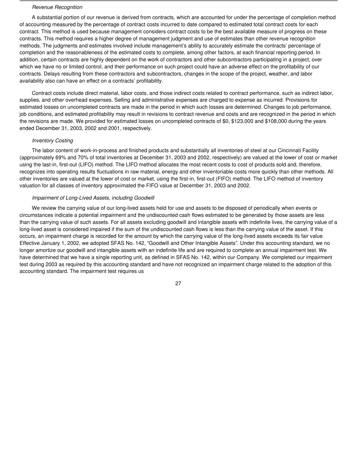#### *Revenue Recognition*

A substantial portion of our revenue is derived from contracts, which are accounted for under the percentage of completion method of accounting measured by the percentage of contract costs incurred to date compared to estimated total contract costs for each contract. This method is used because management considers contract costs to be the best available measure of progress on these contracts. This method requires a higher degree of management judgment and use of estimates than other revenue recognition methods. The judgments and estimates involved include management's ability to accurately estimate the contracts' percentage of completion and the reasonableness of the estimated costs to complete, among other factors, at each financial reporting period. In addition, certain contracts are highly dependent on the work of contractors and other subcontractors participating in a project, over which we have no or limited control, and their performance on such project could have an adverse effect on the profitability of our contracts. Delays resulting from these contractors and subcontractors, changes in the scope of the project, weather, and labor availability also can have an effect on a contracts' profitability.

Contract costs include direct material, labor costs, and those indirect costs related to contract performance, such as indirect labor, supplies, and other overhead expenses. Selling and administrative expenses are charged to expense as incurred. Provisions for estimated losses on uncompleted contracts are made in the period in which such losses are determined. Changes to job performance, job conditions, and estimated profitability may result in revisions to contract revenue and costs and are recognized in the period in which the revisions are made. We provided for estimated losses on uncompleted contracts of \$0, \$123,000 and \$108,000 during the years ended December 31, 2003, 2002 and 2001, respectively.

# *Inventory Costing*

The labor content of work-in-process and finished products and substantially all inventories of steel at our Cincinnati Facility (approximately 69% and 70% of total inventories at December 31, 2003 and 2002, respectively) are valued at the lower of cost or market using the last-in, first-out (LIFO) method. The LIFO method allocates the most recent costs to cost of products sold and, therefore, recognizes into operating results fluctuations in raw material, energy and other inventoriable costs more quickly than other methods. All other inventories are valued at the lower of cost or market, using the first-in, first-out (FIFO) method. The LIFO method of inventory valuation for all classes of inventory approximated the FIFO value at December 31, 2003 and 2002.

### *Impairment of Long-Lived Assets, including Goodwill*

We review the carrying value of our long-lived assets held for use and assets to be disposed of periodically when events or circumstances indicate a potential impairment and the undiscounted cash flows estimated to be generated by those assets are less than the carrying value of such assets. For all assets excluding goodwill and intangible assets with indefinite lives, the carrying value of a long-lived asset is considered impaired if the sum of the undiscounted cash flows is less than the carrying value of the asset. If this occurs, an impairment charge is recorded for the amount by which the carrying value of the long-lived assets exceeds its fair value. Effective January 1, 2002, we adopted SFAS No. 142, "Goodwill and Other Intangible Assets". Under this accounting standard, we no longer amortize our goodwill and intangible assets with an indefinite life and are required to complete an annual impairment test. We have determined that we have a single reporting unit, as defined in SFAS No. 142, within our Company. We completed our impairment test during 2003 as required by this accounting standard and have not recognized an impairment charge related to the adoption of this accounting standard. The impairment test requires us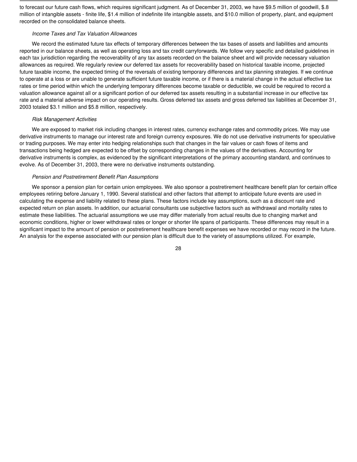to forecast our future cash flows, which requires significant judgment. As of December 31, 2003, we have \$9.5 million of goodwill, \$.8 million of intangible assets - finite life, \$1.4 million of indefinite life intangible assets, and \$10.0 million of property, plant, and equipment recorded on the consolidated balance sheets.

#### *Income Taxes and Tax Valuation Allowances*

We record the estimated future tax effects of temporary differences between the tax bases of assets and liabilities and amounts reported in our balance sheets, as well as operating loss and tax credit carryforwards. We follow very specific and detailed guidelines in each tax jurisdiction regarding the recoverability of any tax assets recorded on the balance sheet and will provide necessary valuation allowances as required. We regularly review our deferred tax assets for recoverability based on historical taxable income, projected future taxable income, the expected timing of the reversals of existing temporary differences and tax planning strategies. If we continue to operate at a loss or are unable to generate sufficient future taxable income, or if there is a material change in the actual effective tax rates or time period within which the underlying temporary differences become taxable or deductible, we could be required to record a valuation allowance against all or a significant portion of our deferred tax assets resulting in a substantial increase in our effective tax rate and a material adverse impact on our operating results. Gross deferred tax assets and gross deferred tax liabilities at December 31, 2003 totaled \$3.1 million and \$5.8 million, respectively.

#### *Risk Management Activities*

We are exposed to market risk including changes in interest rates, currency exchange rates and commodity prices. We may use derivative instruments to manage our interest rate and foreign currency exposures. We do not use derivative instruments for speculative or trading purposes. We may enter into hedging relationships such that changes in the fair values or cash flows of items and transactions being hedged are expected to be offset by corresponding changes in the values of the derivatives. Accounting for derivative instruments is complex, as evidenced by the significant interpretations of the primary accounting standard, and continues to evolve. As of December 31, 2003, there were no derivative instruments outstanding.

#### *Pension and Postretirement Benefit Plan Assumptions*

We sponsor a pension plan for certain union employees. We also sponsor a postretirement healthcare benefit plan for certain office employees retiring before January 1, 1990. Several statistical and other factors that attempt to anticipate future events are used in calculating the expense and liability related to these plans. These factors include key assumptions, such as a discount rate and expected return on plan assets. In addition, our actuarial consultants use subjective factors such as withdrawal and mortality rates to estimate these liabilities. The actuarial assumptions we use may differ materially from actual results due to changing market and economic conditions, higher or lower withdrawal rates or longer or shorter life spans of participants. These differences may result in a significant impact to the amount of pension or postretirement healthcare benefit expenses we have recorded or may record in the future. An analysis for the expense associated with our pension plan is difficult due to the variety of assumptions utilized. For example,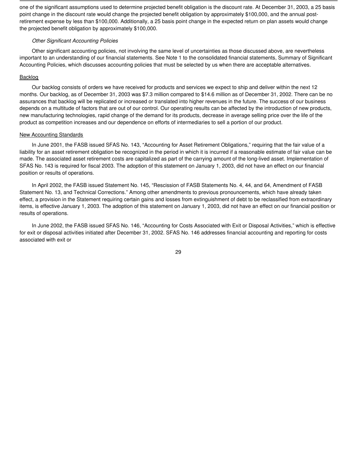one of the significant assumptions used to determine projected benefit obligation is the discount rate. At December 31, 2003, a 25 basis point change in the discount rate would change the projected benefit obligation by approximately \$100,000, and the annual postretirement expense by less than \$100,000. Additionally, a 25 basis point change in the expected return on plan assets would change the projected benefit obligation by approximately \$100,000.

#### *Other Significant Accounting Policies*

Other significant accounting policies, not involving the same level of uncertainties as those discussed above, are nevertheless important to an understanding of our financial statements. See Note 1 to the consolidated financial statements, Summary of Significant Accounting Policies, which discusses accounting policies that must be selected by us when there are acceptable alternatives.

#### **Backlog**

Our backlog consists of orders we have received for products and services we expect to ship and deliver within the next 12 months. Our backlog, as of December 31, 2003 was \$7.3 million compared to \$14.6 million as of December 31, 2002. There can be no assurances that backlog will be replicated or increased or translated into higher revenues in the future. The success of our business depends on a multitude of factors that are out of our control. Our operating results can be affected by the introduction of new products, new manufacturing technologies, rapid change of the demand for its products, decrease in average selling price over the life of the product as competition increases and our dependence on efforts of intermediaries to sell a portion of our product.

#### New Accounting Standards

In June 2001, the FASB issued SFAS No. 143, "Accounting for Asset Retirement Obligations," requiring that the fair value of a liability for an asset retirement obligation be recognized in the period in which it is incurred if a reasonable estimate of fair value can be made. The associated asset retirement costs are capitalized as part of the carrying amount of the long-lived asset. Implementation of SFAS No. 143 is required for fiscal 2003. The adoption of this statement on January 1, 2003, did not have an effect on our financial position or results of operations.

In April 2002, the FASB issued Statement No. 145, "Rescission of FASB Statements No. 4, 44, and 64, Amendment of FASB Statement No. 13, and Technical Corrections." Among other amendments to previous pronouncements, which have already taken effect, a provision in the Statement requiring certain gains and losses from extinguishment of debt to be reclassified from extraordinary items, is effective January 1, 2003. The adoption of this statement on January 1, 2003, did not have an effect on our financial position or results of operations.

In June 2002, the FASB issued SFAS No. 146, "Accounting for Costs Associated with Exit or Disposal Activities," which is effective for exit or disposal activities initiated after December 31, 2002. SFAS No. 146 addresses financial accounting and reporting for costs associated with exit or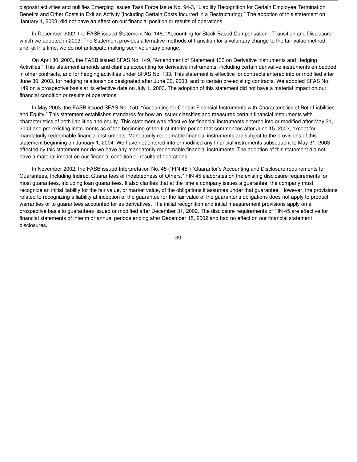disposal activities and nullifies Emerging Issues Task Force Issue No. 94-3, "Liability Recognition for Certain Employee Termination Benefits and Other Costs to Exit an Activity (including Certain Costs Incurred in a Restructuring)." The adoption of this statement on January 1, 2003, did not have an effect on our financial position or results of operations.

In December 2002, the FASB issued Statement No. 148, "Accounting for Stock-Based Compensation - Transition and Disclosure" which we adopted in 2003. The Statement provides alternative methods of transition for a voluntary change to the fair value method and, at this time, we do not anticipate making such voluntary change.

On April 30, 2003, the FASB issued SFAS No. 149, "Amendment of Statement 133 on Derivative Instruments and Hedging Activities." This statement amends and clarifies accounting for derivative instruments, including certain derivative instruments embedded in other contracts, and for hedging activities under SFAS No. 133. This statement is effective for contracts entered into or modified after June 30, 2003, for hedging relationships designated after June 30, 2003, and to certain pre-existing contracts. We adopted SFAS No. 149 on a prospective basis at its effective date on July 1, 2003. The adoption of this statement did not have a material impact on our financial condition or results of operations.

In May 2003, the FASB issued SFAS No. 150, "Accounting for Certain Financial Instruments with Characteristics of Both Liabilities and Equity." This statement establishes standards for how an issuer classifies and measures certain financial instruments with characteristics of both liabilities and equity. This statement was effective for financial instruments entered into or modified after May 31, 2003 and pre-existing instruments as of the beginning of the first interim period that commences after June 15, 2003, except for mandatorily redeemable financial instruments. Mandatorily redeemable financial instruments are subject to the provisions of this statement beginning on January 1, 2004. We have not entered into or modified any financial instruments subsequent to May 31, 2003 affected by this statement nor do we have any mandatorily redeemable financial instruments. The adoption of this statement did not have a material impact on our financial condition or results of operations.

In November 2002, the FASB issued Interpretation No. 45 ("FIN 45") "Guarantor's Accounting and Disclosure requirements for Guarantees, Including Indirect Guarantees of Indebtedness of Others." FIN 45 elaborates on the existing disclosure requirements for most guarantees, including loan guarantees. It also clarifies that at the time a company issues a guarantee, the company must recognize an initial liability for the fair value, or market value, of the obligations it assumes under that guarantee. However, the provisions related to recognizing a liability at inception of the guarantee for the fair value of the guarantor's obligations does not apply to product warranties or to guarantees accounted for as derivatives. The initial recognition and initial measurement provisions apply on a prospective basis to guarantees issued or modified after December 31, 2002. The disclosure requirements of FIN 45 are effective for financial statements of interim or annual periods ending after December 15, 2002 and had no effect on our financial statement disclosures.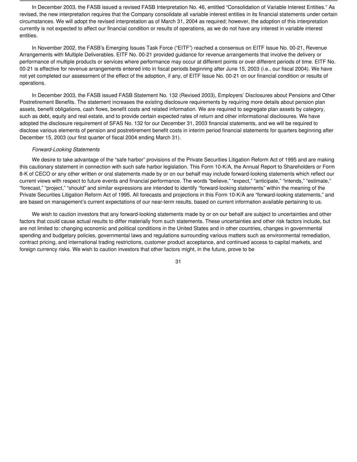In December 2003, the FASB issued a revised FASB Interpretation No. 46, entitled "Consolidation of Variable Interest Entities." As revised, the new interpretation requires that the Company consolidate all variable interest entities in its financial statements under certain circumstances. We will adopt the revised interpretation as of March 31, 2004 as required; however, the adoption of this interpretation currently is not expected to affect our financial condition or results of operations, as we do not have any interest in variable interest entities.

In November 2002, the FASB's Emerging Issues Task Force ("EITF") reached a consensus on EITF Issue No. 00-21, Revenue Arrangements with Multiple Deliverables. EITF No. 00-21 provided guidance for revenue arrangements that involve the delivery or performance of multiple products or services where performance may occur at different points or over different periods of time. EITF No. 00-21 is effective for revenue arrangements entered into in fiscal periods beginning after June 15, 2003 (i.e., our fiscal 2004). We have not yet completed our assessment of the effect of the adoption, if any, of EITF Issue No. 00-21 on our financial condition or results of operations.

In December 2003, the FASB issued FASB Statement No. 132 (Revised 2003), Employers' Disclosures about Pensions and Other Postretirement Benefits. The statement increases the existing disclosure requirements by requiring more details about pension plan assets, benefit obligations, cash flows, benefit costs and related information. We are required to segregate plan assets by category, such as debt, equity and real estate, and to provide certain expected rates of return and other informational disclosures. We have adopted the disclosure requirement of SFAS No. 132 for our December 31, 2003 financial statements, and we will be required to disclose various elements of pension and postretirement benefit costs in interim period financial statements for quarters beginning after December 15, 2003 (our first quarter of fiscal 2004 ending March 31).

#### *Forward-Looking Statements*

We desire to take advantage of the "safe harbor" provisions of the Private Securities Litigation Reform Act of 1995 and are making this cautionary statement in connection with such safe harbor legislation. This Form 10-K/A, the Annual Report to Shareholders or Form 8-K of CECO or any other written or oral statements made by or on our behalf may include forward-looking statements which reflect our current views with respect to future events and financial performance. The words "believe," "expect," "anticipate," "intends," "estimate," "forecast," "project," "should" and similar expressions are intended to identify "forward-looking statements" within the meaning of the Private Securities Litigation Reform Act of 1995. All forecasts and projections in this Form 10-K/A are "forward-looking statements," and are based on management's current expectations of our near-term results, based on current information available pertaining to us.

We wish to caution investors that any forward-looking statements made by or on our behalf are subject to uncertainties and other factors that could cause actual results to differ materially from such statements. These uncertainties and other risk factors include, but are not limited to: changing economic and political conditions in the United States and in other countries, changes in governmental spending and budgetary policies, governmental laws and regulations surrounding various matters such as environmental remediation, contract pricing, and international trading restrictions, customer product acceptance, and continued access to capital markets, and foreign currency risks. We wish to caution investors that other factors might, in the future, prove to be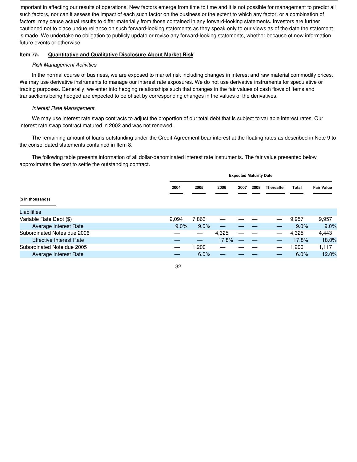important in affecting our results of operations. New factors emerge from time to time and it is not possible for management to predict all such factors, nor can it assess the impact of each such factor on the business or the extent to which any factor, or a combination of factors, may cause actual results to differ materially from those contained in any forward-looking statements. Investors are further cautioned not to place undue reliance on such forward-looking statements as they speak only to our views as of the date the statement is made. We undertake no obligation to publicly update or revise any forward-looking statements, whether because of new information, future events or otherwise.

# **Item 7a. Quantitative and Qualitative Disclosure About Market Risk**

# *Risk Management Activities*

In the normal course of business, we are exposed to market risk including changes in interest and raw material commodity prices. We may use derivative instruments to manage our interest rate exposures. We do not use derivative instruments for speculative or trading purposes. Generally, we enter into hedging relationships such that changes in the fair values of cash flows of items and transactions being hedged are expected to be offset by corresponding changes in the values of the derivatives.

# *Interest Rate Management*

We may use interest rate swap contracts to adjust the proportion of our total debt that is subject to variable interest rates. Our interest rate swap contract matured in 2002 and was not renewed.

The remaining amount of loans outstanding under the Credit Agreement bear interest at the floating rates as described in Note 9 to the consolidated statements contained in Item 8.

The following table presents information of all dollar-denominated interest rate instruments. The fair value presented below approximates the cost to settle the outstanding contract.

| <b>Expected Maturity Date</b> |       |       |      |      |                   |       |                   |
|-------------------------------|-------|-------|------|------|-------------------|-------|-------------------|
| 2004                          | 2005  | 2006  | 2007 | 2008 | <b>Thereafter</b> | Total | <b>Fair Value</b> |
|                               |       |       |      |      |                   |       |                   |
|                               |       |       |      |      |                   |       |                   |
| 2.094                         | 7,863 |       |      |      |                   | 9,957 | 9,957             |
| $9.0\%$                       | 9.0%  |       |      |      |                   | 9.0%  | 9.0%              |
|                               | —     | 4,325 |      |      |                   | 4,325 | 4,443             |
|                               | —     | 17.8% |      |      |                   | 17.8% | 18.0%             |
|                               | 1,200 |       |      |      |                   | 1.200 | 1,117             |
|                               | 6.0%  |       |      |      |                   | 6.0%  | 12.0%             |
|                               |       |       |      |      |                   |       |                   |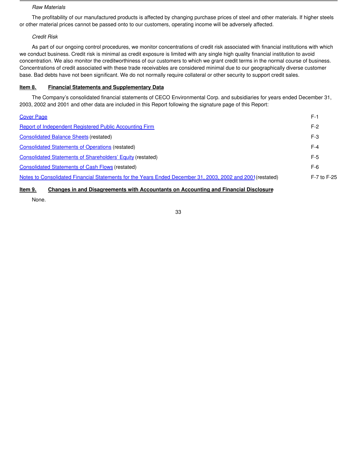# *Raw Materials*

The profitability of our manufactured products is affected by changing purchase prices of steel and other materials. If higher steels or other material prices cannot be passed onto to our customers, operating income will be adversely affected.

# *Credit Risk*

As part of our ongoing control procedures, we monitor concentrations of credit risk associated with financial institutions with which we conduct business. Credit risk is minimal as credit exposure is limited with any single high quality financial institution to avoid concentration. We also monitor the creditworthiness of our customers to which we grant credit terms in the normal course of business. Concentrations of credit associated with these trade receivables are considered minimal due to our geographically diverse customer base. Bad debts have not been significant. We do not normally require collateral or other security to support credit sales.

# **Item 8. Financial Statements and Supplementary Data**

The Company's consolidated financial statements of CECO Environmental Corp. and subsidiaries for years ended December 31, 2003, 2002 and 2001 and other data are included in this Report following the signature page of this Report:

| <b>Cover Page</b>                                                                                          | $F-1$       |
|------------------------------------------------------------------------------------------------------------|-------------|
| <b>Report of Independent Registered Public Accounting Firm</b>                                             | $F-2$       |
| <b>Consolidated Balance Sheets (restated)</b>                                                              | $F-3$       |
| <b>Consolidated Statements of Operations (restated)</b>                                                    | $F-4$       |
| <b>Consolidated Statements of Shareholders' Equity (restated)</b>                                          | $F-5$       |
| <b>Consolidated Statements of Cash Flows (restated)</b>                                                    | $F-6$       |
| Notes to Consolidated Financial Statements for the Years Ended December 31, 2003, 2002 and 2001 (restated) | F-7 to F-25 |

# **Item 9. Changes in and Disagreements with Accountants on Accounting and Financial Disclosure**

None.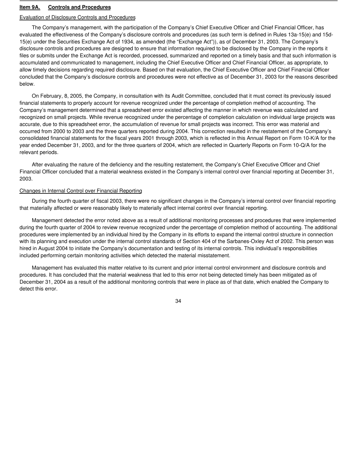### **Item 9A. Controls and Procedures**

# Evaluation of Disclosure Controls and Procedures

The Company's management, with the participation of the Company's Chief Executive Officer and Chief Financial Officer, has evaluated the effectiveness of the Company's disclosure controls and procedures (as such term is defined in Rules 13a-15(e) and 15d-15(e) under the Securities Exchange Act of 1934, as amended (the "Exchange Act")), as of December 31, 2003. The Company's disclosure controls and procedures are designed to ensure that information required to be disclosed by the Company in the reports it files or submits under the Exchange Act is recorded, processed, summarized and reported on a timely basis and that such information is accumulated and communicated to management, including the Chief Executive Officer and Chief Financial Officer, as appropriate, to allow timely decisions regarding required disclosure. Based on that evaluation, the Chief Executive Officer and Chief Financial Officer concluded that the Company's disclosure controls and procedures were not effective as of December 31, 2003 for the reasons described below.

On February, 8, 2005, the Company, in consultation with its Audit Committee, concluded that it must correct its previously issued financial statements to properly account for revenue recognized under the percentage of completion method of accounting. The Company's management determined that a spreadsheet error existed affecting the manner in which revenue was calculated and recognized on small projects. While revenue recognized under the percentage of completion calculation on individual large projects was accurate, due to this spreadsheet error, the accumulation of revenue for small projects was incorrect. This error was material and occurred from 2000 to 2003 and the three quarters reported during 2004. This correction resulted in the restatement of the Company's consolidated financial statements for the fiscal years 2001 through 2003, which is reflected in this Annual Report on Form 10-K/A for the year ended December 31, 2003, and for the three quarters of 2004, which are reflected in Quarterly Reports on Form 10-Q/A for the relevant periods.

After evaluating the nature of the deficiency and the resulting restatement, the Company's Chief Executive Officer and Chief Financial Officer concluded that a material weakness existed in the Company's internal control over financial reporting at December 31, 2003.

# Changes in Internal Control over Financial Reporting

During the fourth quarter of fiscal 2003, there were no significant changes in the Company's internal control over financial reporting that materially affected or were reasonably likely to materially affect internal control over financial reporting.

Management detected the error noted above as a result of additional monitoring processes and procedures that were implemented during the fourth quarter of 2004 to review revenue recognized under the percentage of completion method of accounting. The additional procedures were implemented by an individual hired by the Company in its efforts to expand the internal control structure in connection with its planning and execution under the internal control standards of Section 404 of the Sarbanes-Oxley Act of 2002. This person was hired in August 2004 to initiate the Company's documentation and testing of its internal controls. This individual's responsibilities included performing certain monitoring activities which detected the material misstatement.

Management has evaluated this matter relative to its current and prior internal control environment and disclosure controls and procedures. It has concluded that the material weakness that led to this error not being detected timely has been mitigated as of December 31, 2004 as a result of the additional monitoring controls that were in place as of that date, which enabled the Company to detect this error.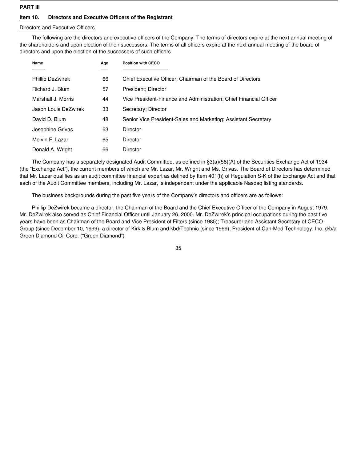# **PART III**

# **Item 10. Directors and Executive Officers of the Registrant**

# Directors and Executive Officers

The following are the directors and executive officers of the Company. The terms of directors expire at the next annual meeting of the shareholders and upon election of their successors. The terms of all officers expire at the next annual meeting of the board of directors and upon the election of the successors of such officers.

| Name                    | Age | <b>Position with CECO</b>                                          |
|-------------------------|-----|--------------------------------------------------------------------|
| <b>Phillip DeZwirek</b> | 66  | Chief Executive Officer; Chairman of the Board of Directors        |
| Richard J. Blum         | 57  | President: Director                                                |
| Marshall J. Morris      | 44  | Vice President-Finance and Administration; Chief Financial Officer |
| Jason Louis DeZwirek    | 33  | Secretary; Director                                                |
| David D. Blum           | 48  | Senior Vice President-Sales and Marketing; Assistant Secretary     |
| Josephine Grivas        | 63  | Director                                                           |
| Melvin F. Lazar         | 65  | Director                                                           |
| Donald A. Wright        | 66  | Director                                                           |

The Company has a separately designated Audit Committee, as defined in §3(a)(58)(A) of the Securities Exchange Act of 1934 (the "Exchange Act"), the current members of which are Mr. Lazar, Mr. Wright and Ms. Grivas. The Board of Directors has determined that Mr. Lazar qualifies as an audit committee financial expert as defined by Item 401(h) of Regulation S-K of the Exchange Act and that each of the Audit Committee members, including Mr. Lazar, is independent under the applicable Nasdaq listing standards.

The business backgrounds during the past five years of the Company's directors and officers are as follows:

Phillip DeZwirek became a director, the Chairman of the Board and the Chief Executive Officer of the Company in August 1979. Mr. DeZwirek also served as Chief Financial Officer until January 26, 2000. Mr. DeZwirek's principal occupations during the past five years have been as Chairman of the Board and Vice President of Filters (since 1985); Treasurer and Assistant Secretary of CECO Group (since December 10, 1999); a director of Kirk & Blum and kbd/Technic (since 1999); President of Can-Med Technology, Inc. d/b/a Green Diamond Oil Corp. ("Green Diamond")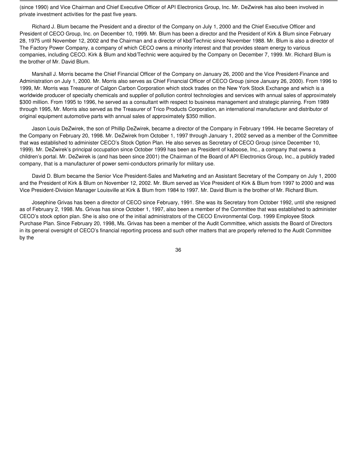(since 1990) and Vice Chairman and Chief Executive Officer of API Electronics Group, Inc. Mr. DeZwirek has also been involved in private investment activities for the past five years.

Richard J. Blum became the President and a director of the Company on July 1, 2000 and the Chief Executive Officer and President of CECO Group, Inc. on December 10, 1999. Mr. Blum has been a director and the President of Kirk & Blum since February 28, 1975 until November 12, 2002 and the Chairman and a director of kbd/Technic since November 1988. Mr. Blum is also a director of The Factory Power Company, a company of which CECO owns a minority interest and that provides steam energy to various companies, including CECO. Kirk & Blum and kbd/Technic were acquired by the Company on December 7, 1999. Mr. Richard Blum is the brother of Mr. David Blum.

Marshall J. Morris became the Chief Financial Officer of the Company on January 26, 2000 and the Vice President-Finance and Administration on July 1, 2000. Mr. Morris also serves as Chief Financial Officer of CECO Group (since January 26, 2000). From 1996 to 1999, Mr. Morris was Treasurer of Calgon Carbon Corporation which stock trades on the New York Stock Exchange and which is a worldwide producer of specialty chemicals and supplier of pollution control technologies and services with annual sales of approximately \$300 million. From 1995 to 1996, he served as a consultant with respect to business management and strategic planning. From 1989 through 1995, Mr. Morris also served as the Treasurer of Trico Products Corporation, an international manufacturer and distributor of original equipment automotive parts with annual sales of approximately \$350 million.

Jason Louis DeZwirek, the son of Phillip DeZwirek, became a director of the Company in February 1994. He became Secretary of the Company on February 20, 1998. Mr. DeZwirek from October 1, 1997 through January 1, 2002 served as a member of the Committee that was established to administer CECO's Stock Option Plan. He also serves as Secretary of CECO Group (since December 10, 1999). Mr. DeZwirek's principal occupation since October 1999 has been as President of kaboose, Inc., a company that owns a children's portal. Mr. DeZwirek is (and has been since 2001) the Chairman of the Board of API Electronics Group, Inc., a publicly traded company, that is a manufacturer of power semi-conductors primarily for military use.

David D. Blum became the Senior Vice President-Sales and Marketing and an Assistant Secretary of the Company on July 1, 2000 and the President of Kirk & Blum on November 12, 2002. Mr. Blum served as Vice President of Kirk & Blum from 1997 to 2000 and was Vice President-Division Manager Louisville at Kirk & Blum from 1984 to 1997. Mr. David Blum is the brother of Mr. Richard Blum.

Josephine Grivas has been a director of CECO since February, 1991. She was its Secretary from October 1992, until she resigned as of February 2, 1998. Ms. Grivas has since October 1, 1997, also been a member of the Committee that was established to administer CECO's stock option plan. She is also one of the initial administrators of the CECO Environmental Corp. 1999 Employee Stock Purchase Plan. Since February 20, 1998, Ms. Grivas has been a member of the Audit Committee, which assists the Board of Directors in its general oversight of CECO's financial reporting process and such other matters that are properly referred to the Audit Committee by the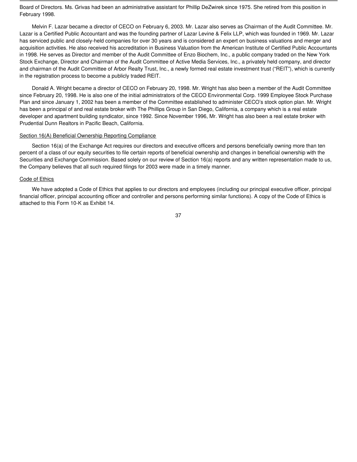Board of Directors. Ms. Grivas had been an administrative assistant for Phillip DeZwirek since 1975. She retired from this position in February 1998.

Melvin F. Lazar became a director of CECO on February 6, 2003. Mr. Lazar also serves as Chairman of the Audit Committee. Mr. Lazar is a Certified Public Accountant and was the founding partner of Lazar Levine & Felix LLP, which was founded in 1969. Mr. Lazar has serviced public and closely-held companies for over 30 years and is considered an expert on business valuations and merger and acquisition activities. He also received his accreditation in Business Valuation from the American Institute of Certified Public Accountants in 1998. He serves as Director and member of the Audit Committee of Enzo Biochem, Inc., a public company traded on the New York Stock Exchange, Director and Chairman of the Audit Committee of Active Media Services, Inc., a privately held company, and director and chairman of the Audit Committee of Arbor Realty Trust, Inc., a newly formed real estate investment trust ("REIT"), which is currently in the registration process to become a publicly traded REIT.

Donald A. Wright became a director of CECO on February 20, 1998. Mr. Wright has also been a member of the Audit Committee since February 20, 1998. He is also one of the initial administrators of the CECO Environmental Corp. 1999 Employee Stock Purchase Plan and since January 1, 2002 has been a member of the Committee established to administer CECO's stock option plan. Mr. Wright has been a principal of and real estate broker with The Phillips Group in San Diego, California, a company which is a real estate developer and apartment building syndicator, since 1992. Since November 1996, Mr. Wright has also been a real estate broker with Prudential Dunn Realtors in Pacific Beach, California.

#### Section 16(A) Beneficial Ownership Reporting Compliance

Section 16(a) of the Exchange Act requires our directors and executive officers and persons beneficially owning more than ten percent of a class of our equity securities to file certain reports of beneficial ownership and changes in beneficial ownership with the Securities and Exchange Commission. Based solely on our review of Section 16(a) reports and any written representation made to us, the Company believes that all such required filings for 2003 were made in a timely manner.

#### Code of Ethics

We have adopted a Code of Ethics that applies to our directors and employees (including our principal executive officer, principal financial officer, principal accounting officer and controller and persons performing similar functions). A copy of the Code of Ethics is attached to this Form 10-K as Exhibit 14.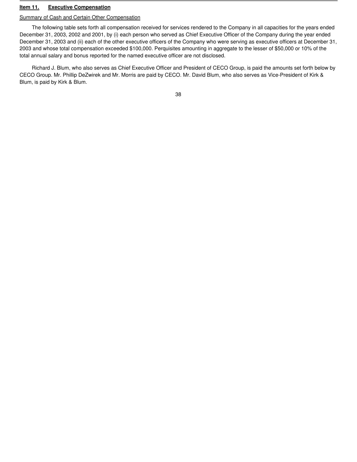### **Item 11. Executive Compensation**

## Summary of Cash and Certain Other Compensation

The following table sets forth all compensation received for services rendered to the Company in all capacities for the years ended December 31, 2003, 2002 and 2001, by (i) each person who served as Chief Executive Officer of the Company during the year ended December 31, 2003 and (ii) each of the other executive officers of the Company who were serving as executive officers at December 31, 2003 and whose total compensation exceeded \$100,000. Perquisites amounting in aggregate to the lesser of \$50,000 or 10% of the total annual salary and bonus reported for the named executive officer are not disclosed.

Richard J. Blum, who also serves as Chief Executive Officer and President of CECO Group, is paid the amounts set forth below by CECO Group. Mr. Phillip DeZwirek and Mr. Morris are paid by CECO. Mr. David Blum, who also serves as Vice-President of Kirk & Blum, is paid by Kirk & Blum.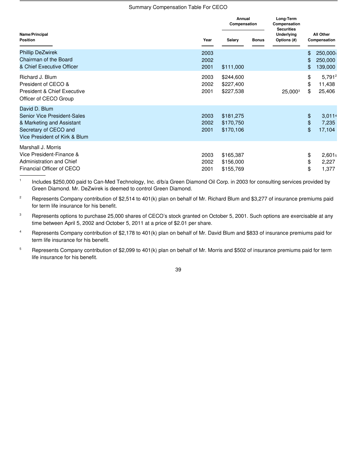#### Summary Compensation Table For CECO

|                                                                                                                                            |                      | Annual<br>Compensation              |              | Long-Term<br>Compensation<br><b>Securities</b> |                |                                  |
|--------------------------------------------------------------------------------------------------------------------------------------------|----------------------|-------------------------------------|--------------|------------------------------------------------|----------------|----------------------------------|
| Name/Principal<br><b>Position</b><br>Year                                                                                                  |                      | Salary                              | <b>Bonus</b> | <b>Underlying</b><br>Options (#)               |                | <b>All Other</b><br>Compensation |
| <b>Phillip DeZwirek</b><br>Chairman of the Board<br>& Chief Executive Officer                                                              | 2003<br>2002<br>2001 | \$111,000                           |              |                                                | \$<br>\$<br>\$ | 250,000<br>250,000<br>139,000    |
| Richard J. Blum<br>President of CECO &<br><b>President &amp; Chief Executive</b><br>Officer of CECO Group                                  | 2003<br>2002<br>2001 | \$244,600<br>\$227,400<br>\$227,538 |              | 25,000 <sup>3</sup>                            | \$<br>\$<br>\$ | $5,791^2$<br>11,438<br>25,406    |
| David D. Blum<br><b>Senior Vice President-Sales</b><br>& Marketing and Assistant<br>Secretary of CECO and<br>Vice President of Kirk & Blum | 2003<br>2002<br>2001 | \$181,275<br>\$170,750<br>\$170,106 |              |                                                | \$<br>\$<br>\$ | 3,0114<br>7,235<br>17,104        |
| Marshall J. Morris<br>Vice President-Finance &<br>Administration and Chief<br>Financial Officer of CECO                                    | 2003<br>2002<br>2001 | \$165,387<br>\$156,000<br>\$155,769 |              |                                                | \$<br>\$<br>\$ | 2,6015<br>2,227<br>1,377         |

1 Includes \$250,000 paid to Can-Med Technology, Inc. d/b/a Green Diamond Oil Corp. in 2003 for consulting services provided by Green Diamond. Mr. DeZwirek is deemed to control Green Diamond.

<sup>2</sup> Represents Company contribution of \$2,514 to 401(k) plan on behalf of Mr. Richard Blum and \$3,277 of insurance premiums paid for term life insurance for his benefit.

<sup>3</sup> Represents options to purchase 25,000 shares of CECO's stock granted on October 5, 2001. Such options are exercisable at any time between April 5, 2002 and October 5, 2011 at a price of \$2.01 per share.

<sup>4</sup> Represents Company contribution of \$2,178 to 401(k) plan on behalf of Mr. David Blum and \$833 of insurance premiums paid for term life insurance for his benefit.

<sup>5</sup> Represents Company contribution of \$2,099 to 401(k) plan on behalf of Mr. Morris and \$502 of insurance premiums paid for term life insurance for his benefit.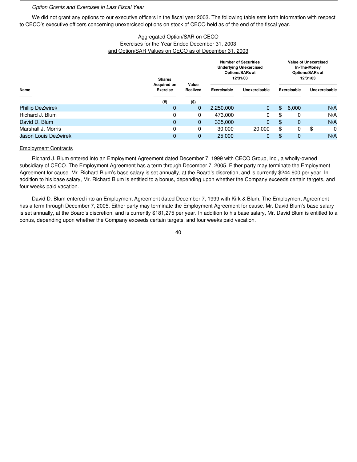#### *Option Grants and Exercises in Last Fiscal Year*

We did not grant any options to our executive officers in the fiscal year 2003. The following table sets forth information with respect to CECO's executive officers concerning unexercised options on stock of CECO held as of the end of the fiscal year.

## Aggregated Option/SAR on CECO Exercises for the Year Ended December 31, 2003 and Option/SAR Values on CECO as of December 31, 2003

|                         | <b>Shares</b>                         |                   |             | <b>Number of Securities</b><br><b>Underlying Unexercised</b><br><b>Options/SARs at</b><br>12/31/03 | Value of Unexercised<br>In-The-Money<br>Options/SARs at<br>12/31/03 |             |               |  |
|-------------------------|---------------------------------------|-------------------|-------------|----------------------------------------------------------------------------------------------------|---------------------------------------------------------------------|-------------|---------------|--|
| Name                    | <b>Acquired on</b><br><b>Exercise</b> | Value<br>Realized | Exercisable | Unexercisable                                                                                      |                                                                     | Exercisable | Unexercisable |  |
|                         | $($ # $)$                             | $($ \$)           |             |                                                                                                    |                                                                     |             |               |  |
| <b>Phillip DeZwirek</b> | 0                                     | $\mathbf{0}$      | 2,250,000   | $\mathbf{0}$                                                                                       | \$                                                                  | 6,000       | N/A           |  |
| Richard J. Blum         | 0                                     | 0                 | 473,000     | 0                                                                                                  | \$                                                                  | $\Omega$    | N/A           |  |
| David D. Blum           | 0                                     | $\mathbf{0}$      | 335,000     | $\mathbf{0}$                                                                                       | $\mathfrak{F}$                                                      | $\mathbf 0$ | N/A           |  |
| Marshall J. Morris      | 0                                     | 0                 | 30,000      | 20,000                                                                                             | \$                                                                  | 0           | \$<br>0       |  |
| Jason Louis DeZwirek    | 0                                     | 0                 | 25,000      | $\mathbf 0$                                                                                        | \$                                                                  | $\mathbf 0$ | N/A           |  |

#### Employment Contracts

Richard J. Blum entered into an Employment Agreement dated December 7, 1999 with CECO Group, Inc., a wholly-owned subsidiary of CECO. The Employment Agreement has a term through December 7, 2005. Either party may terminate the Employment Agreement for cause. Mr. Richard Blum's base salary is set annually, at the Board's discretion, and is currently \$244,600 per year. In addition to his base salary, Mr. Richard Blum is entitled to a bonus, depending upon whether the Company exceeds certain targets, and four weeks paid vacation.

David D. Blum entered into an Employment Agreement dated December 7, 1999 with Kirk & Blum. The Employment Agreement has a term through December 7, 2005. Either party may terminate the Employment Agreement for cause. Mr. David Blum's base salary is set annually, at the Board's discretion, and is currently \$181,275 per year. In addition to his base salary, Mr. David Blum is entitled to a bonus, depending upon whether the Company exceeds certain targets, and four weeks paid vacation.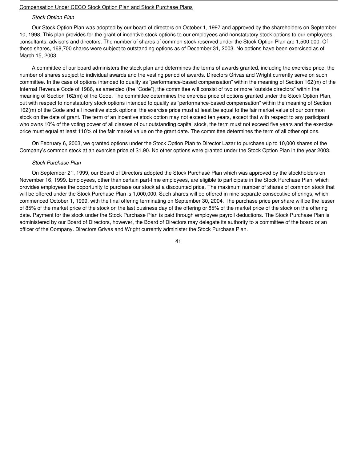#### Compensation Under CECO Stock Option Plan and Stock Purchase Plans

#### *Stock Option Plan*

Our Stock Option Plan was adopted by our board of directors on October 1, 1997 and approved by the shareholders on September 10, 1998. This plan provides for the grant of incentive stock options to our employees and nonstatutory stock options to our employees, consultants, advisors and directors. The number of shares of common stock reserved under the Stock Option Plan are 1,500,000. Of these shares, 168,700 shares were subject to outstanding options as of December 31, 2003. No options have been exercised as of March 15, 2003.

A committee of our board administers the stock plan and determines the terms of awards granted, including the exercise price, the number of shares subject to individual awards and the vesting period of awards. Directors Grivas and Wright currently serve on such committee. In the case of options intended to quality as "performance-based compensation" within the meaning of Section 162(m) of the Internal Revenue Code of 1986, as amended (the "Code"), the committee will consist of two or more "outside directors" within the meaning of Section 162(m) of the Code. The committee determines the exercise price of options granted under the Stock Option Plan, but with respect to nonstatutory stock options intended to qualify as "performance-based compensation" within the meaning of Section 162(m) of the Code and all incentive stock options, the exercise price must at least be equal to the fair market value of our common stock on the date of grant. The term of an incentive stock option may not exceed ten years, except that with respect to any participant who owns 10% of the voting power of all classes of our outstanding capital stock, the term must not exceed five years and the exercise price must equal at least 110% of the fair market value on the grant date. The committee determines the term of all other options.

On February 6, 2003, we granted options under the Stock Option Plan to Director Lazar to purchase up to 10,000 shares of the Company's common stock at an exercise price of \$1.90. No other options were granted under the Stock Option Plan in the year 2003.

#### *Stock Purchase Plan*

On September 21, 1999, our Board of Directors adopted the Stock Purchase Plan which was approved by the stockholders on November 16, 1999. Employees, other than certain part-time employees, are eligible to participate in the Stock Purchase Plan, which provides employees the opportunity to purchase our stock at a discounted price. The maximum number of shares of common stock that will be offered under the Stock Purchase Plan is 1,000,000. Such shares will be offered in nine separate consecutive offerings, which commenced October 1, 1999, with the final offering terminating on September 30, 2004. The purchase price per share will be the lesser of 85% of the market price of the stock on the last business day of the offering or 85% of the market price of the stock on the offering date. Payment for the stock under the Stock Purchase Plan is paid through employee payroll deductions. The Stock Purchase Plan is administered by our Board of Directors, however, the Board of Directors may delegate its authority to a committee of the board or an officer of the Company. Directors Grivas and Wright currently administer the Stock Purchase Plan.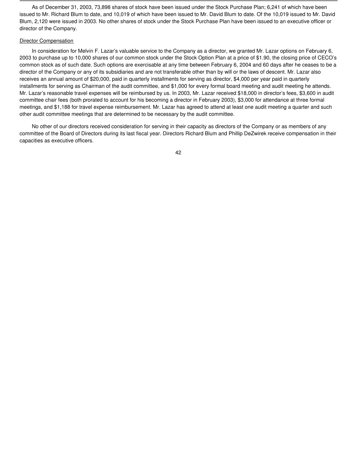As of December 31, 2003, 73,898 shares of stock have been issued under the Stock Purchase Plan; 6,241 of which have been issued to Mr. Richard Blum to date, and 10,019 of which have been issued to Mr. David Blum to date. Of the 10,019 issued to Mr. David Blum, 2,120 were issued in 2003. No other shares of stock under the Stock Purchase Plan have been issued to an executive officer or director of the Company.

#### Director Compensation

In consideration for Melvin F. Lazar's valuable service to the Company as a director, we granted Mr. Lazar options on February 6, 2003 to purchase up to 10,000 shares of our common stock under the Stock Option Plan at a price of \$1.90, the closing price of CECO's common stock as of such date. Such options are exercisable at any time between February 6, 2004 and 60 days after he ceases to be a director of the Company or any of its subsidiaries and are not transferable other than by will or the laws of descent. Mr. Lazar also receives an annual amount of \$20,000, paid in quarterly installments for serving as director, \$4,000 per year paid in quarterly installments for serving as Chairman of the audit committee, and \$1,000 for every formal board meeting and audit meeting he attends. Mr. Lazar's reasonable travel expenses will be reimbursed by us. In 2003, Mr. Lazar received \$18,000 in director's fees, \$3,600 in audit committee chair fees (both prorated to account for his becoming a director in February 2003), \$3,000 for attendance at three formal meetings, and \$1,188 for travel expense reimbursement. Mr. Lazar has agreed to attend at least one audit meeting a quarter and such other audit committee meetings that are determined to be necessary by the audit committee.

No other of our directors received consideration for serving in their capacity as directors of the Company or as members of any committee of the Board of Directors during its last fiscal year. Directors Richard Blum and Phillip DeZwirek receive compensation in their capacities as executive officers.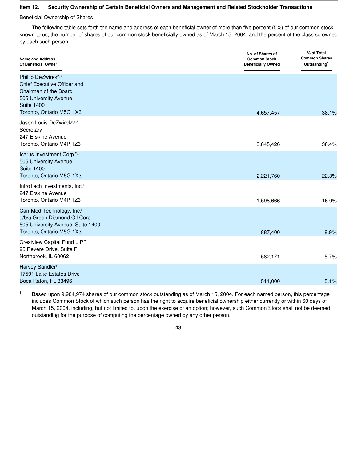## **Item 12. Security Ownership of Certain Beneficial Owners and Management and Related Stockholder Transactions**

## Beneficial Ownership of Shares

The following table sets forth the name and address of each beneficial owner of more than five percent (5%) of our common stock known to us, the number of shares of our common stock beneficially owned as of March 15, 2004, and the percent of the class so owned by each such person.

| <b>Name and Address</b><br>Of Beneficial Owner                                                                                                                           | No. of Shares of<br><b>Common Stock</b><br><b>Beneficially Owned</b> | % of Total<br><b>Common Shares</b><br>Outstanding <sup>1</sup> |
|--------------------------------------------------------------------------------------------------------------------------------------------------------------------------|----------------------------------------------------------------------|----------------------------------------------------------------|
| Phillip DeZwirek <sup>2,3</sup><br><b>Chief Executive Officer and</b><br>Chairman of the Board<br>505 University Avenue<br><b>Suite 1400</b><br>Toronto, Ontario M5G 1X3 | 4,657,457                                                            | 38.1%                                                          |
| Jason Louis DeZwirek <sup>2,4,5</sup><br>Secretary<br>247 Erskine Avenue<br>Toronto, Ontario M4P 1Z6                                                                     | 3,845,426                                                            | 38.4%                                                          |
| Icarus Investment Corp. <sup>2,6</sup><br>505 University Avenue<br><b>Suite 1400</b><br>Toronto, Ontario M5G 1X3                                                         | 2,221,760                                                            | 22.3%                                                          |
| IntroTech Investments, Inc. <sup>4</sup><br>247 Erskine Avenue<br>Toronto, Ontario M4P 1Z6                                                                               | 1,598,666                                                            | 16.0%                                                          |
| Can-Med Technology, Inc. <sup>6</sup><br>d/b/a Green Diamond Oil Corp.<br>505 University Avenue, Suite 1400<br>Toronto, Ontario M5G 1X3                                  | 887,400                                                              | 8.9%                                                           |
| Crestview Capital Fund L.P. <sup>7</sup><br>95 Revere Drive, Suite F<br>Northbrook, IL 60062                                                                             | 582,171                                                              | 5.7%                                                           |
| Harvey Sandler <sup>8</sup><br>17591 Lake Estates Drive<br>Boca Raton, FL 33496                                                                                          | 511,000                                                              | 5.1%                                                           |

<sup>1</sup> Based upon 9,984,974 shares of our common stock outstanding as of March 15, 2004. For each named person, this percentage includes Common Stock of which such person has the right to acquire beneficial ownership either currently or within 60 days of March 15, 2004, including, but not limited to, upon the exercise of an option; however, such Common Stock shall not be deemed outstanding for the purpose of computing the percentage owned by any other person.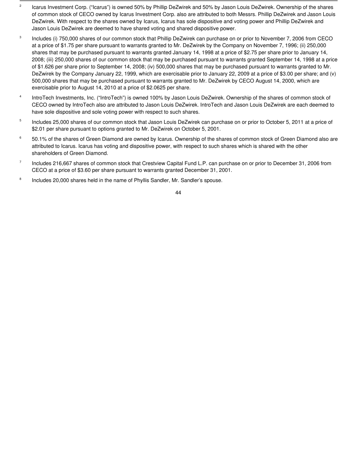- 2 Icarus Investment Corp. ("Icarus") is owned 50% by Phillip DeZwirek and 50% by Jason Louis DeZwirek. Ownership of the shares of common stock of CECO owned by Icarus Investment Corp. also are attributed to both Messrs. Phillip DeZwirek and Jason Louis DeZwirek. With respect to the shares owned by Icarus, Icarus has sole dispositive and voting power and Phillip DeZwirek and Jason Louis DeZwirek are deemed to have shared voting and shared dispositive power.
- 3 Includes (i) 750,000 shares of our common stock that Phillip DeZwirek can purchase on or prior to November 7, 2006 from CECO at a price of \$1.75 per share pursuant to warrants granted to Mr. DeZwirek by the Company on November 7, 1996; (ii) 250,000 shares that may be purchased pursuant to warrants granted January 14, 1998 at a price of \$2.75 per share prior to January 14, 2008; (iii) 250,000 shares of our common stock that may be purchased pursuant to warrants granted September 14, 1998 at a price of \$1.626 per share prior to September 14, 2008; (iv) 500,000 shares that may be purchased pursuant to warrants granted to Mr. DeZwirek by the Company January 22, 1999, which are exercisable prior to January 22, 2009 at a price of \$3.00 per share; and (v) 500,000 shares that may be purchased pursuant to warrants granted to Mr. DeZwirek by CECO August 14, 2000, which are exercisable prior to August 14, 2010 at a price of \$2.0625 per share.
- 4 IntroTech Investments, Inc. ("IntroTech") is owned 100% by Jason Louis DeZwirek. Ownership of the shares of common stock of CECO owned by IntroTech also are attributed to Jason Louis DeZwirek. IntroTech and Jason Louis DeZwirek are each deemed to have sole dispositive and sole voting power with respect to such shares.
- 5 Includes 25,000 shares of our common stock that Jason Louis DeZwirek can purchase on or prior to October 5, 2011 at a price of \$2.01 per share pursuant to options granted to Mr. DeZwirek on October 5, 2001.
- <sup>6</sup> 50.1% of the shares of Green Diamond are owned by Icarus. Ownership of the shares of common stock of Green Diamond also are attributed to Icarus. Icarus has voting and dispositive power, with respect to such shares which is shared with the other shareholders of Green Diamond.
- 7 Includes 216,667 shares of common stock that Crestview Capital Fund L.P. can purchase on or prior to December 31, 2006 from CECO at a price of \$3.60 per share pursuant to warrants granted December 31, 2001.
- 8 Includes 20,000 shares held in the name of Phyllis Sandler, Mr. Sandler's spouse.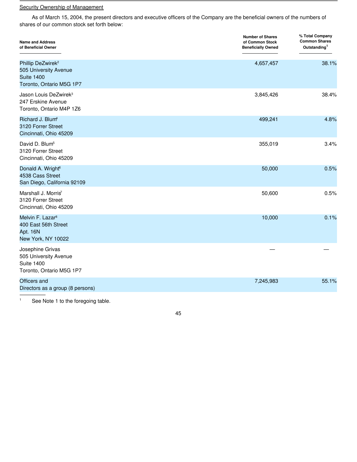# **Security Ownership of Management**

As of March 15, 2004, the present directors and executive officers of the Company are the beneficial owners of the numbers of shares of our common stock set forth below:

| <b>Name and Address</b><br>of Beneficial Owner                                                          | <b>Number of Shares</b><br>of Common Stock<br><b>Beneficially Owned</b> | % Total Company<br><b>Common Shares</b><br>Outstanding <sup>1</sup> |
|---------------------------------------------------------------------------------------------------------|-------------------------------------------------------------------------|---------------------------------------------------------------------|
| Phillip DeZwirek <sup>2</sup><br>505 University Avenue<br><b>Suite 1400</b><br>Toronto, Ontario M5G 1P7 | 4,657,457                                                               | 38.1%                                                               |
| Jason Louis DeZwirek <sup>3</sup><br>247 Erskine Avenue<br>Toronto, Ontario M4P 1Z6                     | 3,845,426                                                               | 38.4%                                                               |
| Richard J. Blum <sup>4</sup><br>3120 Forrer Street<br>Cincinnati, Ohio 45209                            | 499,241                                                                 | 4.8%                                                                |
| David D. Blum <sup>5</sup><br>3120 Forrer Street<br>Cincinnati, Ohio 45209                              | 355,019                                                                 | 3.4%                                                                |
| Donald A. Wright <sup>6</sup><br>4538 Cass Street<br>San Diego, California 92109                        | 50,000                                                                  | 0.5%                                                                |
| Marshall J. Morris <sup>7</sup><br>3120 Forrer Street<br>Cincinnati, Ohio 45209                         | 50,600                                                                  | 0.5%                                                                |
| Melvin F. Lazar <sup>8</sup><br>400 East 56th Street<br><b>Apt. 16N</b><br>New York, NY 10022           | 10,000                                                                  | 0.1%                                                                |
| Josephine Grivas<br>505 University Avenue<br><b>Suite 1400</b><br>Toronto, Ontario M5G 1P7              |                                                                         |                                                                     |
| Officers and<br>Directors as a group (8 persons)                                                        | 7,245,983                                                               | 55.1%                                                               |

<sup>1</sup> See Note 1 to the foregoing table.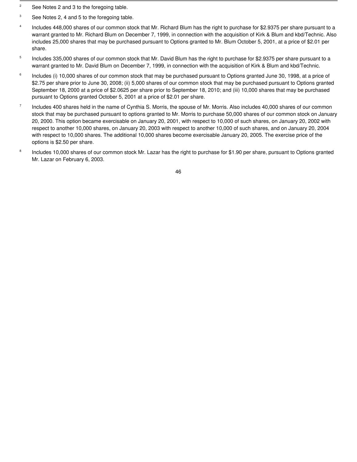- $2^2$  See Notes 2 and 3 to the foregoing table.
- <sup>3</sup> See Notes 2, 4 and 5 to the foregoing table.
- 4 Includes 448,000 shares of our common stock that Mr. Richard Blum has the right to purchase for \$2.9375 per share pursuant to a warrant granted to Mr. Richard Blum on December 7, 1999, in connection with the acquisition of Kirk & Blum and kbd/Technic. Also includes 25,000 shares that may be purchased pursuant to Options granted to Mr. Blum October 5, 2001, at a price of \$2.01 per share.
- 5 Includes 335,000 shares of our common stock that Mr. David Blum has the right to purchase for \$2.9375 per share pursuant to a warrant granted to Mr. David Blum on December 7, 1999, in connection with the acquisition of Kirk & Blum and kbd/Technic.
- 6 Includes (i) 10,000 shares of our common stock that may be purchased pursuant to Options granted June 30, 1998, at a price of \$2.75 per share prior to June 30, 2008; (ii) 5,000 shares of our common stock that may be purchased pursuant to Options granted September 18, 2000 at a price of \$2.0625 per share prior to September 18, 2010; and (iii) 10,000 shares that may be purchased pursuant to Options granted October 5, 2001 at a price of \$2.01 per share.
- 7 Includes 400 shares held in the name of Cynthia S. Morris, the spouse of Mr. Morris. Also includes 40,000 shares of our common stock that may be purchased pursuant to options granted to Mr. Morris to purchase 50,000 shares of our common stock on January 20, 2000. This option became exercisable on January 20, 2001, with respect to 10,000 of such shares, on January 20, 2002 with respect to another 10,000 shares, on January 20, 2003 with respect to another 10,000 of such shares, and on January 20, 2004 with respect to 10,000 shares. The additional 10,000 shares become exercisable January 20, 2005. The exercise price of the options is \$2.50 per share.
- 8 Includes 10,000 shares of our common stock Mr. Lazar has the right to purchase for \$1.90 per share, pursuant to Options granted Mr. Lazar on February 6, 2003.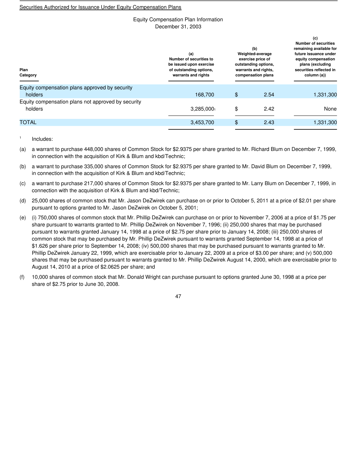## Equity Compensation Plan Information December 31, 2003

**(c)**

| Plan<br>Category                                              | (a)<br>Number of securities to<br>be issued upon exercise<br>of outstanding options,<br>warrants and rights | (b)<br>Weighted-average<br>exercise price of<br>outstanding options,<br>warrants and rights,<br>compensation plans | <b>Number of securities</b><br>remaining available for<br>future issuance under<br>equity compensation<br>plans (excluding<br>securities reflected in<br>column (a)) |
|---------------------------------------------------------------|-------------------------------------------------------------------------------------------------------------|--------------------------------------------------------------------------------------------------------------------|----------------------------------------------------------------------------------------------------------------------------------------------------------------------|
| Equity compensation plans approved by security                |                                                                                                             |                                                                                                                    |                                                                                                                                                                      |
| holders                                                       | 168.700                                                                                                     | \$<br>2.54                                                                                                         | 1,331,300                                                                                                                                                            |
| Equity compensation plans not approved by security<br>holders | 3,285,000                                                                                                   | \$<br>2.42                                                                                                         | None                                                                                                                                                                 |
| <b>TOTAL</b>                                                  | 3,453,700                                                                                                   | \$<br>2.43                                                                                                         | 1,331,300                                                                                                                                                            |

- 1 Includes:
- (a) a warrant to purchase 448,000 shares of Common Stock for \$2.9375 per share granted to Mr. Richard Blum on December 7, 1999, in connection with the acquisition of Kirk & Blum and kbd/Technic;
- (b) a warrant to purchase 335,000 shares of Common Stock for \$2.9375 per share granted to Mr. David Blum on December 7, 1999, in connection with the acquisition of Kirk & Blum and kbd/Technic;
- (c) a warrant to purchase 217,000 shares of Common Stock for \$2.9375 per share granted to Mr. Larry Blum on December 7, 1999, in connection with the acquisition of Kirk & Blum and kbd/Technic;
- (d) 25,000 shares of common stock that Mr. Jason DeZwirek can purchase on or prior to October 5, 2011 at a price of \$2.01 per share pursuant to options granted to Mr. Jason DeZwirek on October 5, 2001;
- (e) (i) 750,000 shares of common stock that Mr. Phillip DeZwirek can purchase on or prior to November 7, 2006 at a price of \$1.75 per share pursuant to warrants granted to Mr. Phillip DeZwirek on November 7, 1996; (ii) 250,000 shares that may be purchased pursuant to warrants granted January 14, 1998 at a price of \$2.75 per share prior to January 14, 2008; (iii) 250,000 shares of common stock that may be purchased by Mr. Phillip DeZwirek pursuant to warrants granted September 14, 1998 at a price of \$1.626 per share prior to September 14, 2008; (iv) 500,000 shares that may be purchased pursuant to warrants granted to Mr. Phillip DeZwirek January 22, 1999, which are exercisable prior to January 22, 2009 at a price of \$3.00 per share; and (v) 500,000 shares that may be purchased pursuant to warrants granted to Mr. Phillip DeZwirek August 14, 2000, which are exercisable prior to August 14, 2010 at a price of \$2.0625 per share; and
- (f) 10,000 shares of common stock that Mr. Donald Wright can purchase pursuant to options granted June 30, 1998 at a price per share of \$2.75 prior to June 30, 2008.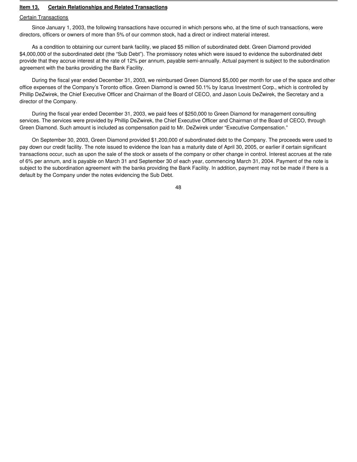### **Item 13. Certain Relationships and Related Transactions**

## Certain Transactions

Since January 1, 2003, the following transactions have occurred in which persons who, at the time of such transactions, were directors, officers or owners of more than 5% of our common stock, had a direct or indirect material interest.

As a condition to obtaining our current bank facility, we placed \$5 million of subordinated debt. Green Diamond provided \$4,000,000 of the subordinated debt (the "Sub Debt"). The promissory notes which were issued to evidence the subordinated debt provide that they accrue interest at the rate of 12% per annum, payable semi-annually. Actual payment is subject to the subordination agreement with the banks providing the Bank Facility.

During the fiscal year ended December 31, 2003, we reimbursed Green Diamond \$5,000 per month for use of the space and other office expenses of the Company's Toronto office. Green Diamond is owned 50.1% by Icarus Investment Corp., which is controlled by Phillip DeZwirek, the Chief Executive Officer and Chairman of the Board of CECO, and Jason Louis DeZwirek, the Secretary and a director of the Company.

During the fiscal year ended December 31, 2003, we paid fees of \$250,000 to Green Diamond for management consulting services. The services were provided by Phillip DeZwirek, the Chief Executive Officer and Chairman of the Board of CECO, through Green Diamond. Such amount is included as compensation paid to Mr. DeZwirek under "Executive Compensation."

On September 30, 2003, Green Diamond provided \$1,200,000 of subordinated debt to the Company. The proceeds were used to pay down our credit facility. The note issued to evidence the loan has a maturity date of April 30, 2005, or earlier if certain significant transactions occur, such as upon the sale of the stock or assets of the company or other change in control. Interest accrues at the rate of 6% per annum, and is payable on March 31 and September 30 of each year, commencing March 31, 2004. Payment of the note is subject to the subordination agreement with the banks providing the Bank Facility. In addition, payment may not be made if there is a default by the Company under the notes evidencing the Sub Debt.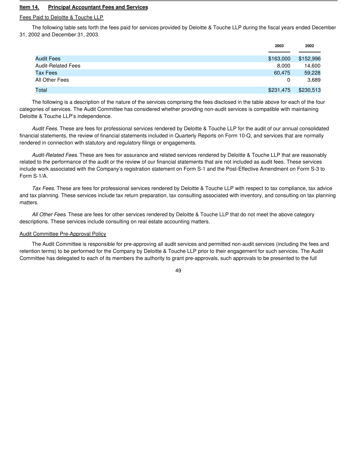### **Item 14. Principal Accountant Fees and Services**

### Fees Paid to Deloitte & Touche LLP

The following table sets forth the fees paid for services provided by Deloitte & Touche LLP during the fiscal years ended December 31, 2002 and December 31, 2003.

|                           | 2003      | 2002      |
|---------------------------|-----------|-----------|
|                           |           |           |
| <b>Audit Fees</b>         | \$163,000 | \$152,996 |
| <b>Audit-Related Fees</b> | 8,000     | 14,600    |
| Tax Fees                  | 60,475    | 59,228    |
| All Other Fees            | 0         | 3,689     |
| Total                     | \$231,475 | \$230,513 |

The following is a description of the nature of the services comprising the fees disclosed in the table above for each of the four categories of services. The Audit Committee has considered whether providing non-audit services is compatible with maintaining Deloitte & Touche LLP's independence.

*Audit Fees.* These are fees for professional services rendered by Deloitte & Touche LLP for the audit of our annual consolidated financial statements, the review of financial statements included in Quarterly Reports on Form 10-Q, and services that are normally rendered in connection with statutory and regulatory filings or engagements.

*Audit-Related Fees*. These are fees for assurance and related services rendered by Deloitte & Touche LLP that are reasonably related to the performance of the audit or the review of our financial statements that are not included as audit fees. These services include work associated with the Company's registration statement on Form S-1 and the Post-Effective Amendment on Form S-3 to Form S-1/A.

*Tax Fees*. These are fees for professional services rendered by Deloitte & Touche LLP with respect to tax compliance, tax advice and tax planning. These services include tax return preparation, tax consulting associated with inventory, and consulting on tax planning matters.

*All Other Fees*. These are fees for other services rendered by Deloitte & Touche LLP that do not meet the above category descriptions. These services include consulting on real estate accounting matters.

### Audit Committee Pre-Approval Policy

The Audit Committee is responsible for pre-approving all audit services and permitted non-audit services (including the fees and retention terms) to be performed for the Company by Deloitte & Touche LLP prior to their engagement for such services. The Audit Committee has delegated to each of its members the authority to grant pre-approvals, such approvals to be presented to the full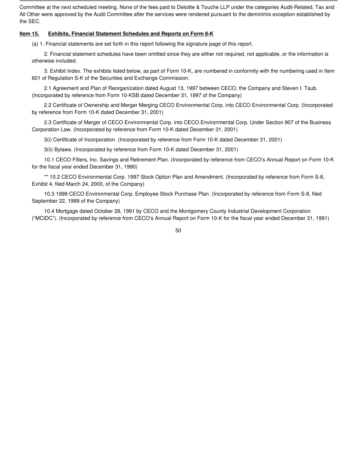Committee at the next scheduled meeting. None of the fees paid to Deloitte & Touche LLP under the categories Audit-Related, Tax and All Other were approved by the Audit Committee after the services were rendered pursuant to the deminimis exception established by the SEC.

#### **Item 15. Exhibits, Financial Statement Schedules and Reports on Form 8-K**

(a) 1. Financial statements are set forth in this report following the signature page of this report.

2. Financial statement schedules have been omitted since they are either not required, not applicable, or the information is otherwise included.

3. Exhibit Index. The exhibits listed below, as part of Form 10-K, are numbered in conformity with the numbering used in Item 601 of Regulation S-K of the Securities and Exchange Commission.

2.1 Agreement and Plan of Reorganization dated August 13, 1997 between CECO, the Company and Steven I. Taub. (Incorporated by reference from Form 10-KSB dated December 31, 1997 of the Company)

2.2 Certificate of Ownership and Merger Merging CECO Environmental Corp. into CECO Environmental Corp. (Incorporated by reference from Form 10-K dated December 31, 2001)

2.3 Certificate of Merger of CECO Environmental Corp. into CECO Environmental Corp. Under Section 907 of the Business Corporation Law. (Incorporated by reference from Form 10-K dated December 31, 2001)

3(i) Certificate of Incorporation. (Incorporated by reference from Form 10-K dated December 31, 2001)

3(ii) Bylaws. (Incorporated by reference from Form 10-K dated December 31, 2001)

10.1 CECO Filters, Inc. Savings and Retirement Plan. (Incorporated by reference from CECO's Annual Report on Form 10-K for the fiscal year ended December 31, 1990)

\*\* 10.2 CECO Environmental Corp. 1997 Stock Option Plan and Amendment. (Incorporated by reference from Form S-8, Exhibit 4, filed March 24, 2000, of the Company)

10.3 1999 CECO Environmental Corp. Employee Stock Purchase Plan. (Incorporated by reference from Form S-8, filed September 22, 1999 of the Company)

10.4 Mortgage dated October 28, 1991 by CECO and the Montgomery County Industrial Development Corporation ("MCIDC"). (Incorporated by reference from CECO's Annual Report on Form 10-K for the fiscal year ended December 31, 1991)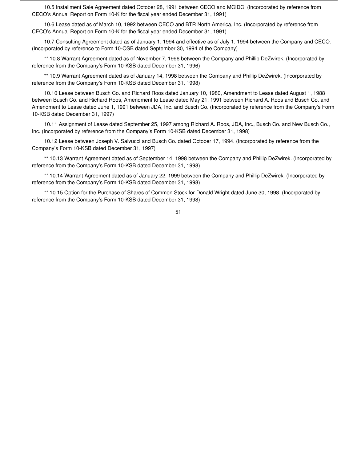10.5 Installment Sale Agreement dated October 28, 1991 between CECO and MCIDC. (Incorporated by reference from CECO's Annual Report on Form 10-K for the fiscal year ended December 31, 1991)

10.6 Lease dated as of March 10, 1992 between CECO and BTR North America, Inc. (Incorporated by reference from CECO's Annual Report on Form 10-K for the fiscal year ended December 31, 1991)

10.7 Consulting Agreement dated as of January 1, 1994 and effective as of July 1, 1994 between the Company and CECO. (Incorporated by reference to Form 10-QSB dated September 30, 1994 of the Company)

\*\* 10.8 Warrant Agreement dated as of November 7, 1996 between the Company and Phillip DeZwirek. (Incorporated by reference from the Company's Form 10-KSB dated December 31, 1996)

\*\* 10.9 Warrant Agreement dated as of January 14, 1998 between the Company and Phillip DeZwirek. (Incorporated by reference from the Company's Form 10-KSB dated December 31, 1998)

10.10 Lease between Busch Co. and Richard Roos dated January 10, 1980, Amendment to Lease dated August 1, 1988 between Busch Co. and Richard Roos, Amendment to Lease dated May 21, 1991 between Richard A. Roos and Busch Co. and Amendment to Lease dated June 1, 1991 between JDA, Inc. and Busch Co. (Incorporated by reference from the Company's Form 10-KSB dated December 31, 1997)

10.11 Assignment of Lease dated September 25, 1997 among Richard A. Roos, JDA, Inc., Busch Co. and New Busch Co., Inc. (Incorporated by reference from the Company's Form 10-KSB dated December 31, 1998)

10.12 Lease between Joseph V. Salvucci and Busch Co. dated October 17, 1994. (Incorporated by reference from the Company's Form 10-KSB dated December 31, 1997)

\*\* 10.13 Warrant Agreement dated as of September 14, 1998 between the Company and Phillip DeZwirek. (Incorporated by reference from the Company's Form 10-KSB dated December 31, 1998)

\*\* 10.14 Warrant Agreement dated as of January 22, 1999 between the Company and Phillip DeZwirek. (Incorporated by reference from the Company's Form 10-KSB dated December 31, 1998)

\*\* 10.15 Option for the Purchase of Shares of Common Stock for Donald Wright dated June 30, 1998. (Incorporated by reference from the Company's Form 10-KSB dated December 31, 1998)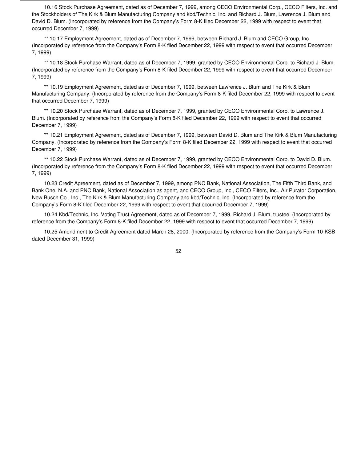10.16 Stock Purchase Agreement, dated as of December 7, 1999, among CECO Environmental Corp., CECO Filters, Inc. and the Stockholders of The Kirk & Blum Manufacturing Company and kbd/Technic, Inc. and Richard J. Blum, Lawrence J. Blum and David D. Blum. (Incorporated by reference from the Company's Form 8-K filed December 22, 1999 with respect to event that occurred December 7, 1999)

\*\* 10.17 Employment Agreement, dated as of December 7, 1999, between Richard J. Blum and CECO Group, Inc. (Incorporated by reference from the Company's Form 8-K filed December 22, 1999 with respect to event that occurred December 7, 1999)

\*\* 10.18 Stock Purchase Warrant, dated as of December 7, 1999, granted by CECO Environmental Corp. to Richard J. Blum. (Incorporated by reference from the Company's Form 8-K filed December 22, 1999 with respect to event that occurred December 7, 1999)

\*\* 10.19 Employment Agreement, dated as of December 7, 1999, between Lawrence J. Blum and The Kirk & Blum Manufacturing Company. (Incorporated by reference from the Company's Form 8-K filed December 22, 1999 with respect to event that occurred December 7, 1999)

\*\* 10.20 Stock Purchase Warrant, dated as of December 7, 1999, granted by CECO Environmental Corp. to Lawrence J. Blum. (Incorporated by reference from the Company's Form 8-K filed December 22, 1999 with respect to event that occurred December 7, 1999)

\*\* 10.21 Employment Agreement, dated as of December 7, 1999, between David D. Blum and The Kirk & Blum Manufacturing Company. (Incorporated by reference from the Company's Form 8-K filed December 22, 1999 with respect to event that occurred December 7, 1999)

\*\* 10.22 Stock Purchase Warrant, dated as of December 7, 1999, granted by CECO Environmental Corp. to David D. Blum. (Incorporated by reference from the Company's Form 8-K filed December 22, 1999 with respect to event that occurred December 7, 1999)

10.23 Credit Agreement, dated as of December 7, 1999, among PNC Bank, National Association, The Fifth Third Bank, and Bank One, N.A. and PNC Bank, National Association as agent, and CECO Group, Inc., CECO Filters, Inc., Air Purator Corporation, New Busch Co., Inc., The Kirk & Blum Manufacturing Company and kbd/Technic, Inc. (Incorporated by reference from the Company's Form 8-K filed December 22, 1999 with respect to event that occurred December 7, 1999)

10.24 Kbd/Technic, Inc. Voting Trust Agreement, dated as of December 7, 1999, Richard J. Blum, trustee. (Incorporated by reference from the Company's Form 8-K filed December 22, 1999 with respect to event that occurred December 7, 1999)

10.25 Amendment to Credit Agreement dated March 28, 2000. (Incorporated by reference from the Company's Form 10-KSB dated December 31, 1999)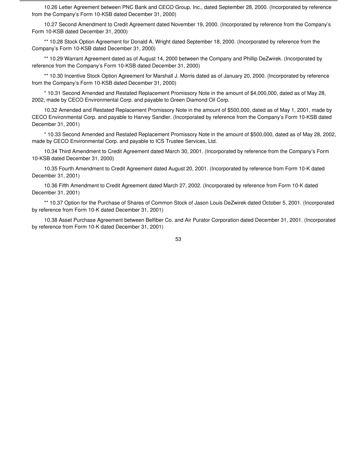10.26 Letter Agreement between PNC Bank and CECO Group, Inc., dated September 28, 2000. (Incorporated by reference from the Company's Form 10-KSB dated December 31, 2000)

10.27 Second Amendment to Credit Agreement dated November 19, 2000. (Incorporated by reference from the Company's Form 10-KSB dated December 31, 2000)

\*\* 10.28 Stock Option Agreement for Donald A. Wright dated September 18, 2000. (Incorporated by reference from the Company's Form 10-KSB dated December 31, 2000)

\*\* 10.29 Warrant Agreement dated as of August 14, 2000 between the Company and Phillip DeZwirek. (Incorporated by reference from the Company's Form 10-KSB dated December 31, 2000)

\*\* 10.30 Incentive Stock Option Agreement for Marshall J. Morris dated as of January 20, 2000. (Incorporated by reference from the Company's Form 10-KSB dated December 31, 2000)

\* 10.31 Second Amended and Restated Replacement Promissory Note in the amount of \$4,000,000, dated as of May 28, 2002, made by CECO Environmental Corp. and payable to Green Diamond Oil Corp.

10.32 Amended and Restated Replacement Promissory Note in the amount of \$500,000, dated as of May 1, 2001, made by CECO Environmental Corp. and payable to Harvey Sandler. (Incorporated by reference from the Company's Form 10-KSB dated December 31, 2001)

\* 10.33 Second Amended and Restated Replacement Promissory Note in the amount of \$500,000, dated as of May 28, 2002, made by CECO Environmental Corp. and payable to ICS Trustee Services, Ltd.

10.34 Third Amendment to Credit Agreement dated March 30, 2001. (Incorporated by reference from the Company's Form 10-KSB dated December 31, 2000)

10.35 Fourth Amendment to Credit Agreement dated August 20, 2001. (Incorporated by reference from Form 10-K dated December 31, 2001)

10.36 Fifth Amendment to Credit Agreement dated March 27, 2002. (Incorporated by reference from Form 10-K dated December 31, 2001)

\*\* 10.37 Option for the Purchase of Shares of Common Stock of Jason Louis DeZwirek dated October 5, 2001. (Incorporated by reference from Form 10-K dated December 31, 2001)

10.38 Asset Purchase Agreement between Belfiber Co. and Air Purator Corporation dated December 31, 2001. (Incorporated by reference from Form 10-K dated December 31, 2001)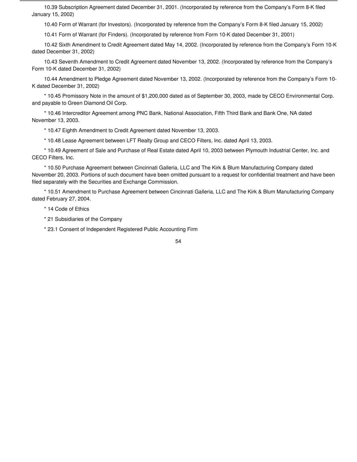10.39 Subscription Agreement dated December 31, 2001. (Incorporated by reference from the Company's Form 8-K filed January 15, 2002)

10.40 Form of Warrant (for Investors). (Incorporated by reference from the Company's Form 8-K filed January 15, 2002)

10.41 Form of Warrant (for Finders). (Incorporated by reference from Form 10-K dated December 31, 2001)

10.42 Sixth Amendment to Credit Agreement dated May 14, 2002. (Incorporated by reference from the Company's Form 10-K dated December 31, 2002)

10.43 Seventh Amendment to Credit Agreement dated November 13, 2002. (Incorporated by reference from the Company's Form 10-K dated December 31, 2002)

10.44 Amendment to Pledge Agreement dated November 13, 2002. (Incorporated by reference from the Company's Form 10- K dated December 31, 2002)

\* 10.45 Promissory Note in the amount of \$1,200,000 dated as of September 30, 2003, made by CECO Environmental Corp. and payable to Green Diamond Oil Corp.

\* 10.46 Intercreditor Agreement among PNC Bank, National Association, Fifth Third Bank and Bank One, NA dated November 13, 2003.

\* 10.47 Eighth Amendment to Credit Agreement dated November 13, 2003.

\* 10.48 Lease Agreement between LFT Realty Group and CECO Filters, Inc. dated April 13, 2003.

\* 10.49 Agreement of Sale and Purchase of Real Estate dated April 10, 2003 between Plymouth Industrial Center, Inc. and CECO Filters, Inc.

\* 10.50 Purchase Agreement between Cincinnati Galleria, LLC and The Kirk & Blum Manufacturing Company dated November 20, 2003. Portions of such document have been omitted pursuant to a request for confidential treatment and have been filed separately with the Securities and Exchange Commission.

\* 10.51 Amendment to Purchase Agreement between Cincinnati Galleria, LLC and The Kirk & Blum Manufacturing Company dated February 27, 2004.

\* 14 Code of Ethics

\* 21 Subsidiaries of the Company

\* 23.1 Consent of Independent Registered Public Accounting Firm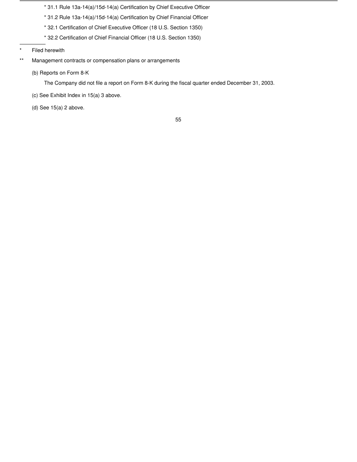- \* 31.1 Rule 13a-14(a)/15d-14(a) Certification by Chief Executive Officer
- \* 31.2 Rule 13a-14(a)/15d-14(a) Certification by Chief Financial Officer
- \* 32.1 Certification of Chief Executive Officer (18 U.S. Section 1350)
- \* 32.2 Certification of Chief Financial Officer (18 U.S. Section 1350)
- Filed herewith
- \*\* Management contracts or compensation plans or arrangements
	- (b) Reports on Form 8-K

The Company did not file a report on Form 8-K during the fiscal quarter ended December 31, 2003.

- (c) See Exhibit Index in 15(a) 3 above.
- (d) See 15(a) 2 above.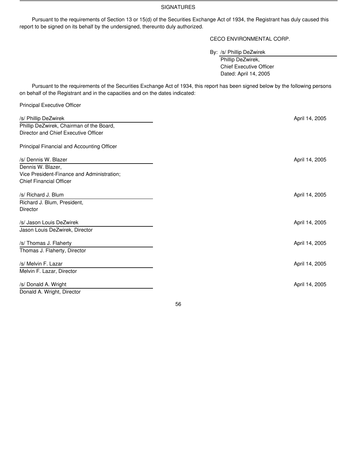Pursuant to the requirements of Section 13 or 15(d) of the Securities Exchange Act of 1934, the Registrant has duly caused this report to be signed on its behalf by the undersigned, thereunto duly authorized.

## CECO ENVIRONMENTAL CORP.

By: /s/ Phillip DeZwirek

Phillip DeZwirek, Chief Executive Officer Dated: April 14, 2005

Pursuant to the requirements of the Securities Exchange Act of 1934, this report has been signed below by the following persons on behalf of the Registrant and in the capacities and on the dates indicated:

Principal Executive Officer

| /s/ Phillip DeZwirek                       | April 14, 2005 |
|--------------------------------------------|----------------|
| Phillip DeZwirek, Chairman of the Board,   |                |
| Director and Chief Executive Officer       |                |
| Principal Financial and Accounting Officer |                |
| /s/ Dennis W. Blazer                       | April 14, 2005 |
| Dennis W. Blazer,                          |                |
| Vice President-Finance and Administration; |                |
| <b>Chief Financial Officer</b>             |                |
| /s/ Richard J. Blum                        | April 14, 2005 |
| Richard J. Blum, President,                |                |
| Director                                   |                |
| /s/ Jason Louis DeZwirek                   | April 14, 2005 |
| Jason Louis DeZwirek, Director             |                |
| /s/ Thomas J. Flaherty                     | April 14, 2005 |
| Thomas J. Flaherty, Director               |                |
| /s/ Melvin F. Lazar                        | April 14, 2005 |
| Melvin F. Lazar, Director                  |                |
| /s/ Donald A. Wright                       | April 14, 2005 |
| Donald A. Wright, Director                 |                |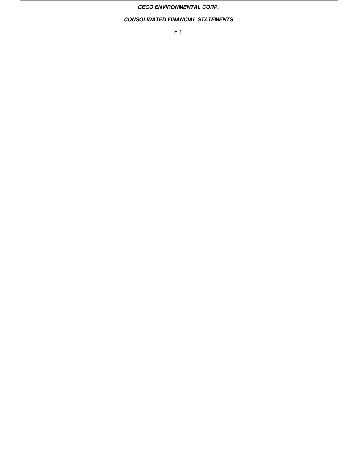## *CONSOLIDATED FINANCIAL STATEMENTS*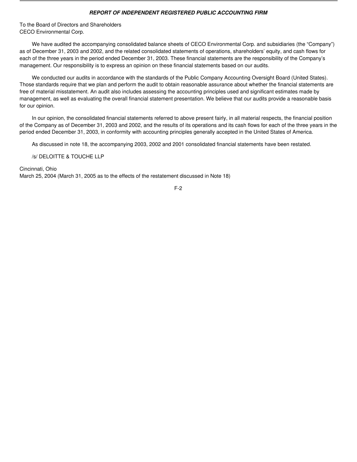## *REPORT OF INDEPENDENT REGISTERED PUBLIC ACCOUNTING FIRM*

To the Board of Directors and Shareholders CECO Environmental Corp.

We have audited the accompanying consolidated balance sheets of CECO Environmental Corp. and subsidiaries (the "Company") as of December 31, 2003 and 2002, and the related consolidated statements of operations, shareholders' equity, and cash flows for each of the three years in the period ended December 31, 2003. These financial statements are the responsibility of the Company's management. Our responsibility is to express an opinion on these financial statements based on our audits.

We conducted our audits in accordance with the standards of the Public Company Accounting Oversight Board (United States). Those standards require that we plan and perform the audit to obtain reasonable assurance about whether the financial statements are free of material misstatement. An audit also includes assessing the accounting principles used and significant estimates made by management, as well as evaluating the overall financial statement presentation. We believe that our audits provide a reasonable basis for our opinion.

In our opinion, the consolidated financial statements referred to above present fairly, in all material respects, the financial position of the Company as of December 31, 2003 and 2002, and the results of its operations and its cash flows for each of the three years in the period ended December 31, 2003, in conformity with accounting principles generally accepted in the United States of America.

As discussed in note 18, the accompanying 2003, 2002 and 2001 consolidated financial statements have been restated.

/s/ DELOITTE & TOUCHE LLP

## Cincinnati, Ohio

March 25, 2004 (March 31, 2005 as to the effects of the restatement discussed in Note 18)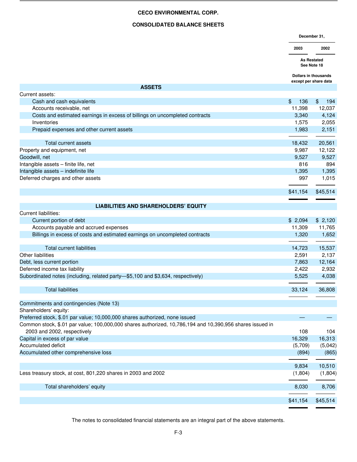### **CONSOLIDATED BALANCE SHEETS**

|                                                                                                          | December 31,                      |                      |
|----------------------------------------------------------------------------------------------------------|-----------------------------------|----------------------|
|                                                                                                          | 2003                              | 2002                 |
|                                                                                                          | <b>As Restated</b><br>See Note 18 |                      |
|                                                                                                          | except per share data             | Dollars in thousands |
| <b>ASSETS</b>                                                                                            |                                   |                      |
| Current assets:                                                                                          |                                   |                      |
| Cash and cash equivalents                                                                                | \$<br>136                         | \$<br>194            |
| Accounts receivable, net                                                                                 | 11,398                            | 12,037               |
| Costs and estimated earnings in excess of billings on uncompleted contracts                              | 3,340                             | 4,124                |
| Inventories                                                                                              | 1,575                             | 2,055                |
| Prepaid expenses and other current assets                                                                | 1,983                             | 2,151                |
| Total current assets                                                                                     | 18,432                            | 20,561               |
| Property and equipment, net                                                                              | 9,987                             | 12,122               |
| Goodwill, net                                                                                            | 9,527                             | 9,527                |
| Intangible assets - finite life, net                                                                     | 816                               | 894                  |
| Intangible assets - indefinite life                                                                      | 1,395                             | 1,395                |
| Deferred charges and other assets                                                                        | 997                               | 1,015                |
|                                                                                                          | \$41,154                          | \$45,514             |
|                                                                                                          |                                   |                      |
| <b>LIABILITIES AND SHAREHOLDERS' EQUITY</b>                                                              |                                   |                      |
| Current liabilities:                                                                                     |                                   |                      |
| Current portion of debt                                                                                  | \$2,094                           | \$2,120              |
| Accounts payable and accrued expenses                                                                    | 11,309                            | 11,765               |
| Billings in excess of costs and estimated earnings on uncompleted contracts                              | 1,320                             | 1,652                |
| <b>Total current liabilities</b>                                                                         | 14,723                            | 15,537               |
| Other liabilities                                                                                        | 2,591                             | 2,137                |
| Debt, less current portion                                                                               | 7,863                             | 12,164               |
| Deferred income tax liability                                                                            | 2,422                             | 2,932                |
| Subordinated notes (including, related party-\$5,100 and \$3,634, respectively)                          | 5,525                             | 4,038                |
|                                                                                                          |                                   |                      |
| <b>Total liabilities</b>                                                                                 | 33,124                            | 36,808               |
| Commitments and contingencies (Note 13)                                                                  |                                   |                      |
| Shareholders' equity:                                                                                    |                                   |                      |
| Preferred stock, \$.01 par value; 10,000,000 shares authorized, none issued                              |                                   |                      |
| Common stock, \$.01 par value; 100,000,000 shares authorized, 10,786,194 and 10,390,956 shares issued in |                                   |                      |
| 2003 and 2002, respectively                                                                              | 108                               | 104                  |
| Capital in excess of par value                                                                           | 16,329                            | 16,313               |
| Accumulated deficit                                                                                      | (5,709)                           | (5,042)              |
| Accumulated other comprehensive loss                                                                     | (894)                             | (865)                |
|                                                                                                          | 9,834                             | 10,510               |
| Less treasury stock, at cost, 801,220 shares in 2003 and 2002                                            | (1,804)                           | (1,804)              |
|                                                                                                          |                                   |                      |
| Total shareholders' equity                                                                               | 8,030                             | 8,706                |
|                                                                                                          | \$41,154                          | \$45,514             |

The notes to consolidated financial statements are an integral part of the above statements.

÷.  $\sim$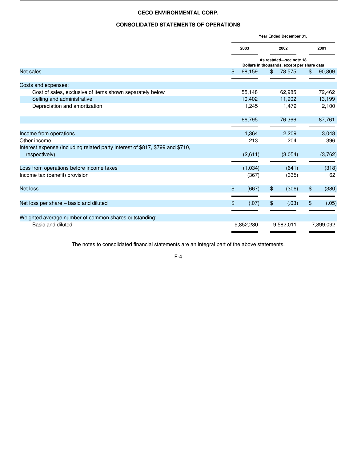## **CONSOLIDATED STATEMENTS OF OPERATIONS**

|                                                                                                | Year Ended December 31,                                                |           |               |           |    |           |  |      |
|------------------------------------------------------------------------------------------------|------------------------------------------------------------------------|-----------|---------------|-----------|----|-----------|--|------|
|                                                                                                |                                                                        | 2003      |               | 2002      |    |           |  | 2001 |
|                                                                                                | As restated-see note 18<br>Dollars in thousands, except per share data |           |               |           |    |           |  |      |
| Net sales                                                                                      | \$                                                                     | 68,159    | \$            | 78,575    | \$ | 90,809    |  |      |
|                                                                                                |                                                                        |           |               |           |    |           |  |      |
| Costs and expenses:                                                                            |                                                                        |           |               |           |    |           |  |      |
| Cost of sales, exclusive of items shown separately below                                       |                                                                        | 55,148    |               | 62,985    |    | 72,462    |  |      |
| Selling and administrative                                                                     |                                                                        | 10,402    |               | 11,902    |    | 13,199    |  |      |
| Depreciation and amortization                                                                  |                                                                        | 1,245     |               | 1,479     |    | 2,100     |  |      |
|                                                                                                |                                                                        | 66,795    |               | 76,366    |    | 87,761    |  |      |
| Income from operations                                                                         |                                                                        | 1,364     |               | 2,209     |    | 3,048     |  |      |
| Other income                                                                                   |                                                                        | 213       |               | 204       |    | 396       |  |      |
| Interest expense (including related party interest of \$817, \$799 and \$710,<br>respectively) |                                                                        | (2,611)   |               | (3,054)   |    | (3,762)   |  |      |
| Loss from operations before income taxes                                                       |                                                                        | (1,034)   |               | (641)     |    | (318)     |  |      |
| Income tax (benefit) provision                                                                 |                                                                        | (367)     |               | (335)     |    | 62        |  |      |
| <b>Net loss</b>                                                                                | \$                                                                     | (667)     | $\frac{1}{2}$ | (306)     | \$ | (380)     |  |      |
| Net loss per share - basic and diluted                                                         | \$                                                                     | (.07)     | $\frac{1}{2}$ | (.03)     | \$ | (.05)     |  |      |
|                                                                                                |                                                                        |           |               |           |    |           |  |      |
| Weighted average number of common shares outstanding:                                          |                                                                        |           |               |           |    |           |  |      |
| Basic and diluted                                                                              |                                                                        | 9,852,280 |               | 9,582,011 |    | 7,899,092 |  |      |

The notes to consolidated financial statements are an integral part of the above statements.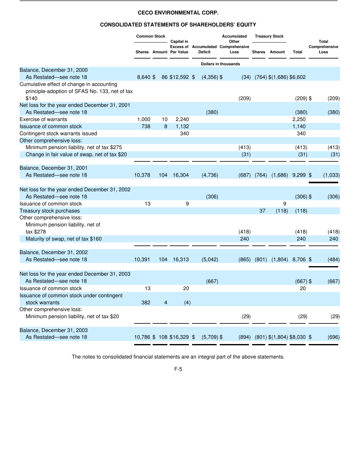## **CONSOLIDATED STATEMENTS OF SHAREHOLDERS' EQUITY**

|                                                                                                      | <b>Common Stock</b> |                | Capital in                     |  |                |                                                    |       |                                         |                    |                       |  |  |  |  |  |  |  | Accumulated<br>Other |  | <b>Treasury Stock</b> |  | <b>Total</b> |
|------------------------------------------------------------------------------------------------------|---------------------|----------------|--------------------------------|--|----------------|----------------------------------------------------|-------|-----------------------------------------|--------------------|-----------------------|--|--|--|--|--|--|--|----------------------|--|-----------------------|--|--------------|
|                                                                                                      |                     |                | <b>Shares</b> Amount Par Value |  | <b>Deficit</b> | <b>Excess of Accumulated Comprehensive</b><br>Loss |       | <b>Shares</b> Amount                    | Total              | Comprehensive<br>Loss |  |  |  |  |  |  |  |                      |  |                       |  |              |
|                                                                                                      |                     |                |                                |  |                | <b>Dollars in thousands</b>                        |       |                                         |                    |                       |  |  |  |  |  |  |  |                      |  |                       |  |              |
| Balance, December 31, 2000                                                                           |                     |                |                                |  |                |                                                    |       |                                         |                    |                       |  |  |  |  |  |  |  |                      |  |                       |  |              |
| As Restated-see note 18                                                                              | 8,640 \$            |                | 86 \$12,592 \$                 |  | $(4,356)$ \$   | (34)                                               |       | $(764)$ \$ $(1,686)$ \$6,602            |                    |                       |  |  |  |  |  |  |  |                      |  |                       |  |              |
| Cumulative effect of change in accounting<br>principle-adoption of SFAS No. 133, net of tax<br>\$140 |                     |                |                                |  |                | (209)                                              |       |                                         | $(209)$ \$         | (209)                 |  |  |  |  |  |  |  |                      |  |                       |  |              |
| Net loss for the year ended December 31, 2001                                                        |                     |                |                                |  |                |                                                    |       |                                         |                    |                       |  |  |  |  |  |  |  |                      |  |                       |  |              |
| As Restated-see note 18                                                                              |                     |                |                                |  | (380)          |                                                    |       |                                         | (380)              | (380)                 |  |  |  |  |  |  |  |                      |  |                       |  |              |
| Exercise of warrants                                                                                 | 1,000               | 10             | 2,240                          |  |                |                                                    |       |                                         | 2,250              |                       |  |  |  |  |  |  |  |                      |  |                       |  |              |
| Issuance of common stock                                                                             | 738                 | 8              | 1,132                          |  |                |                                                    |       |                                         | 1,140              |                       |  |  |  |  |  |  |  |                      |  |                       |  |              |
| Contingent stock warrants issued                                                                     |                     |                | 340                            |  |                |                                                    |       |                                         | 340                |                       |  |  |  |  |  |  |  |                      |  |                       |  |              |
| Other comprehensive loss:                                                                            |                     |                |                                |  |                |                                                    |       |                                         |                    |                       |  |  |  |  |  |  |  |                      |  |                       |  |              |
| Minimum pension liability, net of tax \$275                                                          |                     |                |                                |  |                | (413)                                              |       |                                         | (413)              | (413)                 |  |  |  |  |  |  |  |                      |  |                       |  |              |
| Change in fair value of swap, net of tax \$20                                                        |                     |                |                                |  |                | (31)                                               |       |                                         | (31)               | (31)                  |  |  |  |  |  |  |  |                      |  |                       |  |              |
|                                                                                                      |                     |                |                                |  |                |                                                    |       |                                         |                    |                       |  |  |  |  |  |  |  |                      |  |                       |  |              |
| Balance, December 31, 2001                                                                           |                     |                |                                |  |                |                                                    |       |                                         |                    |                       |  |  |  |  |  |  |  |                      |  |                       |  |              |
| As Restated-see note 18                                                                              | 10,378              | 104            | 16,304                         |  | (4,736)        | (687)                                              | (764) |                                         | $(1,686)$ 9,299 \$ | (1,033)               |  |  |  |  |  |  |  |                      |  |                       |  |              |
|                                                                                                      |                     |                |                                |  |                |                                                    |       |                                         |                    |                       |  |  |  |  |  |  |  |                      |  |                       |  |              |
| Net loss for the year ended December 31, 2002                                                        |                     |                |                                |  |                |                                                    |       |                                         |                    |                       |  |  |  |  |  |  |  |                      |  |                       |  |              |
| As Restated-see note 18                                                                              |                     |                |                                |  | (306)          |                                                    |       |                                         | $(306)$ \$         | (306)                 |  |  |  |  |  |  |  |                      |  |                       |  |              |
| Issuance of common stock                                                                             | 13                  |                | 9                              |  |                |                                                    |       | 9                                       |                    |                       |  |  |  |  |  |  |  |                      |  |                       |  |              |
| Treasury stock purchases                                                                             |                     |                |                                |  |                |                                                    | 37    | (118)                                   | (118)              |                       |  |  |  |  |  |  |  |                      |  |                       |  |              |
| Other comprehensive loss:                                                                            |                     |                |                                |  |                |                                                    |       |                                         |                    |                       |  |  |  |  |  |  |  |                      |  |                       |  |              |
| Minimum pension liability, net of                                                                    |                     |                |                                |  |                |                                                    |       |                                         |                    |                       |  |  |  |  |  |  |  |                      |  |                       |  |              |
| tax \$278                                                                                            |                     |                |                                |  |                | (418)                                              |       |                                         | (418)              | (418)                 |  |  |  |  |  |  |  |                      |  |                       |  |              |
| Maturity of swap, net of tax \$160                                                                   |                     |                |                                |  |                | 240                                                |       |                                         | 240                | 240                   |  |  |  |  |  |  |  |                      |  |                       |  |              |
|                                                                                                      |                     |                |                                |  |                |                                                    |       |                                         |                    |                       |  |  |  |  |  |  |  |                      |  |                       |  |              |
| Balance, December 31, 2002                                                                           |                     |                |                                |  |                |                                                    |       |                                         |                    |                       |  |  |  |  |  |  |  |                      |  |                       |  |              |
| As Restated-see note 18                                                                              | 10,391              | 104            | 16,313                         |  | (5,042)        | (865)                                              | (801) |                                         | $(1,804)$ 8,706 \$ | (484)                 |  |  |  |  |  |  |  |                      |  |                       |  |              |
|                                                                                                      |                     |                |                                |  |                |                                                    |       |                                         |                    |                       |  |  |  |  |  |  |  |                      |  |                       |  |              |
| Net loss for the year ended December 31, 2003                                                        |                     |                |                                |  |                |                                                    |       |                                         |                    |                       |  |  |  |  |  |  |  |                      |  |                       |  |              |
| As Restated-see note 18                                                                              |                     |                |                                |  | (667)          |                                                    |       |                                         | $(667)$ \$         | (667)                 |  |  |  |  |  |  |  |                      |  |                       |  |              |
| Issuance of common stock                                                                             | 13                  |                | 20                             |  |                |                                                    |       |                                         | 20                 |                       |  |  |  |  |  |  |  |                      |  |                       |  |              |
| Issuance of common stock under contingent                                                            |                     |                |                                |  |                |                                                    |       |                                         |                    |                       |  |  |  |  |  |  |  |                      |  |                       |  |              |
| stock warrants                                                                                       | 382                 | $\overline{4}$ | (4)                            |  |                |                                                    |       |                                         |                    |                       |  |  |  |  |  |  |  |                      |  |                       |  |              |
| Other comprehensive loss:                                                                            |                     |                |                                |  |                |                                                    |       |                                         |                    |                       |  |  |  |  |  |  |  |                      |  |                       |  |              |
| Minimum pension liability, net of tax \$20                                                           |                     |                |                                |  |                | (29)                                               |       |                                         | (29)               | (29)                  |  |  |  |  |  |  |  |                      |  |                       |  |              |
|                                                                                                      |                     |                |                                |  |                |                                                    |       |                                         |                    |                       |  |  |  |  |  |  |  |                      |  |                       |  |              |
| Balance, December 31, 2003                                                                           |                     |                |                                |  |                |                                                    |       |                                         |                    |                       |  |  |  |  |  |  |  |                      |  |                       |  |              |
| As Restated-see note 18                                                                              |                     |                | 10,786 \$ 108 \$16,329 \$      |  | $(5,709)$ \$   |                                                    |       | $(894)$ $(801)$ \$ $(1,804)$ \$8,030 \$ |                    | (696)                 |  |  |  |  |  |  |  |                      |  |                       |  |              |
|                                                                                                      |                     |                |                                |  |                |                                                    |       |                                         |                    |                       |  |  |  |  |  |  |  |                      |  |                       |  |              |

The notes to consolidated financial statements are an integral part of the above statements.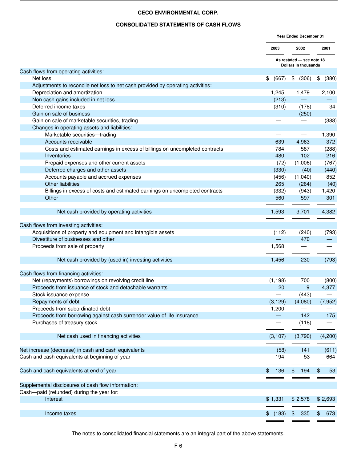## **CONSOLIDATED STATEMENTS OF CASH FLOWS**

|                                                                                 | <b>Year Ended December 31</b>                            |             |             |  |
|---------------------------------------------------------------------------------|----------------------------------------------------------|-------------|-------------|--|
|                                                                                 | 2003                                                     | 2002        | 2001        |  |
|                                                                                 | As restated - see note 18<br><b>Dollars in thousands</b> |             |             |  |
| Cash flows from operating activities:                                           |                                                          |             |             |  |
| Net loss                                                                        | \$<br>(667)                                              | \$<br>(306) | (380)<br>\$ |  |
| Adjustments to reconcile net loss to net cash provided by operating activities: |                                                          |             |             |  |
| Depreciation and amortization                                                   | 1,245                                                    | 1,479       | 2,100       |  |
| Non cash gains included in net loss                                             | (213)                                                    |             |             |  |
| Deferred income taxes                                                           | (310)                                                    | (178)       | 34          |  |
| Gain on sale of business                                                        |                                                          | (250)       |             |  |
| Gain on sale of marketable securities, trading                                  |                                                          |             | (388)       |  |
| Changes in operating assets and liabilities:                                    |                                                          |             |             |  |
| Marketable securities-trading                                                   |                                                          |             | 1,390       |  |
| Accounts receivable                                                             | 639                                                      | 4,963       | 372         |  |
| Costs and estimated earnings in excess of billings on uncompleted contracts     | 784                                                      | 587         | (288)       |  |
| Inventories                                                                     | 480                                                      | 102         | 216         |  |
| Prepaid expenses and other current assets                                       | (72)                                                     | (1,006)     | (767)       |  |
| Deferred charges and other assets                                               | (330)                                                    | (40)        | (440)       |  |
| Accounts payable and accrued expenses                                           | (456)                                                    | (1,040)     | 852         |  |
| <b>Other liabilities</b>                                                        | 265                                                      | (264)       | (40)        |  |
| Billings in excess of costs and estimated earnings on uncompleted contracts     | (332)                                                    | (943)       | 1,420       |  |
| Other                                                                           | 560                                                      | 597         | 301         |  |
|                                                                                 |                                                          |             |             |  |
| Net cash provided by operating activities                                       | 1,593                                                    | 3,701       | 4,382       |  |
|                                                                                 |                                                          |             |             |  |
| Cash flows from investing activities:                                           |                                                          |             |             |  |
| Acquisitions of property and equipment and intangible assets                    | (112)                                                    | (240)       | (793)       |  |
| Divestiture of businesses and other                                             |                                                          | 470         |             |  |
| Proceeds from sale of property                                                  | 1,568                                                    |             |             |  |
|                                                                                 |                                                          |             |             |  |
| Net cash provided by (used in) investing activities                             | 1,456                                                    | 230         | (793)       |  |
|                                                                                 |                                                          |             |             |  |
| Cash flows from financing activities:                                           |                                                          |             |             |  |
| Net (repayments) borrowings on revolving credit line                            | (1, 198)                                                 | 700         | (800)       |  |
| Proceeds from issuance of stock and detachable warrants                         | 20                                                       | 9           | 4,377       |  |
| Stock issuance expense                                                          |                                                          | (443)       |             |  |
| Repayments of debt                                                              | (3, 129)                                                 | (4,080)     | (7, 952)    |  |
| Proceeds from subordinated debt                                                 | 1,200                                                    |             |             |  |
| Proceeds from borrowing against cash surrender value of life insurance          |                                                          | 142         | 175         |  |
| Purchases of treasury stock                                                     |                                                          | (118)       |             |  |
|                                                                                 |                                                          |             |             |  |
| Net cash used in financing activities                                           | (3, 107)                                                 | (3,790)     | (4,200)     |  |
|                                                                                 |                                                          |             |             |  |
| Net increase (decrease) in cash and cash equivalents                            | (58)                                                     | 141         | (611)       |  |
| Cash and cash equivalents at beginning of year                                  | 194                                                      | 53          | 664         |  |
|                                                                                 |                                                          |             |             |  |
| Cash and cash equivalents at end of year                                        | \$<br>136                                                | \$<br>194   | \$<br>53    |  |
|                                                                                 |                                                          |             |             |  |
| Supplemental disclosures of cash flow information:                              |                                                          |             |             |  |
| Cash-paid (refunded) during the year for:                                       |                                                          |             |             |  |
| Interest                                                                        | \$1,331                                                  | \$2,578     | \$2,693     |  |
|                                                                                 |                                                          |             |             |  |
| Income taxes                                                                    | \$ (183)                                                 | \$<br>335   | 673<br>\$   |  |
|                                                                                 |                                                          |             |             |  |

The notes to consolidated financial statements are an integral part of the above statements.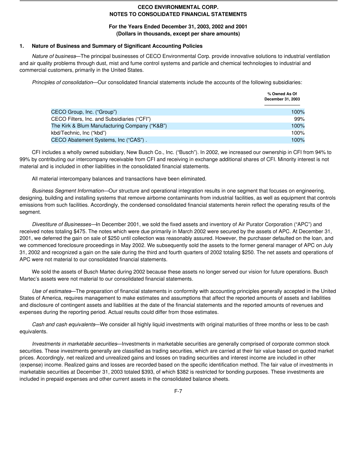## **CECO ENVIRONMENTAL CORP. NOTES TO CONSOLIDATED FINANCIAL STATEMENTS**

## **For the Years Ended December 31, 2003, 2002 and 2001 (Dollars in thousands, except per share amounts)**

## **1. Nature of Business and Summary of Significant Accounting Policies**

*Nature of business*—The principal businesses of CECO Environmental Corp. provide innovative solutions to industrial ventilation and air quality problems through dust, mist and fume control systems and particle and chemical technologies to industrial and commercial customers, primarily in the United States.

*Principles of consolidation*—Our consolidated financial statements include the accounts of the following subsidiaries:

|                                               | % Owned As Of<br>December 31, 2003 |
|-----------------------------------------------|------------------------------------|
| CECO Group, Inc. ("Group")                    | 100%                               |
| CECO Filters, Inc. and Subsidiaries ("CFI")   | 99%                                |
| The Kirk & Blum Manufacturing Company ("K&B") | 100%                               |
| kbd/Technic, Inc ("kbd")                      | 100%                               |
| CECO Abatement Systems, Inc ("CAS").          | 100%                               |

CFI includes a wholly owned subsidiary, New Busch Co., Inc. ("Busch"). In 2002, we increased our ownership in CFI from 94% to 99% by contributing our intercompany receivable from CFI and receiving in exchange additional shares of CFI. Minority interest is not material and is included in other liabilities in the consolidated financial statements.

All material intercompany balances and transactions have been eliminated.

*Business Segment Information—*Our structure and operational integration results in one segment that focuses on engineering, designing, building and installing systems that remove airborne contaminants from industrial facilities, as well as equipment that controls emissions from such facilities. Accordingly, the condensed consolidated financial statements herein reflect the operating results of the segment.

*Divestiture of Businesses—*In December 2001, we sold the fixed assets and inventory of Air Purator Corporation ("APC") and received notes totaling \$475. The notes which were due primarily in March 2002 were secured by the assets of APC. At December 31, 2001, we deferred the gain on sale of \$250 until collection was reasonably assured. However, the purchaser defaulted on the loan, and we commenced foreclosure proceedings in May 2002. We subsequently sold the assets to the former general manager of APC on July 31, 2002 and recognized a gain on the sale during the third and fourth quarters of 2002 totaling \$250. The net assets and operations of APC were not material to our consolidated financial statements.

We sold the assets of Busch Martec during 2002 because these assets no longer served our vision for future operations. Busch Martec's assets were not material to our consolidated financial statements.

*Use of estimates*—The preparation of financial statements in conformity with accounting principles generally accepted in the United States of America, requires management to make estimates and assumptions that affect the reported amounts of assets and liabilities and disclosure of contingent assets and liabilities at the date of the financial statements and the reported amounts of revenues and expenses during the reporting period. Actual results could differ from those estimates.

*Cash and cash equivalents*—We consider all highly liquid investments with original maturities of three months or less to be cash equivalents.

*Investments in marketable securities*—Investments in marketable securities are generally comprised of corporate common stock securities. These investments generally are classified as trading securities, which are carried at their fair value based on quoted market prices. Accordingly, net realized and unrealized gains and losses on trading securities and interest income are included in other (expense) income. Realized gains and losses are recorded based on the specific identification method. The fair value of investments in marketable securities at December 31, 2003 totaled \$393, of which \$382 is restricted for bonding purposes. These investments are included in prepaid expenses and other current assets in the consolidated balance sheets.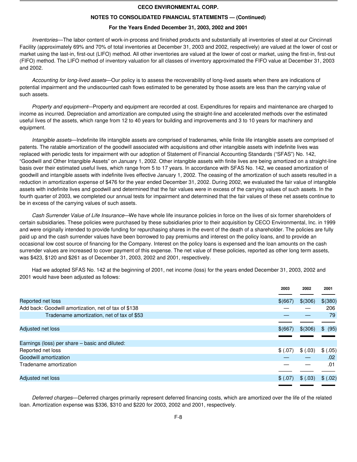### **NOTES TO CONSOLIDATED FINANCIAL STATEMENTS — (Continued)**

#### **For the Years Ended December 31, 2003, 2002 and 2001**

*Inventories*—The labor content of work-in-process and finished products and substantially all inventories of steel at our Cincinnati Facility (approximately 69% and 70% of total inventories at December 31, 2003 and 2002, respectively) are valued at the lower of cost or market using the last-in, first-out (LIFO) method. All other inventories are valued at the lower of cost or market, using the first-in, first-out (FIFO) method. The LIFO method of inventory valuation for all classes of inventory approximated the FIFO value at December 31, 2003 and 2002.

*Accounting for long-lived assets*—Our policy is to assess the recoverability of long-lived assets when there are indications of potential impairment and the undiscounted cash flows estimated to be generated by those assets are less than the carrying value of such assets.

*Property and equipment*—Property and equipment are recorded at cost. Expenditures for repairs and maintenance are charged to income as incurred. Depreciation and amortization are computed using the straight-line and accelerated methods over the estimated useful lives of the assets, which range from 12 to 40 years for building and improvements and 3 to 10 years for machinery and equipment.

*Intangible assets*—Indefinite life intangible assets are comprised of tradenames, while finite life intangible assets are comprised of patents. The ratable amortization of the goodwill associated with acquisitions and other intangible assets with indefinite lives was replaced with periodic tests for impairment with our adoption of Statement of Financial Accounting Standards ("SFAS") No. 142, "Goodwill and Other Intangible Assets" on January 1, 2002. Other intangible assets with finite lives are being amortized on a straight-line basis over their estimated useful lives, which range from 5 to 17 years. In accordance with SFAS No. 142, we ceased amortization of goodwill and intangible assets with indefinite lives effective January 1, 2002. The ceasing of the amortization of such assets resulted in a reduction in amortization expense of \$476 for the year ended December 31, 2002. During 2002, we evaluated the fair value of intangible assets with indefinite lives and goodwill and determined that the fair values were in excess of the carrying values of such assets. In the fourth quarter of 2003, we completed our annual tests for impairment and determined that the fair values of these net assets continue to be in excess of the carrying values of such assets.

*Cash Surrender Value of Life Insurance—*We have whole life insurance policies in force on the lives of six former shareholders of certain subsidiaries. These policies were purchased by these subsidiaries prior to their acquisition by CECO Environmental, Inc. in 1999 and were originally intended to provide funding for repurchasing shares in the event of the death of a shareholder. The policies are fully paid up and the cash surrender values have been borrowed to pay premiums and interest on the policy loans, and to provide an occasional low cost source of financing for the Company. Interest on the policy loans is expensed and the loan amounts on the cash surrender values are increased to cover payment of this expense. The net value of these policies, reported as other long term assets, was \$423, \$120 and \$261 as of December 31, 2003, 2002 and 2001, respectively.

Had we adopted SFAS No. 142 at the beginning of 2001, net income (loss) for the years ended December 31, 2003, 2002 and 2001 would have been adjusted as follows:

|                                                      | 2003    | 2002    | 2001    |
|------------------------------------------------------|---------|---------|---------|
|                                                      |         |         |         |
| Reported net loss                                    | \$(667) | \$(306) | \$(380) |
| Add back: Goodwill amortization, net of tax of \$138 |         |         | 206     |
| Tradename amortization, net of tax of \$53           |         |         | 79      |
|                                                      |         |         |         |
| Adjusted net loss                                    | \$(667) | \$(306) | \$ (95) |
|                                                      |         |         |         |
| Earnings (loss) per share - basic and diluted:       |         |         |         |
| Reported net loss                                    | \$(.07) | \$(.03) | \$(.05) |
| Goodwill amortization                                |         |         | .02     |
| Tradename amortization                               |         |         | .01     |
|                                                      |         |         |         |
| Adjusted net loss                                    | \$(.07) | \$(.03) | \$(.02) |
|                                                      |         |         |         |

*Deferred charges*—Deferred charges primarily represent deferred financing costs, which are amortized over the life of the related loan. Amortization expense was \$336, \$310 and \$220 for 2003, 2002 and 2001, respectively.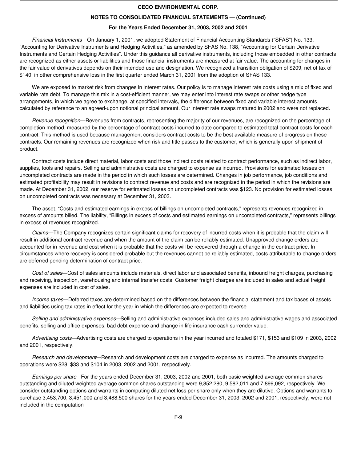#### **NOTES TO CONSOLIDATED FINANCIAL STATEMENTS — (Continued)**

#### **For the Years Ended December 31, 2003, 2002 and 2001**

*Financial Instruments*—On January 1, 2001, we adopted Statement of Financial Accounting Standards ("SFAS") No. 133, "Accounting for Derivative Instruments and Hedging Activities," as amended by SFAS No. 138, "Accounting for Certain Derivative Instruments and Certain Hedging Activities". Under this guidance all derivative instruments, including those embedded in other contracts are recognized as either assets or liabilities and those financial instruments are measured at fair value. The accounting for changes in the fair value of derivatives depends on their intended use and designation. We recognized a transition obligation of \$209, net of tax of \$140, in other comprehensive loss in the first quarter ended March 31, 2001 from the adoption of SFAS 133.

We are exposed to market risk from changes in interest rates. Our policy is to manage interest rate costs using a mix of fixed and variable rate debt. To manage this mix in a cost-efficient manner, we may enter into interest rate swaps or other hedge type arrangements, in which we agree to exchange, at specified intervals, the difference between fixed and variable interest amounts calculated by reference to an agreed-upon notional principal amount. Our interest rate swaps matured in 2002 and were not replaced.

*Revenue recognition*—Revenues from contracts, representing the majority of our revenues, are recognized on the percentage of completion method, measured by the percentage of contract costs incurred to date compared to estimated total contract costs for each contract. This method is used because management considers contract costs to be the best available measure of progress on these contracts. Our remaining revenues are recognized when risk and title passes to the customer, which is generally upon shipment of product.

Contract costs include direct material, labor costs and those indirect costs related to contract performance, such as indirect labor, supplies, tools and repairs. Selling and administrative costs are charged to expense as incurred. Provisions for estimated losses on uncompleted contracts are made in the period in which such losses are determined. Changes in job performance, job conditions and estimated profitability may result in revisions to contract revenue and costs and are recognized in the period in which the revisions are made. At December 31, 2002, our reserve for estimated losses on uncompleted contracts was \$123. No provision for estimated losses on uncompleted contracts was necessary at December 31, 2003.

The asset, "Costs and estimated earnings in excess of billings on uncompleted contracts," represents revenues recognized in excess of amounts billed. The liability, "Billings in excess of costs and estimated earnings on uncompleted contracts," represents billings in excess of revenues recognized.

*Claims*—The Company recognizes certain significant claims for recovery of incurred costs when it is probable that the claim will result in additional contract revenue and when the amount of the claim can be reliably estimated. Unapproved change orders are accounted for in revenue and cost when it is probable that the costs will be recovered through a change in the contract price. In circumstances where recovery is considered probable but the revenues cannot be reliably estimated, costs attributable to change orders are deferred pending determination of contract price.

*Cost of sales*—Cost of sales amounts include materials, direct labor and associated benefits, inbound freight charges, purchasing and receiving, inspection, warehousing and internal transfer costs. Customer freight charges are included in sales and actual freight expenses are included in cost of sales.

*Income taxes*—Deferred taxes are determined based on the differences between the financial statement and tax bases of assets and liabilities using tax rates in effect for the year in which the differences are expected to reverse.

*Selling and administrative expenses—*Selling and administrative expenses included sales and administrative wages and associated benefits, selling and office expenses, bad debt expense and change in life insurance cash surrender value.

*Advertising costs—*Advertising costs are charged to operations in the year incurred and totaled \$171, \$153 and \$109 in 2003, 2002 and 2001, respectively.

*Research and development*—Research and development costs are charged to expense as incurred. The amounts charged to operations were \$28, \$33 and \$104 in 2003, 2002 and 2001, respectively.

*Earnings per share*—For the years ended December 31, 2003, 2002 and 2001, both basic weighted average common shares outstanding and diluted weighted average common shares outstanding were 9,852,280, 9,582,011 and 7,899,092, respectively. We consider outstanding options and warrants in computing diluted net loss per share only when they are dilutive. Options and warrants to purchase 3,453,700, 3,451,000 and 3,488,500 shares for the years ended December 31, 2003, 2002 and 2001, respectively, were not included in the computation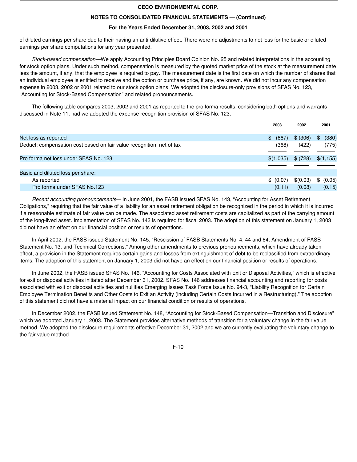### **NOTES TO CONSOLIDATED FINANCIAL STATEMENTS — (Continued)**

#### **For the Years Ended December 31, 2003, 2002 and 2001**

of diluted earnings per share due to their having an anti-dilutive effect. There were no adjustments to net loss for the basic or diluted earnings per share computations for any year presented.

*Stock-based compensation—*We apply Accounting Principles Board Opinion No. 25 and related interpretations in the accounting for stock option plans. Under such method, compensation is measured by the quoted market price of the stock at the measurement date less the amount, if any, that the employee is required to pay. The measurement date is the first date on which the number of shares that an individual employee is entitled to receive and the option or purchase price, if any, are known. We did not incur any compensation expense in 2003, 2002 or 2001 related to our stock option plans. We adopted the disclosure-only provisions of SFAS No. 123, "Accounting for Stock-Based Compensation" and related pronouncements.

The following table compares 2003, 2002 and 2001 as reported to the pro forma results, considering both options and warrants discussed in Note 11, had we adopted the expense recognition provision of SFAS No. 123:

|                                                                       | 2003        | 2002     | 2001        |
|-----------------------------------------------------------------------|-------------|----------|-------------|
| Net loss as reported                                                  | (667)<br>\$ | \$ (306) | (380)<br>\$ |
| Deduct: compensation cost based on fair value recognition, net of tax | (368)       | (422)    | (775)       |
| Pro forma net loss under SFAS No. 123                                 | \$(1,035)   | \$ (728) | \$(1, 155)  |
| Basic and diluted loss per share:                                     |             |          |             |
| As reported                                                           | \$ (0.07)   | \$(0.03) | \$ (0.05)   |
| Pro forma under SFAS No.123                                           | (0.11)      | (0.08)   | (0.15)      |

*Recent accounting pronouncements*— In June 2001, the FASB issued SFAS No. 143, "Accounting for Asset Retirement Obligations," requiring that the fair value of a liability for an asset retirement obligation be recognized in the period in which it is incurred if a reasonable estimate of fair value can be made. The associated asset retirement costs are capitalized as part of the carrying amount of the long-lived asset. Implementation of SFAS No. 143 is required for fiscal 2003. The adoption of this statement on January 1, 2003 did not have an effect on our financial position or results of operations.

In April 2002, the FASB issued Statement No. 145, "Rescission of FASB Statements No. 4, 44 and 64, Amendment of FASB Statement No. 13, and Technical Corrections." Among other amendments to previous pronouncements, which have already taken effect, a provision in the Statement requires certain gains and losses from extinguishment of debt to be reclassified from extraordinary items. The adoption of this statement on January 1, 2003 did not have an effect on our financial position or results of operations.

In June 2002, the FASB issued SFAS No. 146, "Accounting for Costs Associated with Exit or Disposal Activities," which is effective for exit or disposal activities initiated after December 31, 2002. SFAS No. 146 addresses financial accounting and reporting for costs associated with exit or disposal activities and nullifies Emerging Issues Task Force Issue No. 94-3, "Liability Recognition for Certain Employee Termination Benefits and Other Costs to Exit an Activity (including Certain Costs Incurred in a Restructuring)." The adoption of this statement did not have a material impact on our financial condition or results of operations.

In December 2002, the FASB issued Statement No. 148, "Accounting for Stock-Based Compensation—Transition and Disclosure" which we adopted January 1, 2003. The Statement provides alternative methods of transition for a voluntary change in the fair value method. We adopted the disclosure requirements effective December 31, 2002 and we are currently evaluating the voluntary change to the fair value method.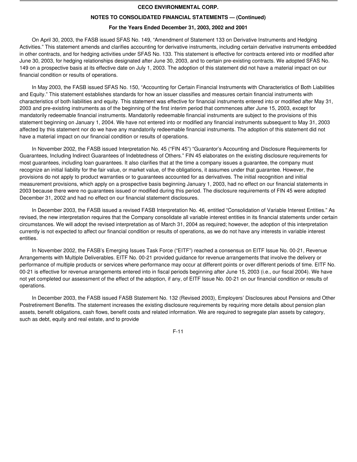## **NOTES TO CONSOLIDATED FINANCIAL STATEMENTS — (Continued)**

#### **For the Years Ended December 31, 2003, 2002 and 2001**

On April 30, 2003, the FASB issued SFAS No. 149, "Amendment of Statement 133 on Derivative Instruments and Hedging Activities." This statement amends and clarifies accounting for derivative instruments, including certain derivative instruments embedded in other contracts, and for hedging activities under SFAS No. 133. This statement is effective for contracts entered into or modified after June 30, 2003, for hedging relationships designated after June 30, 2003, and to certain pre-existing contracts. We adopted SFAS No. 149 on a prospective basis at its effective date on July 1, 2003. The adoption of this statement did not have a material impact on our financial condition or results of operations.

In May 2003, the FASB issued SFAS No. 150, "Accounting for Certain Financial Instruments with Characteristics of Both Liabilities and Equity." This statement establishes standards for how an issuer classifies and measures certain financial instruments with characteristics of both liabilities and equity. This statement was effective for financial instruments entered into or modified after May 31, 2003 and pre-existing instruments as of the beginning of the first interim period that commences after June 15, 2003, except for mandatorily redeemable financial instruments. Mandatorily redeemable financial instruments are subject to the provisions of this statement beginning on January 1, 2004. We have not entered into or modified any financial instruments subsequent to May 31, 2003 affected by this statement nor do we have any mandatorily redeemable financial instruments. The adoption of this statement did not have a material impact on our financial condition or results of operations.

In November 2002, the FASB issued Interpretation No. 45 ("FIN 45") "Guarantor's Accounting and Disclosure Requirements for Guarantees, Including Indirect Guarantees of Indebtedness of Others." FIN 45 elaborates on the existing disclosure requirements for most guarantees, including loan guarantees. It also clarifies that at the time a company issues a guarantee, the company must recognize an initial liability for the fair value, or market value, of the obligations, it assumes under that guarantee. However, the provisions do not apply to product warranties or to guarantees accounted for as derivatives. The initial recognition and initial measurement provisions, which apply on a prospective basis beginning January 1, 2003, had no effect on our financial statements in 2003 because there were no guarantees issued or modified during this period. The disclosure requirements of FIN 45 were adopted December 31, 2002 and had no effect on our financial statement disclosures.

In December 2003, the FASB issued a revised FASB Interpretation No. 46, entitled "Consolidation of Variable Interest Entities." As revised, the new interpretation requires that the Company consolidate all variable interest entities in its financial statements under certain circumstances. We will adopt the revised interpretation as of March 31, 2004 as required; however, the adoption of this interpretation currently is not expected to affect our financial condition or results of operations, as we do not have any interests in variable interest entities.

In November 2002, the FASB's Emerging Issues Task Force ("EITF") reached a consensus on EITF Issue No. 00-21, Revenue Arrangements with Multiple Deliverables. EITF No. 00-21 provided guidance for revenue arrangements that involve the delivery or performance of multiple products or services where performance may occur at different points or over different periods of time. EITF No. 00-21 is effective for revenue arrangements entered into in fiscal periods beginning after June 15, 2003 (i.e., our fiscal 2004). We have not yet completed our assessment of the effect of the adoption, if any, of EITF Issue No. 00-21 on our financial condition or results of operations.

In December 2003, the FASB issued FASB Statement No. 132 (Revised 2003), Employers' Disclosures about Pensions and Other Postretirement Benefits. The statement increases the existing disclosure requirements by requiring more details about pension plan assets, benefit obligations, cash flows, benefit costs and related information. We are required to segregate plan assets by category, such as debt, equity and real estate, and to provide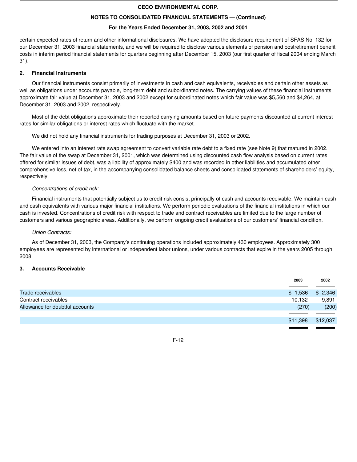## **NOTES TO CONSOLIDATED FINANCIAL STATEMENTS — (Continued)**

## **For the Years Ended December 31, 2003, 2002 and 2001**

certain expected rates of return and other informational disclosures. We have adopted the disclosure requirement of SFAS No. 132 for our December 31, 2003 financial statements, and we will be required to disclose various elements of pension and postretirement benefit costs in interim period financial statements for quarters beginning after December 15, 2003 (our first quarter of fiscal 2004 ending March 31).

### **2. Financial Instruments**

Our financial instruments consist primarily of investments in cash and cash equivalents, receivables and certain other assets as well as obligations under accounts payable, long-term debt and subordinated notes. The carrying values of these financial instruments approximate fair value at December 31, 2003 and 2002 except for subordinated notes which fair value was \$5,560 and \$4,264, at December 31, 2003 and 2002, respectively.

Most of the debt obligations approximate their reported carrying amounts based on future payments discounted at current interest rates for similar obligations or interest rates which fluctuate with the market.

We did not hold any financial instruments for trading purposes at December 31, 2003 or 2002.

We entered into an interest rate swap agreement to convert variable rate debt to a fixed rate (see Note 9) that matured in 2002. The fair value of the swap at December 31, 2001, which was determined using discounted cash flow analysis based on current rates offered for similar issues of debt, was a liability of approximately \$400 and was recorded in other liabilities and accumulated other comprehensive loss, net of tax, in the accompanying consolidated balance sheets and consolidated statements of shareholders' equity, respectively.

#### *Concentrations of credit risk:*

Financial instruments that potentially subject us to credit risk consist principally of cash and accounts receivable. We maintain cash and cash equivalents with various major financial institutions. We perform periodic evaluations of the financial institutions in which our cash is invested. Concentrations of credit risk with respect to trade and contract receivables are limited due to the large number of customers and various geographic areas. Additionally, we perform ongoing credit evaluations of our customers' financial condition.

#### *Union Contracts:*

As of December 31, 2003, the Company's continuing operations included approximately 430 employees. Approximately 300 employees are represented by international or independent labor unions, under various contracts that expire in the years 2005 through 2008.

#### **3. Accounts Receivable**

|                                 | 2003     | 2002     |
|---------------------------------|----------|----------|
|                                 |          |          |
| Trade receivables               | \$1,536  | \$2,346  |
| Contract receivables            | 10,132   | 9,891    |
| Allowance for doubtful accounts | (270)    | (200)    |
|                                 |          |          |
|                                 | \$11,398 | \$12,037 |
|                                 |          |          |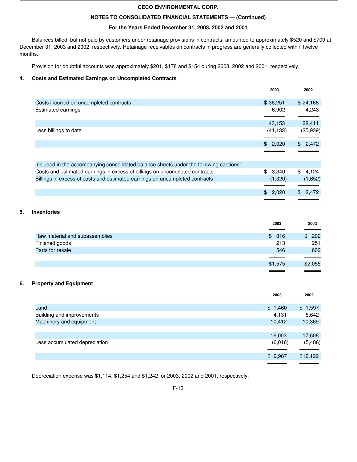## **NOTES TO CONSOLIDATED FINANCIAL STATEMENTS — (Continued)**

## **For the Years Ended December 31, 2003, 2002 and 2001**

Balances billed, but not paid by customers under retainage provisions in contracts, amounted to approximately \$520 and \$709 at December 31, 2003 and 2002, respectively. Retainage receivables on contracts in progress are generally collected within twelve months.

Provision for doubtful accounts was approximately \$201, \$178 and \$154 during 2003, 2002 and 2001, respectively.

### **4. Costs and Estimated Earnings on Uncompleted Contracts**

|                                                                                        | 2003        | 2002        |
|----------------------------------------------------------------------------------------|-------------|-------------|
| Costs incurred on uncompleted contracts                                                | \$36,251    | \$24,168    |
| Estimated earnings                                                                     | 6,902       | 4,243       |
|                                                                                        | 43,153      | 28,411      |
| Less billings to date                                                                  | (41, 133)   | (25, 939)   |
|                                                                                        | 2,020       | \$2,472     |
|                                                                                        |             |             |
| Included in the accompanying consolidated balance sheets under the following captions: |             |             |
| Costs and estimated earnings in excess of billings on uncompleted contracts            | 3,340<br>\$ | \$<br>4,124 |
| Billings in excess of costs and estimated earnings on uncompleted contracts            | (1,320)     | (1,652)     |
|                                                                                        |             |             |
|                                                                                        | 2,020       | \$2,472     |
|                                                                                        |             |             |

## **5. Inventories**

|                                | 2003    | 2002    |
|--------------------------------|---------|---------|
|                                |         |         |
| Raw material and subassemblies | \$816   | \$1,202 |
| Finished goods                 | 213     | 251     |
| Parts for resale               | 546     | 602     |
|                                |         |         |
|                                | \$1,575 | \$2,055 |
|                                |         |         |

## **6. Property and Equipment**

|                               | 2003    | 2002     |
|-------------------------------|---------|----------|
|                               |         |          |
| Land                          | \$1,460 | \$1,597  |
| Building and improvements     | 4,131   | 5,642    |
| Machinery and equipment       | 10,412  | 10,369   |
|                               |         |          |
|                               | 16,003  | 17,608   |
| Less accumulated depreciation | (6,016) | (5, 486) |
|                               |         |          |
|                               | \$9,987 | \$12,122 |
|                               |         |          |

Depreciation expense was \$1,114, \$1,254 and \$1,242 for 2003, 2002 and 2001, respectively.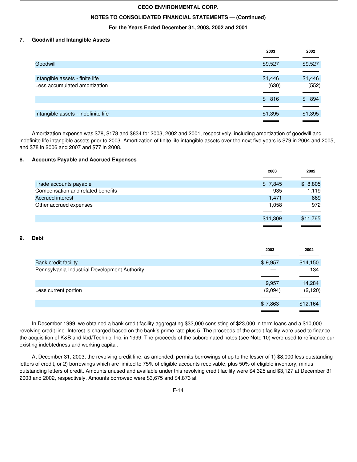### **NOTES TO CONSOLIDATED FINANCIAL STATEMENTS — (Continued)**

### **For the Years Ended December 31, 2003, 2002 and 2001**

#### **7. Goodwill and Intangible Assets**

|                                     | 2003    | 2002                     |
|-------------------------------------|---------|--------------------------|
|                                     |         |                          |
| Goodwill                            | \$9,527 | \$9,527                  |
|                                     |         |                          |
| Intangible assets - finite life     | \$1,446 | \$1,446                  |
| Less accumulated amortization       | (630)   | (552)                    |
|                                     |         |                          |
|                                     | \$816   | \$894                    |
|                                     |         | $\overline{\phantom{a}}$ |
| Intangible assets - indefinite life | \$1,395 | \$1,395                  |
|                                     |         |                          |

Amortization expense was \$78, \$178 and \$834 for 2003, 2002 and 2001, respectively, including amortization of goodwill and indefinite life intangible assets prior to 2003. Amortization of finite life intangible assets over the next five years is \$79 in 2004 and 2005, and \$78 in 2006 and 2007 and \$77 in 2008.

#### **8. Accounts Payable and Accrued Expenses**

|                                   | 2003     | 2002     |
|-----------------------------------|----------|----------|
|                                   |          |          |
| Trade accounts payable            | \$7,845  | \$8,805  |
| Compensation and related benefits | 935      | 1,119    |
| <b>Accrued interest</b>           | 1,471    | 869      |
| Other accrued expenses            | 1.058    | 972      |
|                                   |          |          |
|                                   | \$11,309 | \$11,765 |
|                                   |          |          |

#### **9. Debt**

|                                               | 2003    | 2002     |
|-----------------------------------------------|---------|----------|
|                                               |         |          |
| <b>Bank credit facility</b>                   | \$9,957 | \$14,150 |
| Pennsylvania Industrial Development Authority |         | 134      |
|                                               |         |          |
|                                               | 9,957   | 14,284   |
| Less current portion                          | (2,094) | (2, 120) |
|                                               |         |          |
|                                               | \$7,863 | \$12,164 |
|                                               |         |          |

In December 1999, we obtained a bank credit facility aggregating \$33,000 consisting of \$23,000 in term loans and a \$10,000 revolving credit line. Interest is charged based on the bank's prime rate plus 5. The proceeds of the credit facility were used to finance the acquisition of K&B and kbd/Technic, Inc. in 1999. The proceeds of the subordinated notes (see Note 10) were used to refinance our existing indebtedness and working capital.

At December 31, 2003, the revolving credit line, as amended, permits borrowings of up to the lesser of 1) \$8,000 less outstanding letters of credit, or 2) borrowings which are limited to 75% of eligible accounts receivable, plus 50% of eligible inventory, minus outstanding letters of credit. Amounts unused and available under this revolving credit facility were \$4,325 and \$3,127 at December 31, 2003 and 2002, respectively. Amounts borrowed were \$3,675 and \$4,873 at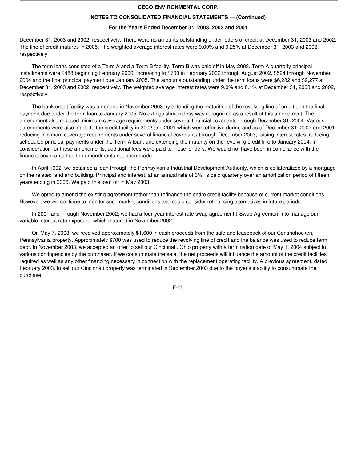### **NOTES TO CONSOLIDATED FINANCIAL STATEMENTS — (Continued)**

#### **For the Years Ended December 31, 2003, 2002 and 2001**

December 31, 2003 and 2002, respectively. There were no amounts outstanding under letters of credit at December 31, 2003 and 2002. The line of credit matures in 2005. The weighted average interest rates were 9.00% and 9.25% at December 31, 2003 and 2002, respectively.

The term loans consisted of a Term A and a Term B facility. Term B was paid off in May 2003. Term A quarterly principal installments were \$488 beginning February 2000, increasing to \$700 in February 2002 through August 2002, \$524 through November 2004 and the final principal payment due January 2005. The amounts outstanding under the term loans were \$6,282 and \$9,277 at December 31, 2003 and 2002, respectively. The weighted average interest rates were 9.0% and 8.1% at December 31, 2003 and 2002, respectively.

The bank credit facility was amended in November 2003 by extending the maturities of the revolving line of credit and the final payment due under the term loan to January 2005. No extinguishment loss was recognized as a result of this amendment. The amendment also reduced minimum coverage requirements under several financial covenants through December 31, 2004. Various amendments were also made to the credit facility in 2002 and 2001 which were effective during and as of December 31, 2002 and 2001 reducing minimum coverage requirements under several financial covenants through December 2003, raising interest rates, reducing scheduled principal payments under the Term A loan, and extending the maturity on the revolving credit line to January 2004. In consideration for these amendments, additional fees were paid to these lenders. We would not have been in compliance with the financial covenants had the amendments not been made.

In April 1992, we obtained a loan through the Pennsylvania Industrial Development Authority, which is collateralized by a mortgage on the related land and building. Principal and interest, at an annual rate of 3%, is paid quarterly over an amortization period of fifteen years ending in 2006. We paid this loan off in May 2003.

We opted to amend the existing agreement rather than refinance the entire credit facility because of current market conditions. However, we will continue to monitor such market conditions and could consider refinancing alternatives in future periods.

In 2001 and through November 2002, we had a four-year interest rate swap agreement ("Swap Agreement") to manage our variable interest rate exposure, which matured in November 2002.

On May 7, 2003, we received approximately \$1,600 in cash proceeds from the sale and leaseback of our Conshohocken, Pennsylvania property. Approximately \$700 was used to reduce the revolving line of credit and the balance was used to reduce term debt. In November 2003, we accepted an offer to sell our Cincinnati, Ohio property with a termination date of May 1, 2004 subject to various contingencies by the purchaser. If we consummate the sale, the net proceeds will influence the amount of the credit facilities required as well as any other financing necessary in connection with the replacement operating facility. A previous agreement, dated February 2003, to sell our Cincinnati property was terminated in September 2003 due to the buyer's inability to consummate the purchase.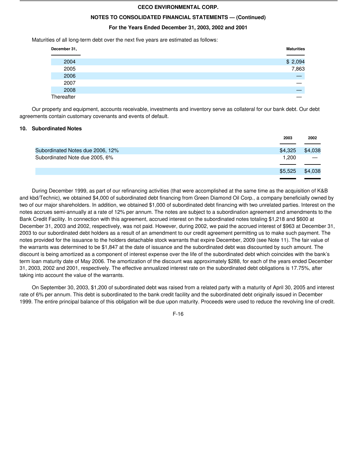# **NOTES TO CONSOLIDATED FINANCIAL STATEMENTS — (Continued)**

# **For the Years Ended December 31, 2003, 2002 and 2001**

Maturities of all long-term debt over the next five years are estimated as follows:

| December 31, | <b>Maturities</b> |
|--------------|-------------------|
|              |                   |
| 2004         | \$2,094           |
| 2005         | 7,863             |
| 2006         |                   |
| 2007         |                   |
| 2008         |                   |
| Thereafter   |                   |

Our property and equipment, accounts receivable, investments and inventory serve as collateral for our bank debt. Our debt agreements contain customary covenants and events of default.

### **10. Subordinated Notes**

|                                  | 2003    | 2002                     |
|----------------------------------|---------|--------------------------|
|                                  |         |                          |
| Subordinated Notes due 2006, 12% | \$4,325 | \$4,038                  |
| Subordinated Note due 2005, 6%   | 1.200   | $\overline{\phantom{m}}$ |
|                                  |         |                          |
|                                  | \$5,525 | \$4,038                  |
|                                  |         |                          |

During December 1999, as part of our refinancing activities (that were accomplished at the same time as the acquisition of K&B and kbd/Technic), we obtained \$4,000 of subordinated debt financing from Green Diamond Oil Corp., a company beneficially owned by two of our major shareholders. In addition, we obtained \$1,000 of subordinated debt financing with two unrelated parties. Interest on the notes accrues semi-annually at a rate of 12% per annum. The notes are subject to a subordination agreement and amendments to the Bank Credit Facility. In connection with this agreement, accrued interest on the subordinated notes totaling \$1,218 and \$600 at December 31, 2003 and 2002, respectively, was not paid. However, during 2002, we paid the accrued interest of \$963 at December 31, 2003 to our subordinated debt holders as a result of an amendment to our credit agreement permitting us to make such payment. The notes provided for the issuance to the holders detachable stock warrants that expire December, 2009 (see Note 11). The fair value of the warrants was determined to be \$1,847 at the date of issuance and the subordinated debt was discounted by such amount. The discount is being amortized as a component of interest expense over the life of the subordinated debt which coincides with the bank's term loan maturity date of May 2006. The amortization of the discount was approximately \$288, for each of the years ended December 31, 2003, 2002 and 2001, respectively. The effective annualized interest rate on the subordinated debt obligations is 17.75%, after taking into account the value of the warrants.

On September 30, 2003, \$1,200 of subordinated debt was raised from a related party with a maturity of April 30, 2005 and interest rate of 6% per annum. This debt is subordinated to the bank credit facility and the subordinated debt originally issued in December 1999. The entire principal balance of this obligation will be due upon maturity. Proceeds were used to reduce the revolving line of credit.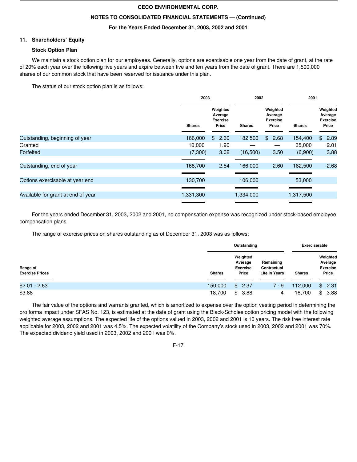## **NOTES TO CONSOLIDATED FINANCIAL STATEMENTS — (Continued)**

### **For the Years Ended December 31, 2003, 2002 and 2001**

#### **11. Shareholders' Equity**

### **Stock Option Plan**

We maintain a stock option plan for our employees. Generally, options are exercisable one year from the date of grant, at the rate of 20% each year over the following five years and expire between five and ten years from the date of grant. There are 1,500,000 shares of our common stock that have been reserved for issuance under this plan.

The status of our stock option plan is as follows:

|                                    |               | 2003                                     |               | 2002                                     |               | 2001                                            |  |
|------------------------------------|---------------|------------------------------------------|---------------|------------------------------------------|---------------|-------------------------------------------------|--|
|                                    | <b>Shares</b> | Weighted<br>Average<br>Exercise<br>Price | <b>Shares</b> | Weighted<br>Average<br>Exercise<br>Price | <b>Shares</b> | Weighted<br>Average<br><b>Exercise</b><br>Price |  |
| Outstanding, beginning of year     | 166,000       | $\mathfrak{L}$<br>2.60                   | 182,500       | \$2.68                                   | 154,400       | 2.89<br>$\mathfrak{L}$                          |  |
| Granted                            | 10.000        | 1.90                                     |               |                                          | 35,000        | 2.01                                            |  |
| Forfeited                          | (7,300)       | 3.02                                     | (16,500)      | 3.50                                     | (6,900)       | 3.88                                            |  |
|                                    |               |                                          |               |                                          |               |                                                 |  |
| Outstanding, end of year           | 168,700       | 2.54                                     | 166,000       | 2.60                                     | 182,500       | 2.68                                            |  |
|                                    |               |                                          |               |                                          |               |                                                 |  |
| Options exercisable at year end    | 130,700       |                                          | 106,000       |                                          | 53,000        |                                                 |  |
|                                    |               |                                          |               |                                          |               |                                                 |  |
| Available for grant at end of year | 1,331,300     |                                          | 1,334,000     |                                          | 1,317,500     |                                                 |  |
|                                    |               |                                          |               |                                          |               |                                                 |  |

For the years ended December 31, 2003, 2002 and 2001, no compensation expense was recognized under stock-based employee compensation plans.

The range of exercise prices on shares outstanding as of December 31, 2003 was as follows:

|                                    | Outstanding   |                                                 |                                                  |               | Exerciserable                                   |  |
|------------------------------------|---------------|-------------------------------------------------|--------------------------------------------------|---------------|-------------------------------------------------|--|
| Range of<br><b>Exercise Prices</b> | <b>Shares</b> | Weighted<br>Average<br><b>Exercise</b><br>Price | Remaining<br>Contractual<br><b>Life in Years</b> | <b>Shares</b> | Weighted<br>Average<br><b>Exercise</b><br>Price |  |
|                                    |               |                                                 |                                                  |               |                                                 |  |
| $$2.01 - 2.63$                     | 150,000       | \$2.37                                          | $7 - 9$                                          | 112,000       | \$2.31                                          |  |
| \$3.88                             | 18,700        | \$3.88                                          | 4                                                | 18,700        | 3.88<br>\$                                      |  |

The fair value of the options and warrants granted, which is amortized to expense over the option vesting period in determining the pro forma impact under SFAS No. 123, is estimated at the date of grant using the Black-Scholes option pricing model with the following weighted average assumptions. The expected life of the options valued in 2003, 2002 and 2001 is 10 years. The risk free interest rate applicable for 2003, 2002 and 2001 was 4.5%. The expected volatility of the Company's stock used in 2003, 2002 and 2001 was 70%. The expected dividend yield used in 2003, 2002 and 2001 was 0%.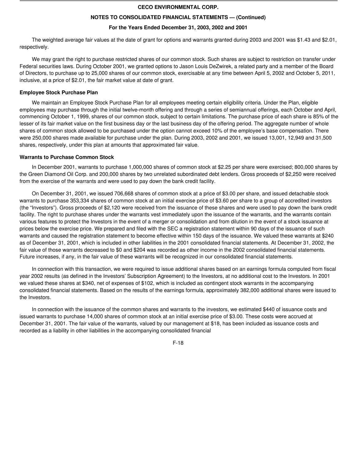### **NOTES TO CONSOLIDATED FINANCIAL STATEMENTS — (Continued)**

#### **For the Years Ended December 31, 2003, 2002 and 2001**

The weighted average fair values at the date of grant for options and warrants granted during 2003 and 2001 was \$1.43 and \$2.01, respectively.

We may grant the right to purchase restricted shares of our common stock. Such shares are subject to restriction on transfer under Federal securities laws. During October 2001, we granted options to Jason Louis DeZwirek, a related party and a member of the Board of Directors, to purchase up to 25,000 shares of our common stock, exercisable at any time between April 5, 2002 and October 5, 2011, inclusive, at a price of \$2.01, the fair market value at date of grant.

### **Employee Stock Purchase Plan**

We maintain an Employee Stock Purchase Plan for all employees meeting certain eligibility criteria. Under the Plan, eligible employees may purchase through the initial twelve-month offering and through a series of semiannual offerings, each October and April, commencing October 1, 1999, shares of our common stock, subject to certain limitations. The purchase price of each share is 85% of the lesser of its fair market value on the first business day or the last business day of the offering period. The aggregate number of whole shares of common stock allowed to be purchased under the option cannot exceed 10% of the employee's base compensation. There were 250,000 shares made available for purchase under the plan. During 2003, 2002 and 2001, we issued 13,001, 12,949 and 31,500 shares, respectively, under this plan at amounts that approximated fair value.

#### **Warrants to Purchase Common Stock**

In December 2001, warrants to purchase 1,000,000 shares of common stock at \$2.25 per share were exercised; 800,000 shares by the Green Diamond Oil Corp. and 200,000 shares by two unrelated subordinated debt lenders. Gross proceeds of \$2,250 were received from the exercise of the warrants and were used to pay down the bank credit facility.

On December 31, 2001, we issued 706,668 shares of common stock at a price of \$3.00 per share, and issued detachable stock warrants to purchase 353,334 shares of common stock at an initial exercise price of \$3.60 per share to a group of accredited investors (the "Investors"). Gross proceeds of \$2,120 were received from the issuance of these shares and were used to pay down the bank credit facility. The right to purchase shares under the warrants vest immediately upon the issuance of the warrants, and the warrants contain various features to protect the Investors in the event of a merger or consolidation and from dilution in the event of a stock issuance at prices below the exercise price. We prepared and filed with the SEC a registration statement within 90 days of the issuance of such warrants and caused the registration statement to become effective within 150 days of the issuance. We valued these warrants at \$240 as of December 31, 2001, which is included in other liabilities in the 2001 consolidated financial statements. At December 31, 2002, the fair value of those warrants decreased to \$0 and \$204 was recorded as other income in the 2002 consolidated financial statements. Future increases, if any, in the fair value of these warrants will be recognized in our consolidated financial statements.

In connection with this transaction, we were required to issue additional shares based on an earnings formula computed from fiscal year 2002 results (as defined in the Investors' Subscription Agreement) to the Investors, at no additional cost to the Investors. In 2001 we valued these shares at \$340, net of expenses of \$102, which is included as contingent stock warrants in the accompanying consolidated financial statements. Based on the results of the earnings formula, approximately 382,000 additional shares were issued to the Investors.

In connection with the issuance of the common shares and warrants to the investors, we estimated \$440 of issuance costs and issued warrants to purchase 14,000 shares of common stock at an initial exercise price of \$3.00. These costs were accrued at December 31, 2001. The fair value of the warrants, valued by our management at \$18, has been included as issuance costs and recorded as a liability in other liabilities in the accompanying consolidated financial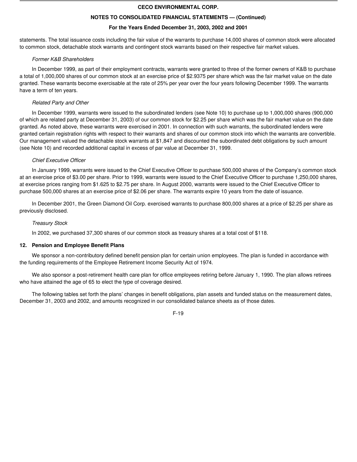### **NOTES TO CONSOLIDATED FINANCIAL STATEMENTS — (Continued)**

## **For the Years Ended December 31, 2003, 2002 and 2001**

statements. The total issuance costs including the fair value of the warrants to purchase 14,000 shares of common stock were allocated to common stock, detachable stock warrants and contingent stock warrants based on their respective fair market values.

### *Former K&B Shareholders*

In December 1999, as part of their employment contracts, warrants were granted to three of the former owners of K&B to purchase a total of 1,000,000 shares of our common stock at an exercise price of \$2.9375 per share which was the fair market value on the date granted. These warrants become exercisable at the rate of 25% per year over the four years following December 1999. The warrants have a term of ten years.

## *Related Party and Other*

In December 1999, warrants were issued to the subordinated lenders (see Note 10) to purchase up to 1,000,000 shares (900,000 of which are related party at December 31, 2003) of our common stock for \$2.25 per share which was the fair market value on the date granted. As noted above, these warrants were exercised in 2001. In connection with such warrants, the subordinated lenders were granted certain registration rights with respect to their warrants and shares of our common stock into which the warrants are convertible. Our management valued the detachable stock warrants at \$1,847 and discounted the subordinated debt obligations by such amount (see Note 10) and recorded additional capital in excess of par value at December 31, 1999.

## *Chief Executive Officer*

In January 1999, warrants were issued to the Chief Executive Officer to purchase 500,000 shares of the Company's common stock at an exercise price of \$3.00 per share. Prior to 1999, warrants were issued to the Chief Executive Officer to purchase 1,250,000 shares, at exercise prices ranging from \$1.625 to \$2.75 per share. In August 2000, warrants were issued to the Chief Executive Officer to purchase 500,000 shares at an exercise price of \$2.06 per share. The warrants expire 10 years from the date of issuance.

In December 2001, the Green Diamond Oil Corp. exercised warrants to purchase 800,000 shares at a price of \$2.25 per share as previously disclosed.

### *Treasury Stock*

In 2002, we purchased 37,300 shares of our common stock as treasury shares at a total cost of \$118.

### **12. Pension and Employee Benefit Plans**

We sponsor a non-contributory defined benefit pension plan for certain union employees. The plan is funded in accordance with the funding requirements of the Employee Retirement Income Security Act of 1974.

We also sponsor a post-retirement health care plan for office employees retiring before January 1, 1990. The plan allows retirees who have attained the age of 65 to elect the type of coverage desired.

The following tables set forth the plans' changes in benefit obligations, plan assets and funded status on the measurement dates, December 31, 2003 and 2002, and amounts recognized in our consolidated balance sheets as of those dates.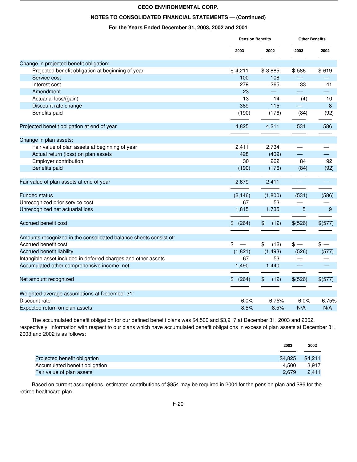# **NOTES TO CONSOLIDATED FINANCIAL STATEMENTS — (Continued)**

# **For the Years Ended December 31, 2003, 2002 and 2001**

|                                                                   |                                | <b>Pension Benefits</b>  |                   | <b>Other Benefits</b> |  |
|-------------------------------------------------------------------|--------------------------------|--------------------------|-------------------|-----------------------|--|
|                                                                   | 2003                           | 2002                     | 2003              | 2002                  |  |
| Change in projected benefit obligation:                           |                                |                          |                   |                       |  |
| Projected benefit obligation at beginning of year                 | \$4,211                        | \$3,885                  | \$586             | \$619                 |  |
| Service cost                                                      | 100                            | 108                      |                   |                       |  |
| Interest cost                                                     | 279                            | 265                      | 33                | 41                    |  |
| Amendment                                                         | 23                             | $\overline{\phantom{0}}$ |                   |                       |  |
| Actuarial loss/(gain)                                             | 13                             | 14                       | (4)               | 10                    |  |
| Discount rate change                                              | 389                            | 115                      |                   | 8                     |  |
| Benefits paid                                                     | (190)                          | (176)                    | (84)              | (92)                  |  |
| Projected benefit obligation at end of year                       | 4,825                          | 4,211                    | 531               | 586                   |  |
| Change in plan assets:                                            |                                |                          |                   |                       |  |
| Fair value of plan assets at beginning of year                    | 2,411                          | 2,734                    |                   |                       |  |
| Actual return (loss) on plan assets                               | 428                            | (409)                    |                   |                       |  |
| Employer contribution                                             | 30                             | 262                      | 84                | 92                    |  |
| Benefits paid                                                     | (190)                          | (176)                    | (84)              | (92)                  |  |
|                                                                   |                                |                          |                   |                       |  |
| Fair value of plan assets at end of year                          | 2,679                          | 2,411                    | $\qquad \qquad -$ |                       |  |
| <b>Funded status</b>                                              | (2, 146)                       | (1,800)                  | (531)             | (586)                 |  |
| Unrecognized prior service cost                                   | 67                             | 53                       |                   |                       |  |
| Unrecognized net actuarial loss                                   | 1,815                          | 1,735                    | 5                 | 9                     |  |
|                                                                   |                                |                          |                   |                       |  |
| <b>Accrued benefit cost</b>                                       | (264)<br>\$                    | \$<br>(12)               | \$(526)           | \$(577)               |  |
|                                                                   |                                |                          |                   |                       |  |
| Amounts recognized in the consolidated balance sheets consist of: |                                |                          |                   |                       |  |
| Accrued benefit cost                                              | \$<br>$\overline{\phantom{m}}$ | \$<br>(12)               | $$ -$             | $\sqrt[6]{}$          |  |
| <b>Accrued benefit liability</b>                                  | (1,821)                        | (1, 493)                 | (526)             | (577)                 |  |
| Intangible asset included in deferred charges and other assets    | 67                             | 53                       |                   |                       |  |
| Accumulated other comprehensive income, net                       | 1,490                          | 1,440                    |                   |                       |  |
|                                                                   |                                |                          |                   |                       |  |
| Net amount recognized                                             | (264)<br>\$                    | \$<br>(12)               | \$ (526)          | \$(577)               |  |
|                                                                   |                                |                          |                   |                       |  |
| Weighted-average assumptions at December 31:                      |                                |                          |                   |                       |  |
| Discount rate                                                     | 6.0%                           | 6.75%                    | 6.0%              | 6.75%                 |  |
| Expected return on plan assets                                    | 8.5%                           | 8.5%                     | N/A               | N/A                   |  |

The accumulated benefit obligation for our defined benefit plans was \$4,500 and \$3,917 at December 31, 2003 and 2002, respectively. Information with respect to our plans which have accumulated benefit obligations in excess of plan assets at December 31, 2003 and 2002 is as follows:

|                                | 2003  | 2002            |
|--------------------------------|-------|-----------------|
|                                |       |                 |
| Projected benefit obligation   |       | \$4,825 \$4,211 |
| Accumulated benefit obligation | 4.500 | 3.917           |
| Fair value of plan assets      | 2.679 | 2.411           |

Based on current assumptions, estimated contributions of \$854 may be required in 2004 for the pension plan and \$86 for the retiree healthcare plan.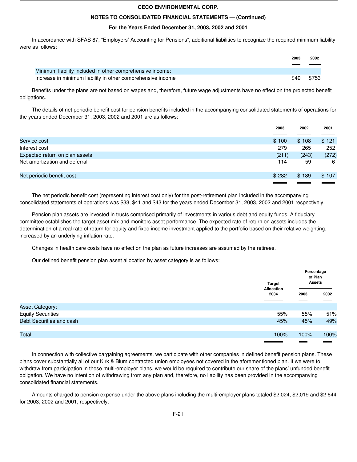### **NOTES TO CONSOLIDATED FINANCIAL STATEMENTS — (Continued)**

# **For the Years Ended December 31, 2003, 2002 and 2001**

In accordance with SFAS 87, "Employers' Accounting for Pensions", additional liabilities to recognize the required minimum liability were as follows:

|                                                             | 2003 | 2002  |
|-------------------------------------------------------------|------|-------|
|                                                             |      |       |
| Minimum liability included in other comprehensive income:   |      |       |
| Increase in minimum liability in other comprehensive income | \$49 | \$753 |

Benefits under the plans are not based on wages and, therefore, future wage adjustments have no effect on the projected benefit obligations.

The details of net periodic benefit cost for pension benefits included in the accompanying consolidated statements of operations for the years ended December 31, 2003, 2002 and 2001 are as follows:

|                                | 2003  | 2002  | 2001  |
|--------------------------------|-------|-------|-------|
|                                |       |       |       |
| Service cost                   | \$100 | \$108 | \$121 |
| Interest cost                  | 279   | 265   | 252   |
| Expected return on plan assets | (211) | (243) | (272) |
| Net amortization and deferral  | 114   | 59    | -6    |
| Net periodic benefit cost      | \$282 | \$189 | \$107 |

The net periodic benefit cost (representing interest cost only) for the post-retirement plan included in the accompanying consolidated statements of operations was \$33, \$41 and \$43 for the years ended December 31, 2003, 2002 and 2001 respectively.

Pension plan assets are invested in trusts comprised primarily of investments in various debt and equity funds. A fiduciary committee establishes the target asset mix and monitors asset performance. The expected rate of return on assets includes the determination of a real rate of return for equity and fixed income investment applied to the portfolio based on their relative weighting, increased by an underlying inflation rate.

Changes in health care costs have no effect on the plan as future increases are assumed by the retirees.

Our defined benefit pension plan asset allocation by asset category is as follows:

|                          | <b>Target</b>      | Percentage<br>of Plan<br><b>Assets</b> |      |
|--------------------------|--------------------|----------------------------------------|------|
|                          | Allocation<br>2004 | 2003                                   | 2002 |
| <b>Asset Category:</b>   |                    |                                        |      |
| <b>Equity Securities</b> | 55%                | 55%                                    | 51%  |
| Debt Securities and cash | 45%                | 45%                                    | 49%  |
|                          |                    |                                        |      |
| Total                    | 100%               | 100%                                   | 100% |
|                          |                    |                                        |      |

In connection with collective bargaining agreements, we participate with other companies in defined benefit pension plans. These plans cover substantially all of our Kirk & Blum contracted union employees not covered in the aforementioned plan. If we were to withdraw from participation in these multi-employer plans, we would be required to contribute our share of the plans' unfunded benefit obligation. We have no intention of withdrawing from any plan and, therefore, no liability has been provided in the accompanying consolidated financial statements.

Amounts charged to pension expense under the above plans including the multi-employer plans totaled \$2,024, \$2,019 and \$2,644 for 2003, 2002 and 2001, respectively.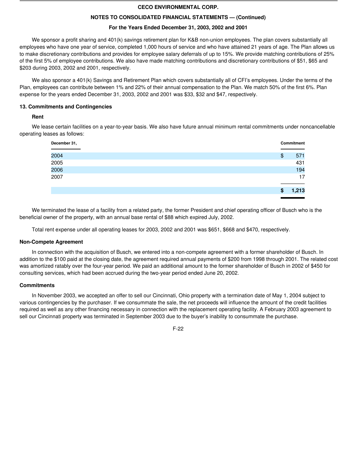### **NOTES TO CONSOLIDATED FINANCIAL STATEMENTS — (Continued)**

#### **For the Years Ended December 31, 2003, 2002 and 2001**

We sponsor a profit sharing and 401(k) savings retirement plan for K&B non-union employees. The plan covers substantially all employees who have one year of service, completed 1,000 hours of service and who have attained 21 years of age. The Plan allows us to make discretionary contributions and provides for employee salary deferrals of up to 15%. We provide matching contributions of 25% of the first 5% of employee contributions. We also have made matching contributions and discretionary contributions of \$51, \$65 and \$203 during 2003, 2002 and 2001, respectively.

We also sponsor a 401(k) Savings and Retirement Plan which covers substantially all of CFI's employees. Under the terms of the Plan, employees can contribute between 1% and 22% of their annual compensation to the Plan. We match 50% of the first 6%. Plan expense for the years ended December 31, 2003, 2002 and 2001 was \$33, \$32 and \$47, respectively.

#### **13. Commitments and Contingencies**

#### **Rent**

We lease certain facilities on a year-to-year basis. We also have future annual minimum rental commitments under noncancellable operating leases as follows:

| December 31,                 | Commitment   |
|------------------------------|--------------|
|                              |              |
| 2004<br>2005<br>2006<br>2007 | 571<br>\$    |
|                              | 431          |
|                              | 194          |
|                              | 17           |
|                              | 1,213<br>\$. |
|                              |              |

We terminated the lease of a facility from a related party, the former President and chief operating officer of Busch who is the beneficial owner of the property, with an annual base rental of \$88 which expired July, 2002.

Total rent expense under all operating leases for 2003, 2002 and 2001 was \$651, \$668 and \$470, respectively.

#### **Non-Compete Agreement**

In connection with the acquisition of Busch, we entered into a non-compete agreement with a former shareholder of Busch. In addition to the \$100 paid at the closing date, the agreement required annual payments of \$200 from 1998 through 2001. The related cost was amortized ratably over the four-year period. We paid an additional amount to the former shareholder of Busch in 2002 of \$450 for consulting services, which had been accrued during the two-year period ended June 20, 2002.

### **Commitments**

In November 2003, we accepted an offer to sell our Cincinnati, Ohio property with a termination date of May 1, 2004 subject to various contingencies by the purchaser. If we consummate the sale, the net proceeds will influence the amount of the credit facilities required as well as any other financing necessary in connection with the replacement operating facility. A February 2003 agreement to sell our Cincinnati property was terminated in September 2003 due to the buyer's inability to consummate the purchase.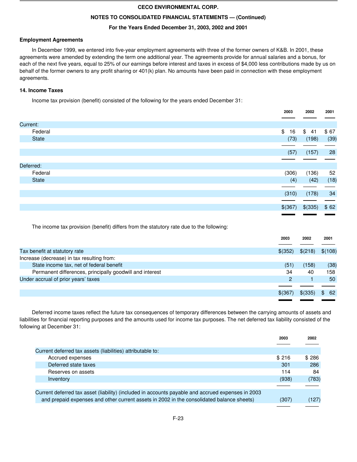# **NOTES TO CONSOLIDATED FINANCIAL STATEMENTS — (Continued)**

### **For the Years Ended December 31, 2003, 2002 and 2001**

#### **Employment Agreements**

In December 1999, we entered into five-year employment agreements with three of the former owners of K&B. In 2001, these agreements were amended by extending the term one additional year. The agreements provide for annual salaries and a bonus, for each of the next five years, equal to 25% of our earnings before interest and taxes in excess of \$4,000 less contributions made by us on behalf of the former owners to any profit sharing or 401(k) plan. No amounts have been paid in connection with these employment agreements.

### **14. Income Taxes**

Income tax provision (benefit) consisted of the following for the years ended December 31:

|              | 2003        | 2002                | 2001 |
|--------------|-------------|---------------------|------|
|              |             |                     |      |
| Current:     |             |                     |      |
| Federal      | $\$\$<br>16 | $\frac{1}{2}$<br>41 | \$67 |
| <b>State</b> | (73)        | (198)               | (39) |
|              |             |                     |      |
|              | (57)        | (157)               | 28   |
|              |             |                     |      |
| Deferred:    |             |                     |      |
| Federal      | (306)       | (136)               | 52   |
| State        | (4)         | (42)                | (18) |
|              |             |                     |      |
|              | (310)       | (178)               | 34   |
|              |             |                     |      |
|              | \$(367)     | \$(335)             | \$62 |
|              |             |                     |      |

The income tax provision (benefit) differs from the statutory rate due to the following:

|                                                          | 2003    | 2002    | 2001    |
|----------------------------------------------------------|---------|---------|---------|
|                                                          |         |         |         |
| Tax benefit at statutory rate                            | \$(352) | \$(218) | \$(108) |
| Increase (decrease) in tax resulting from:               |         |         |         |
| State income tax, net of federal benefit                 | (51)    | (158)   | (38)    |
| Permanent differences, principally goodwill and interest | 34      | 40      | 158     |
| Under accrual of prior years' taxes                      | 2       |         | 50      |
|                                                          |         |         |         |
|                                                          | \$6367  |         | 62      |
|                                                          |         |         |         |

Deferred income taxes reflect the future tax consequences of temporary differences between the carrying amounts of assets and liabilities for financial reporting purposes and the amounts used for income tax purposes. The net deferred tax liability consisted of the following at December 31:

|                                                                                                   | 2003  | 2002  |
|---------------------------------------------------------------------------------------------------|-------|-------|
|                                                                                                   |       |       |
| Current deferred tax assets (liabilities) attributable to:                                        |       |       |
| Accrued expenses                                                                                  | \$216 | \$286 |
| Deferred state taxes                                                                              | 301   | 286   |
| Reserves on assets                                                                                | 114   | 84    |
| Inventory                                                                                         | (938) | (783) |
|                                                                                                   |       |       |
| Current deferred tax asset (liability) (included in accounts payable and accrued expenses in 2003 |       |       |
| and prepaid expenses and other current assets in 2002 in the consolidated balance sheets)         | (307) | 127)  |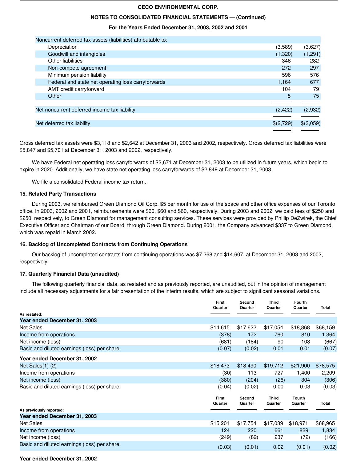### **NOTES TO CONSOLIDATED FINANCIAL STATEMENTS — (Continued)**

# **For the Years Ended December 31, 2003, 2002 and 2001**

Noncurrent deferred tax assets (liabilities) attributable to:

| Depreciation                                       | (3,589)   | (3,627)   |
|----------------------------------------------------|-----------|-----------|
| Goodwill and intangibles                           | (1,320)   | (1, 291)  |
| Other liabilities                                  | 346       | 282       |
| Non-compete agreement                              | 272       | 297       |
| Minimum pension liability                          | 596       | 576       |
| Federal and state net operating loss carryforwards | 1,164     | 677       |
| AMT credit carryforward                            | 104       | 79        |
| Other                                              | 5         | 75        |
|                                                    |           |           |
| Net noncurrent deferred income tax liability       | (2, 422)  | (2,932)   |
|                                                    |           |           |
| Net deferred tax liability                         | \$(2,729) | \$(3,059) |
|                                                    |           |           |

Gross deferred tax assets were \$3,118 and \$2,642 at December 31, 2003 and 2002, respectively. Gross deferred tax liabilities were \$5,847 and \$5,701 at December 31, 2003 and 2002, respectively.

We have Federal net operating loss carryforwards of \$2,671 at December 31, 2003 to be utilized in future years, which begin to expire in 2020. Additionally, we have state net operating loss carryforwards of \$2,849 at December 31, 2003.

We file a consolidated Federal income tax return.

### **15. Related Party Transactions**

During 2003, we reimbursed Green Diamond Oil Corp. \$5 per month for use of the space and other office expenses of our Toronto office. In 2003, 2002 and 2001, reimbursements were \$60, \$60 and \$60, respectively. During 2003 and 2002, we paid fees of \$250 and \$250, respectively, to Green Diamond for management consulting services. These services were provided by Phillip DeZwirek, the Chief Executive Officer and Chairman of our Board, through Green Diamond. During 2001, the Company advanced \$337 to Green Diamond, which was repaid in March 2002.

#### **16. Backlog of Uncompleted Contracts from Continuing Operations**

Our backlog of uncompleted contracts from continuing operations was \$7,268 and \$14,607, at December 31, 2003 and 2002, respectively.

### **17. Quarterly Financial Data (unaudited)**

The following quarterly financial data, as restated and as previously reported, are unaudited, but in the opinion of management include all necessary adjustments for a fair presentation of the interim results, which are subject to significant seasonal variations.

|                                             | First<br>Quarter | Second<br>Quarter | <b>Third</b><br>Quarter | <b>Fourth</b><br>Quarter | <b>Total</b> |
|---------------------------------------------|------------------|-------------------|-------------------------|--------------------------|--------------|
| As restated:                                |                  |                   |                         |                          |              |
| Year ended December 31, 2003                |                  |                   |                         |                          |              |
| <b>Net Sales</b>                            | \$14,615         | \$17,622          | \$17,054                | \$18,868                 | \$68,159     |
| Income from operations                      | (378)            | 172               | 760                     | 810                      | 1,364        |
| Net income (loss)                           | (681)            | (184)             | 90                      | 108                      | (667)        |
| Basic and diluted earnings (loss) per share | (0.07)           | (0.02)            | 0.01                    | 0.01                     | (0.07)       |
| Year ended December 31, 2002                |                  |                   |                         |                          |              |
| Net Sales $(1)$ $(2)$                       | \$18,473         | \$18,490          | \$19,712                | \$21,900                 | \$78,575     |
| Income from operations                      | (30)             | 113               | 727                     | 1,400                    | 2,209        |
| Net income (loss)                           | (380)            | (204)             | (26)                    | 304                      | (306)        |
| Basic and diluted earnings (loss) per share | (0.04)           | (0.02)            | 0.00                    | 0.03                     | (0.03)       |
|                                             | First<br>Quarter | Second<br>Quarter | <b>Third</b><br>Quarter | <b>Fourth</b><br>Quarter | <b>Total</b> |
| As previously reported:                     |                  |                   |                         |                          |              |
| Year ended December 31, 2003                |                  |                   |                         |                          |              |
| <b>Net Sales</b>                            | \$15,201         | \$17,754          | \$17,039                | \$18,971                 | \$68,965     |
| Income from operations                      | 124              | 220               | 661                     | 829                      | 1,834        |
| Net income (loss)                           | (249)            | (82)              | 237                     | (72)                     | (166)        |
| Basic and diluted earnings (loss) per share | (0.03)           | (0.01)            | 0.02                    | (0.01)                   | (0.02)       |

#### **Year ended December 31, 2002**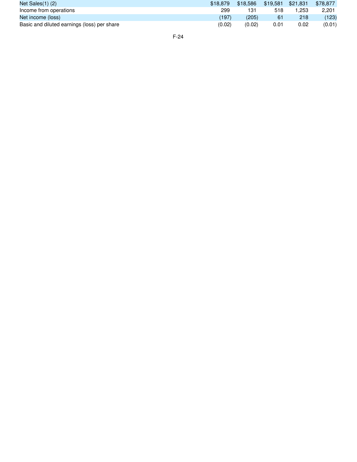| Net Sales $(1)$ $(2)$                       | \$18.879 | \$18,586 | \$19.581 | \$21,831        | \$78,877 |
|---------------------------------------------|----------|----------|----------|-----------------|----------|
| Income from operations                      | 299      | 131      | 518      | $^{\circ}$ .253 | 2.201    |
| Net income (loss)                           | (197)    | (205)    | -61      | 218             | (123)    |
| Basic and diluted earnings (loss) per share | (0.02)   | (0.02)   | 0.01     | 0.02            | (0.01)   |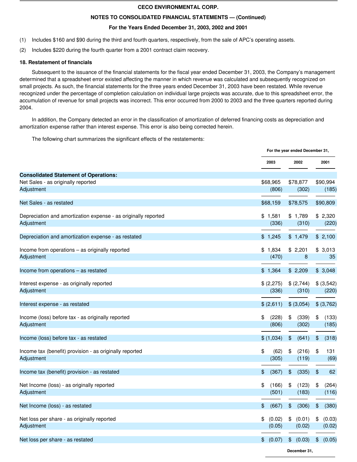# **NOTES TO CONSOLIDATED FINANCIAL STATEMENTS — (Continued)**

# **For the Years Ended December 31, 2003, 2002 and 2001**

- (1) Includes \$160 and \$90 during the third and fourth quarters, respectively, from the sale of APC's operating assets.
- (2) Includes \$220 during the fourth quarter from a 2001 contract claim recovery.

### **18. Restatement of financials**

Subsequent to the issuance of the financial statements for the fiscal year ended December 31, 2003, the Company's management determined that a spreadsheet error existed affecting the manner in which revenue was calculated and subsequently recognized on small projects. As such, the financial statements for the three years ended December 31, 2003 have been restated. While revenue recognized under the percentage of completion calculation on individual large projects was accurate, due to this spreadsheet error, the accumulation of revenue for small projects was incorrect. This error occurred from 2000 to 2003 and the three quarters reported during 2004.

In addition, the Company detected an error in the classification of amortization of deferred financing costs as depreciation and amortization expense rather than interest expense. This error is also being corrected herein.

The following chart summarizes the significant effects of the restatements:

|                                                                |                   | For the year ended December 31, |                        |  |
|----------------------------------------------------------------|-------------------|---------------------------------|------------------------|--|
|                                                                | 2003              | 2002                            | 2001                   |  |
| <b>Consolidated Statement of Operations:</b>                   |                   |                                 |                        |  |
| Net Sales - as originally reported<br>Adjustment               | \$68,965<br>(806) | \$78,877<br>(302)               | \$90,994<br>(185)      |  |
|                                                                |                   |                                 |                        |  |
| Net Sales - as restated                                        | \$68,159          | \$78,575                        | \$90,809               |  |
| Depreciation and amortization expense - as originally reported | \$1,581           | \$1,789                         | \$2,320                |  |
| Adjustment                                                     | (336)             | (310)                           | (220)                  |  |
| Depreciation and amortization expense - as restated            | \$1,245           | \$1,479                         | \$2,100                |  |
| Income from operations – as originally reported                | \$1,834           | \$2,201                         | \$3,013                |  |
| Adjustment                                                     | (470)             | 8                               | 35                     |  |
| Income from operations – as restated                           | \$1,364           | \$2,209                         | \$3,048                |  |
| Interest expense - as originally reported                      | \$(2,275)         | \$(2,744)                       | \$ (3,542)             |  |
| Adjustment                                                     | (336)             | (310)                           | (220)                  |  |
| Interest expense - as restated                                 | \$(2,611)         | \$(3,054)                       | \$ (3,762)             |  |
| Income (loss) before tax - as originally reported              | (228)<br>\$       | \$<br>(339)                     | (133)<br>\$            |  |
| Adjustment                                                     | (806)             | (302)                           | (185)                  |  |
| Income (loss) before tax - as restated                         | \$(1,034)         | \$<br>(641)                     | $\frac{1}{2}$<br>(318) |  |
| Income tax (benefit) provision - as originally reported        | \$<br>(62)        | (216)<br>\$                     | \$<br>131              |  |
| Adjustment                                                     | (305)             | (119)                           | (69)                   |  |
| Income tax (benefit) provision - as restated                   | \$<br>(367)       | \$<br>(335)                     | $\frac{1}{2}$<br>62    |  |
| Net Income (loss) - as originally reported                     | \$<br>(166)       | \$<br>(123)                     | \$<br>(264)            |  |
| Adjustment                                                     | (501)             | (183)                           | (116)                  |  |
| Net Income (loss) - as restated                                | \$<br>(667)       | (306)<br>\$                     | \$<br>(380)            |  |
| Net loss per share - as originally reported                    | (0.02)<br>\$      | \$<br>(0.01)                    | \$<br>(0.03)           |  |
| Adjustment                                                     | (0.05)            | (0.02)                          | (0.02)                 |  |
| Net loss per share - as restated                               | \$<br>(0.07)      | \$<br>(0.03)                    | \$<br>(0.05)           |  |
|                                                                |                   | December 31.                    |                        |  |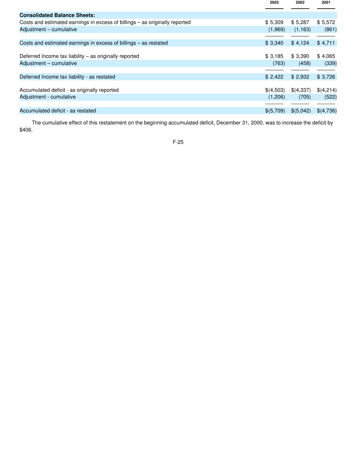|                                                                             | 2003      | 2002       | 2001      |
|-----------------------------------------------------------------------------|-----------|------------|-----------|
|                                                                             |           |            |           |
| <b>Consolidated Balance Sheets:</b>                                         |           |            |           |
| Costs and estimated earnings in excess of billings - as originally reported | \$5,309   | \$5,287    | \$5,572   |
| Adjustment - cumulative                                                     | (1,969)   | (1, 163)   | (861)     |
|                                                                             |           |            |           |
| Costs and estimated earnings in excess of billings – as restated            | \$3,340   | \$4,124    | \$4,711   |
| Deferred Income tax liability $-$ as originally reported                    | \$3,185   | \$3,390    | \$4,065   |
| Adjustment - cumulative                                                     | (763)     | (458)      | (339)     |
|                                                                             |           |            |           |
| Deferred Income tax liability - as restated                                 | \$2,422   | \$2,932    | \$3,726   |
|                                                                             |           |            |           |
| Accumulated deficit - as originally reported                                | \$(4,503) | \$(4,337)  | \$(4,214) |
| Adjustment - cumulative                                                     | (1,206)   | (705)      | (522)     |
|                                                                             |           |            |           |
| Accumulated deficit - as restated                                           | \$(5,709) | \$ (5,042) | \$(4,736) |

The cumulative effect of this restatement on the beginning accumulated deficit, December 31, 2000, was to increase the deficit by \$406.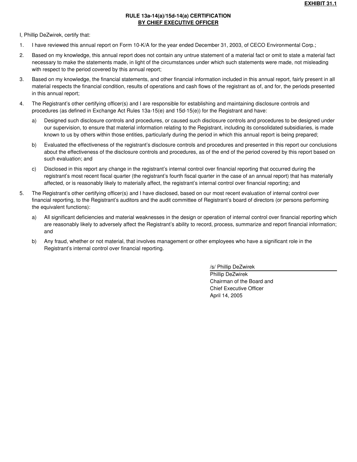# **RULE 13a-14(a)/15d-14(a) CERTIFICATION BY CHIEF EXECUTIVE OFFICER**

I, Phillip DeZwirek, certify that:

- 1. I have reviewed this annual report on Form 10-K/A for the year ended December 31, 2003, of CECO Environmental Corp.;
- 2. Based on my knowledge, this annual report does not contain any untrue statement of a material fact or omit to state a material fact necessary to make the statements made, in light of the circumstances under which such statements were made, not misleading with respect to the period covered by this annual report;
- 3. Based on my knowledge, the financial statements, and other financial information included in this annual report, fairly present in all material respects the financial condition, results of operations and cash flows of the registrant as of, and for, the periods presented in this annual report;
- 4. The Registrant's other certifying officer(s) and I are responsible for establishing and maintaining disclosure controls and procedures (as defined in Exchange Act Rules 13a-15(e) and 15d-15(e)) for the Registrant and have:
	- a) Designed such disclosure controls and procedures, or caused such disclosure controls and procedures to be designed under our supervision, to ensure that material information relating to the Registrant, including its consolidated subsidiaries, is made known to us by others within those entities, particularly during the period in which this annual report is being prepared;
	- b) Evaluated the effectiveness of the registrant's disclosure controls and procedures and presented in this report our conclusions about the effectiveness of the disclosure controls and procedures, as of the end of the period covered by this report based on such evaluation; and
	- c) Disclosed in this report any change in the registrant's internal control over financial reporting that occurred during the registrant's most recent fiscal quarter (the registrant's fourth fiscal quarter in the case of an annual report) that has materially affected, or is reasonably likely to materially affect, the registrant's internal control over financial reporting; and
- 5. The Registrant's other certifying officer(s) and I have disclosed, based on our most recent evaluation of internal control over financial reporting, to the Registrant's auditors and the audit committee of Registrant's board of directors (or persons performing the equivalent functions):
	- a) All significant deficiencies and material weaknesses in the design or operation of internal control over financial reporting which are reasonably likely to adversely affect the Registrant's ability to record, process, summarize and report financial information; and
	- b) Any fraud, whether or not material, that involves management or other employees who have a significant role in the Registrant's internal control over financial reporting.

/s/ Phillip DeZwirek

Phillip DeZwirek Chairman of the Board and Chief Executive Officer April 14, 2005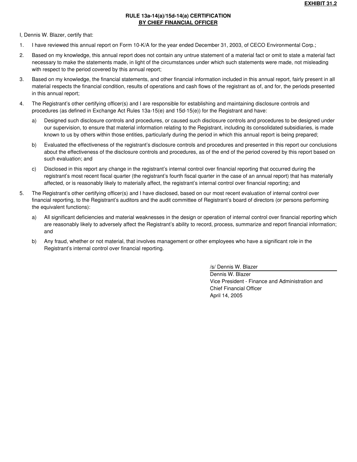# **RULE 13a-14(a)/15d-14(a) CERTIFICATION BY CHIEF FINANCIAL OFFICER**

I, Dennis W. Blazer, certify that:

- 1. I have reviewed this annual report on Form 10-K/A for the year ended December 31, 2003, of CECO Environmental Corp.;
- 2. Based on my knowledge, this annual report does not contain any untrue statement of a material fact or omit to state a material fact necessary to make the statements made, in light of the circumstances under which such statements were made, not misleading with respect to the period covered by this annual report;
- 3. Based on my knowledge, the financial statements, and other financial information included in this annual report, fairly present in all material respects the financial condition, results of operations and cash flows of the registrant as of, and for, the periods presented in this annual report;
- 4. The Registrant's other certifying officer(s) and I are responsible for establishing and maintaining disclosure controls and procedures (as defined in Exchange Act Rules 13a-15(e) and 15d-15(e)) for the Registrant and have:
	- a) Designed such disclosure controls and procedures, or caused such disclosure controls and procedures to be designed under our supervision, to ensure that material information relating to the Registrant, including its consolidated subsidiaries, is made known to us by others within those entities, particularly during the period in which this annual report is being prepared;
	- b) Evaluated the effectiveness of the registrant's disclosure controls and procedures and presented in this report our conclusions about the effectiveness of the disclosure controls and procedures, as of the end of the period covered by this report based on such evaluation; and
	- c) Disclosed in this report any change in the registrant's internal control over financial reporting that occurred during the registrant's most recent fiscal quarter (the registrant's fourth fiscal quarter in the case of an annual report) that has materially affected, or is reasonably likely to materially affect, the registrant's internal control over financial reporting; and
- 5. The Registrant's other certifying officer(s) and I have disclosed, based on our most recent evaluation of internal control over financial reporting, to the Registrant's auditors and the audit committee of Registrant's board of directors (or persons performing the equivalent functions):
	- a) All significant deficiencies and material weaknesses in the design or operation of internal control over financial reporting which are reasonably likely to adversely affect the Registrant's ability to record, process, summarize and report financial information; and
	- b) Any fraud, whether or not material, that involves management or other employees who have a significant role in the Registrant's internal control over financial reporting.

/s/ Dennis W. Blazer Dennis W. Blazer Vice President - Finance and Administration and Chief Financial Officer April 14, 2005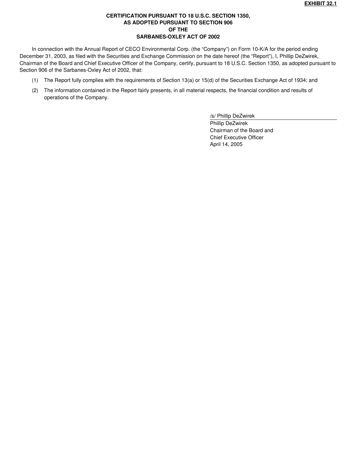# **CERTIFICATION PURSUANT TO 18 U.S.C. SECTION 1350, AS ADOPTED PURSUANT TO SECTION 906 OF THE SARBANES-OXLEY ACT OF 2002**

In connection with the Annual Report of CECO Environmental Corp. (the "Company") on Form 10-K/A for the period ending December 31, 2003, as filed with the Securities and Exchange Commission on the date hereof (the "Report"), I, Phillip DeZwirek, Chairman of the Board and Chief Executive Officer of the Company, certify, pursuant to 18 U.S.C. Section 1350, as adopted pursuant to Section 906 of the Sarbanes-Oxley Act of 2002, that:

- (1) The Report fully complies with the requirements of Section 13(a) or 15(d) of the Securities Exchange Act of 1934; and
- (2) The information contained in the Report fairly presents, in all material respects, the financial condition and results of operations of the Company.

/s/ Phillip DeZwirek

Phillip DeZwirek Chairman of the Board and Chief Executive Officer April 14, 2005